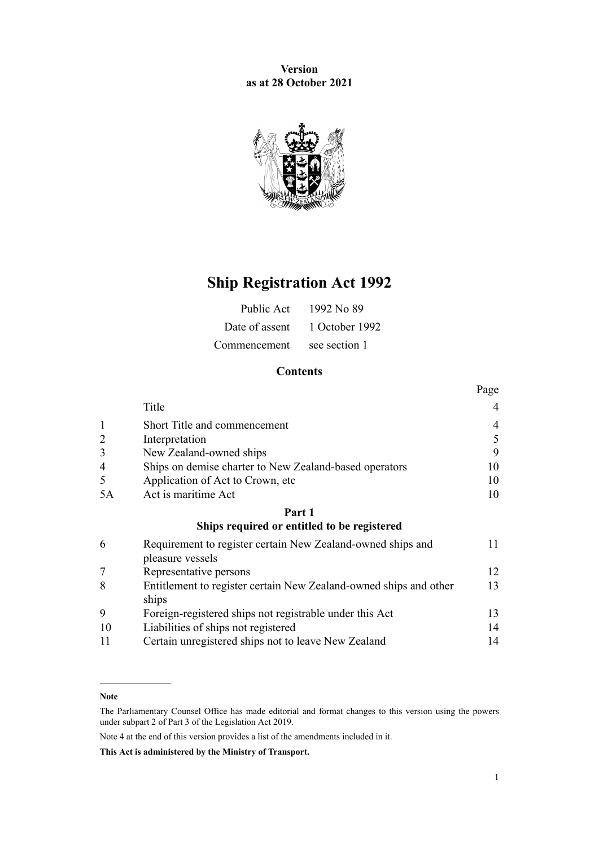**Version as at 28 October 2021**



# **Ship Registration Act 1992**

| Public Act   | 1992 No 89                    |
|--------------|-------------------------------|
|              | Date of assent 1 October 1992 |
| Commencement | see section 1                 |

### **Contents**

|    |                                                                                 | Page |
|----|---------------------------------------------------------------------------------|------|
|    | Title                                                                           | 4    |
| 1  | Short Title and commencement                                                    | 4    |
|    | Interpretation                                                                  | 5    |
| 3  | New Zealand-owned ships                                                         | 9    |
| 4  | Ships on demise charter to New Zealand-based operators                          | 10   |
| 5  | Application of Act to Crown, etc                                                | 10   |
| 5A | Act is maritime Act                                                             | 10   |
|    | Part 1                                                                          |      |
|    | Ships required or entitled to be registered                                     |      |
| 6  | Requirement to register certain New Zealand-owned ships and<br>pleasure vessels | 11   |
|    | Representative persons                                                          | 12   |
| 8  | Entitlement to register certain New Zealand-owned ships and other<br>ships      | 13   |
| 9  | Foreign-registered ships not registrable under this Act                         | 13   |
| 10 | Liabilities of ships not registered                                             | 14   |
| 11 | Certain unregistered ships not to leave New Zealand                             | 14   |

#### **Note**

Note 4 at the end of this version provides a list of the amendments included in it.

The Parliamentary Counsel Office has made editorial and format changes to this version using the powers under [subpart 2](http://legislation.govt.nz/pdflink.aspx?id=DLM7298371) of Part 3 of the Legislation Act 2019.

**This Act is administered by the Ministry of Transport.**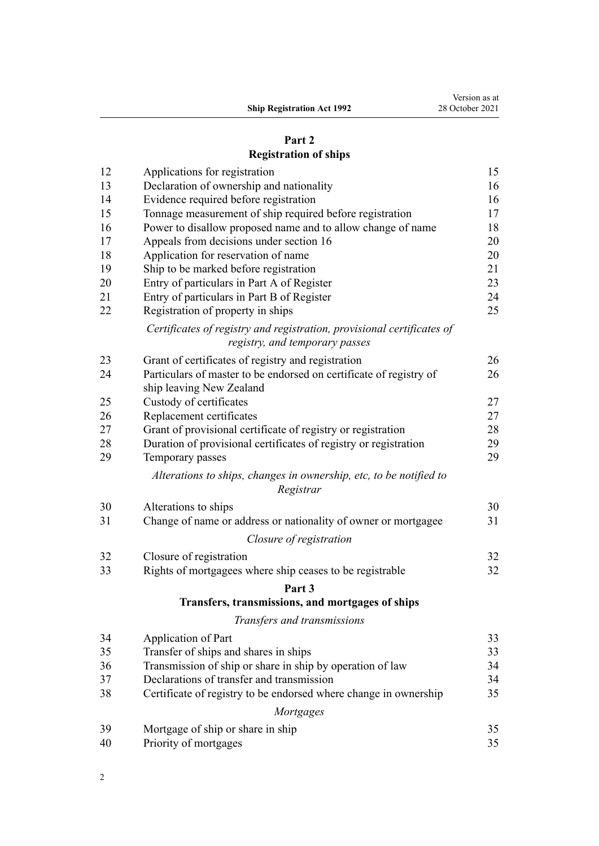|                                   | Version as at   |
|-----------------------------------|-----------------|
| <b>Ship Registration Act 1992</b> | 28 October 2021 |

# **[Part 2](#page-14-0) [Registration of ships](#page-14-0)**

| 12 | Applications for registration                                                                            | 15 |
|----|----------------------------------------------------------------------------------------------------------|----|
| 13 | Declaration of ownership and nationality                                                                 | 16 |
| 14 | Evidence required before registration                                                                    | 16 |
| 15 | Tonnage measurement of ship required before registration                                                 | 17 |
| 16 | Power to disallow proposed name and to allow change of name                                              | 18 |
| 17 | Appeals from decisions under section 16                                                                  | 20 |
| 18 | Application for reservation of name                                                                      | 20 |
| 19 | Ship to be marked before registration                                                                    | 21 |
| 20 | Entry of particulars in Part A of Register                                                               | 23 |
| 21 | Entry of particulars in Part B of Register                                                               | 24 |
| 22 | Registration of property in ships                                                                        | 25 |
|    | Certificates of registry and registration, provisional certificates of<br>registry, and temporary passes |    |
| 23 | Grant of certificates of registry and registration                                                       | 26 |
| 24 | Particulars of master to be endorsed on certificate of registry of<br>ship leaving New Zealand           | 26 |
| 25 | Custody of certificates                                                                                  | 27 |
| 26 | Replacement certificates                                                                                 | 27 |
| 27 | Grant of provisional certificate of registry or registration                                             | 28 |
| 28 | Duration of provisional certificates of registry or registration                                         | 29 |
| 29 | Temporary passes                                                                                         | 29 |
|    | Alterations to ships, changes in ownership, etc, to be notified to<br>Registrar                          |    |
| 30 | Alterations to ships                                                                                     | 30 |
| 31 | Change of name or address or nationality of owner or mortgagee                                           | 31 |
|    | Closure of registration                                                                                  |    |
| 32 | Closure of registration                                                                                  | 32 |
| 33 | Rights of mortgagees where ship ceases to be registrable                                                 | 32 |
|    | Part 3                                                                                                   |    |
|    | Transfers, transmissions, and mortgages of ships                                                         |    |
|    | Transfers and transmissions                                                                              |    |
| 34 | Application of Part                                                                                      | 33 |
| 35 | Transfer of ships and shares in ships                                                                    | 33 |
| 36 | Transmission of ship or share in ship by operation of law                                                | 34 |
| 37 | Declarations of transfer and transmission                                                                | 34 |
| 38 | Certificate of registry to be endorsed where change in ownership                                         | 35 |
|    | <b>Mortgages</b>                                                                                         |    |
| 39 | Mortgage of ship or share in ship                                                                        | 35 |
| 40 | Priority of mortgages                                                                                    | 35 |
|    |                                                                                                          |    |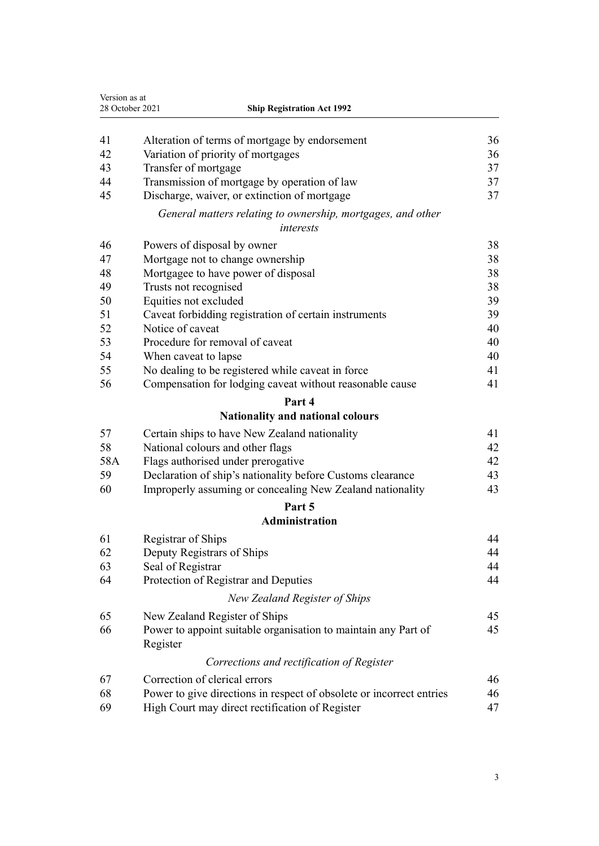| Version as at<br>28 October 2021<br><b>Ship Registration Act 1992</b> |                                                                            |    |
|-----------------------------------------------------------------------|----------------------------------------------------------------------------|----|
|                                                                       |                                                                            |    |
| 41                                                                    | Alteration of terms of mortgage by endorsement                             | 36 |
| 42                                                                    | Variation of priority of mortgages                                         | 36 |
| 43                                                                    | Transfer of mortgage                                                       | 37 |
| 44                                                                    | Transmission of mortgage by operation of law                               | 37 |
| 45                                                                    | Discharge, waiver, or extinction of mortgage                               | 37 |
|                                                                       | General matters relating to ownership, mortgages, and other<br>interests   |    |
| 46                                                                    | Powers of disposal by owner                                                | 38 |
| 47                                                                    | Mortgage not to change ownership                                           | 38 |
| 48                                                                    | Mortgagee to have power of disposal                                        | 38 |
| 49                                                                    | Trusts not recognised                                                      | 38 |
| 50                                                                    | Equities not excluded                                                      | 39 |
| 51                                                                    | Caveat forbidding registration of certain instruments                      | 39 |
| 52                                                                    | Notice of caveat                                                           | 40 |
| 53                                                                    | Procedure for removal of caveat                                            | 40 |
| 54                                                                    | When caveat to lapse                                                       | 40 |
| 55                                                                    | No dealing to be registered while caveat in force                          | 41 |
| 56                                                                    | Compensation for lodging caveat without reasonable cause                   | 41 |
|                                                                       | Part 4                                                                     |    |
|                                                                       | Nationality and national colours                                           |    |
| 57                                                                    | Certain ships to have New Zealand nationality                              | 41 |
| 58                                                                    | National colours and other flags                                           | 42 |
| 58A                                                                   | Flags authorised under prerogative                                         | 42 |
| 59                                                                    | Declaration of ship's nationality before Customs clearance                 | 43 |
| 60                                                                    | Improperly assuming or concealing New Zealand nationality                  | 43 |
|                                                                       | Part 5                                                                     |    |
|                                                                       | <b>Administration</b>                                                      |    |
| 61                                                                    | Registrar of Ships                                                         | 44 |
| 62                                                                    | Deputy Registrars of Ships                                                 | 44 |
| 63                                                                    | Seal of Registrar                                                          | 44 |
| 64                                                                    | Protection of Registrar and Deputies                                       | 44 |
|                                                                       | New Zealand Register of Ships                                              |    |
| 65                                                                    | New Zealand Register of Ships                                              | 45 |
| 66                                                                    | Power to appoint suitable organisation to maintain any Part of<br>Register | 45 |
|                                                                       | Corrections and rectification of Register                                  |    |
| 67                                                                    | Correction of clerical errors                                              | 46 |
| 68                                                                    | Power to give directions in respect of obsolete or incorrect entries       | 46 |
| 69                                                                    | High Court may direct rectification of Register                            | 47 |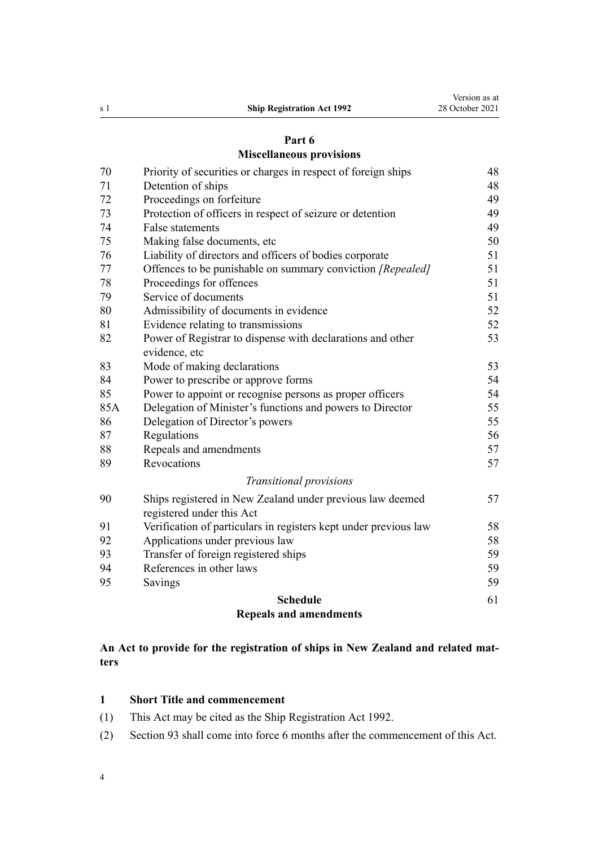### **[Miscellaneous provisions](#page-47-0)**

<span id="page-3-0"></span>

|          | <b>Schedule</b>                                                                        | 61       |
|----------|----------------------------------------------------------------------------------------|----------|
| 95       | Savings                                                                                | 59       |
| 94       | References in other laws                                                               | 59       |
| 93       | Transfer of foreign registered ships                                                   | 59       |
| 92       | Applications under previous law                                                        | 58       |
| 91       | Verification of particulars in registers kept under previous law                       | 58       |
| 90       | Ships registered in New Zealand under previous law deemed<br>registered under this Act | 57       |
|          | Transitional provisions                                                                |          |
|          |                                                                                        |          |
| 88<br>89 | Repeals and amendments<br>Revocations                                                  | 57<br>57 |
| 87       | Regulations                                                                            | 56       |
| 86       | Delegation of Director's powers                                                        | 55       |
| 85A      | Delegation of Minister's functions and powers to Director                              | 55       |
| 85       | Power to appoint or recognise persons as proper officers                               | 54       |
| 84       | Power to prescribe or approve forms                                                    | 54       |
| 83       | Mode of making declarations                                                            | 53       |
|          | evidence, etc                                                                          |          |
| 82       | Power of Registrar to dispense with declarations and other                             | 53       |
| 81       | Evidence relating to transmissions                                                     | 52       |
| 80       | Admissibility of documents in evidence                                                 | 52       |
| 79       | Service of documents                                                                   | 51       |
| 78       | Proceedings for offences                                                               | 51       |
| 77       | Offences to be punishable on summary conviction [Repealed]                             | 51       |
| 76       | Liability of directors and officers of bodies corporate                                | 51       |
| 75       | Making false documents, etc                                                            | 50       |
| 74       | <b>False statements</b>                                                                | 49       |
| 73       | Protection of officers in respect of seizure or detention                              | 49       |
| 72       | Proceedings on forfeiture                                                              | 49       |
| 71       | Detention of ships                                                                     | 48       |
| 70       | Priority of securities or charges in respect of foreign ships                          | 48       |

### **[Repeals and amendments](#page-60-0)**

### **An Act to provide for the registration of ships in New Zealand and related mat‐ ters**

### **Short Title and commencement**

- (1) This Act may be cited as the Ship Registration Act 1992.
- (2) [Section 93](#page-58-0) shall come into force 6 months after the commencement of this Act.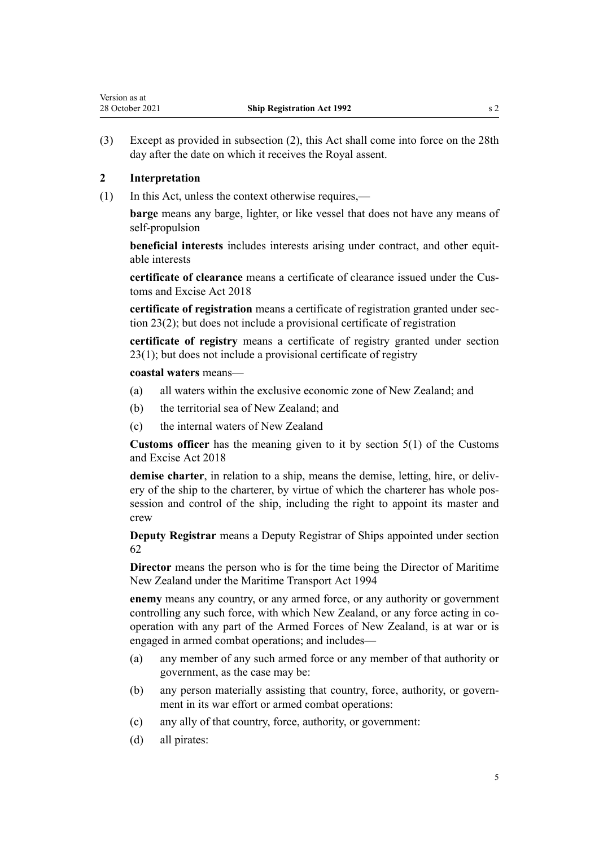<span id="page-4-0"></span>Version as at

(3) Except as provided in subsection (2), this Act shall come into force on the 28th day after the date on which it receives the Royal assent.

### **2 Interpretation**

(1) In this Act, unless the context otherwise requires,—

**barge** means any barge, lighter, or like vessel that does not have any means of self-propulsion

**beneficial interests** includes interests arising under contract, and other equitable interests

**certificate of clearance** means a certificate of clearance issued under the [Cus‐](http://legislation.govt.nz/pdflink.aspx?id=DLM7038920) [toms and Excise Act 2018](http://legislation.govt.nz/pdflink.aspx?id=DLM7038920)

**certificate of registration** means a certificate of registration granted under [sec‐](#page-25-0) [tion 23\(2\);](#page-25-0) but does not include a provisional certificate of registration

**certificate of registry** means a certificate of registry granted under [section](#page-25-0) [23\(1\)](#page-25-0); but does not include a provisional certificate of registry

### **coastal waters** means—

- (a) all waters within the exclusive economic zone of New Zealand; and
- (b) the territorial sea of New Zealand; and
- (c) the internal waters of New Zealand

**Customs officer** has the meaning given to it by [section 5\(1\)](http://legislation.govt.nz/pdflink.aspx?id=DLM7038971) of the Customs and Excise Act 2018

demise charter, in relation to a ship, means the demise, letting, hire, or delivery of the ship to the charterer, by virtue of which the charterer has whole possession and control of the ship, including the right to appoint its master and crew

**Deputy Registrar** means a Deputy Registrar of Ships appointed under [section](#page-43-0) [62](#page-43-0)

**Director** means the person who is for the time being the Director of Maritime New Zealand under the [Maritime Transport Act 1994](http://legislation.govt.nz/pdflink.aspx?id=DLM334659)

**enemy** means any country, or any armed force, or any authority or government controlling any such force, with which New Zealand, or any force acting in cooperation with any part of the Armed Forces of New Zealand, is at war or is engaged in armed combat operations; and includes—

- (a) any member of any such armed force or any member of that authority or government, as the case may be:
- (b) any person materially assisting that country, force, authority, or govern‐ ment in its war effort or armed combat operations:
- (c) any ally of that country, force, authority, or government:
- (d) all pirates: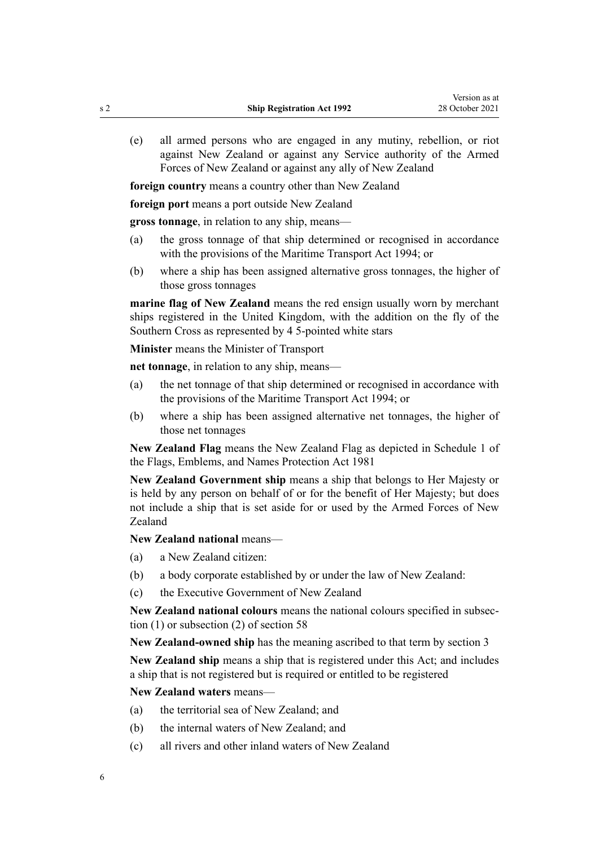(e) all armed persons who are engaged in any mutiny, rebellion, or riot against New Zealand or against any Service authority of the Armed Forces of New Zealand or against any ally of New Zealand

**foreign country** means a country other than New Zealand

**foreign port** means a port outside New Zealand

**gross tonnage**, in relation to any ship, means—

- (a) the gross tonnage of that ship determined or recognised in accordance with the provisions of the [Maritime Transport Act 1994;](http://legislation.govt.nz/pdflink.aspx?id=DLM334659) or
- (b) where a ship has been assigned alternative gross tonnages, the higher of those gross tonnages

**marine flag of New Zealand** means the red ensign usually worn by merchant ships registered in the United Kingdom, with the addition on the fly of the Southern Cross as represented by 4 5-pointed white stars

**Minister** means the Minister of Transport

**net tonnage**, in relation to any ship, means—

- (a) the net tonnage of that ship determined or recognised in accordance with the provisions of the [Maritime Transport Act 1994;](http://legislation.govt.nz/pdflink.aspx?id=DLM334659) or
- (b) where a ship has been assigned alternative net tonnages, the higher of those net tonnages

**New Zealand Flag** means the New Zealand Flag as depicted in [Schedule 1](http://legislation.govt.nz/pdflink.aspx?id=DLM52255) of the Flags, Emblems, and Names Protection Act 1981

**New Zealand Government ship** means a ship that belongs to Her Majesty or is held by any person on behalf of or for the benefit of Her Majesty; but does not include a ship that is set aside for or used by the Armed Forces of New Zealand

### **New Zealand national** means—

- (a) a New Zealand citizen:
- (b) a body corporate established by or under the law of New Zealand:
- (c) the Executive Government of New Zealand

**New Zealand national colours** means the national colours specified in subsec‐ tion (1) or subsection (2) of [section 58](#page-41-0)

**New Zealand-owned ship** has the meaning ascribed to that term by [section 3](#page-8-0)

**New Zealand ship** means a ship that is registered under this Act; and includes a ship that is not registered but is required or entitled to be registered

**New Zealand waters** means—

- (a) the territorial sea of New Zealand; and
- (b) the internal waters of New Zealand; and
- (c) all rivers and other inland waters of New Zealand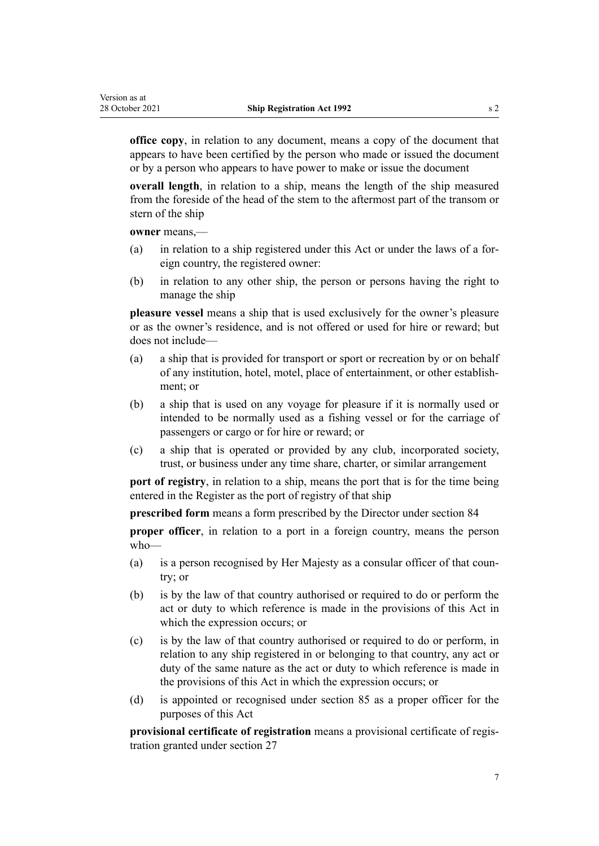**office copy**, in relation to any document, means a copy of the document that appears to have been certified by the person who made or issued the document or by a person who appears to have power to make or issue the document

**overall length**, in relation to a ship, means the length of the ship measured from the foreside of the head of the stem to the aftermost part of the transom or stern of the ship

**owner** means,—

- (a) in relation to a ship registered under this Act or under the laws of a for‐ eign country, the registered owner:
- (b) in relation to any other ship, the person or persons having the right to manage the ship

**pleasure vessel** means a ship that is used exclusively for the owner's pleasure or as the owner's residence, and is not offered or used for hire or reward; but does not include—

- (a) a ship that is provided for transport or sport or recreation by or on behalf of any institution, hotel, motel, place of entertainment, or other establish‐ ment; or
- (b) a ship that is used on any voyage for pleasure if it is normally used or intended to be normally used as a fishing vessel or for the carriage of passengers or cargo or for hire or reward; or
- (c) a ship that is operated or provided by any club, incorporated society, trust, or business under any time share, charter, or similar arrangement

**port of registry**, in relation to a ship, means the port that is for the time being entered in the Register as the port of registry of that ship

**prescribed form** means a form prescribed by the Director under [section 84](#page-53-0)

**proper officer**, in relation to a port in a foreign country, means the person who—

- (a) is a person recognised by Her Majesty as a consular officer of that country; or
- (b) is by the law of that country authorised or required to do or perform the act or duty to which reference is made in the provisions of this Act in which the expression occurs; or
- (c) is by the law of that country authorised or required to do or perform, in relation to any ship registered in or belonging to that country, any act or duty of the same nature as the act or duty to which reference is made in the provisions of this Act in which the expression occurs; or
- (d) is appointed or recognised under [section 85](#page-53-0) as a proper officer for the purposes of this Act

**provisional certificate of registration** means a provisional certificate of regis‐ tration granted under [section 27](#page-27-0)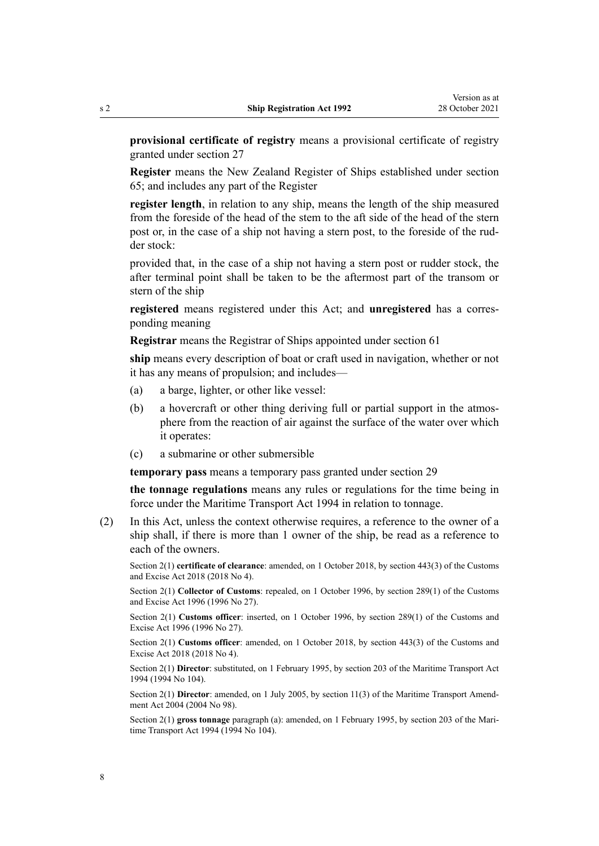**provisional certificate of registry** means a provisional certificate of registry granted under [section 27](#page-27-0)

**Register** means the New Zealand Register of Ships established under [section](#page-44-0) [65;](#page-44-0) and includes any part of the Register

**register length**, in relation to any ship, means the length of the ship measured from the foreside of the head of the stem to the aft side of the head of the stern post or, in the case of a ship not having a stern post, to the foreside of the rud‐ der stock:

provided that, in the case of a ship not having a stern post or rudder stock, the after terminal point shall be taken to be the aftermost part of the transom or stern of the ship

**registered** means registered under this Act; and **unregistered** has a corres‐ ponding meaning

**Registrar** means the Registrar of Ships appointed under [section 61](#page-43-0)

**ship** means every description of boat or craft used in navigation, whether or not it has any means of propulsion; and includes—

- (a) a barge, lighter, or other like vessel:
- (b) a hovercraft or other thing deriving full or partial support in the atmosphere from the reaction of air against the surface of the water over which it operates:
- (c) a submarine or other submersible

**temporary pass** means a temporary pass granted under [section 29](#page-28-0)

**the tonnage regulations** means any rules or regulations for the time being in force under the [Maritime Transport Act 1994](http://legislation.govt.nz/pdflink.aspx?id=DLM334659) in relation to tonnage.

(2) In this Act, unless the context otherwise requires, a reference to the owner of a ship shall, if there is more than 1 owner of the ship, be read as a reference to each of the owners.

Section 2(1) **certificate of clearance**: amended, on 1 October 2018, by [section 443\(3\)](http://legislation.govt.nz/pdflink.aspx?id=DLM7039957) of the Customs and Excise Act 2018 (2018 No 4).

Section 2(1) **Collector of Customs**: repealed, on 1 October 1996, by [section 289\(1\)](http://legislation.govt.nz/pdflink.aspx?id=DLM380185) of the Customs and Excise Act 1996 (1996 No 27).

Section 2(1) **Customs officer**: inserted, on 1 October 1996, by [section 289\(1\)](http://legislation.govt.nz/pdflink.aspx?id=DLM380185) of the Customs and Excise Act 1996 (1996 No 27).

Section 2(1) **Customs officer**: amended, on 1 October 2018, by [section 443\(3\)](http://legislation.govt.nz/pdflink.aspx?id=DLM7039957) of the Customs and Excise Act 2018 (2018 No 4).

Section 2(1) **Director**: substituted, on 1 February 1995, by [section 203](http://legislation.govt.nz/pdflink.aspx?id=DLM336920) of the Maritime Transport Act 1994 (1994 No 104).

Section 2(1) **Director**: amended, on 1 July 2005, by [section 11\(3\)](http://legislation.govt.nz/pdflink.aspx?id=DLM322600) of the Maritime Transport Amendment Act 2004 (2004 No 98).

Section 2(1) gross tonnage paragraph (a): amended, on 1 February 1995, by [section 203](http://legislation.govt.nz/pdflink.aspx?id=DLM336920) of the Maritime Transport Act 1994 (1994 No 104).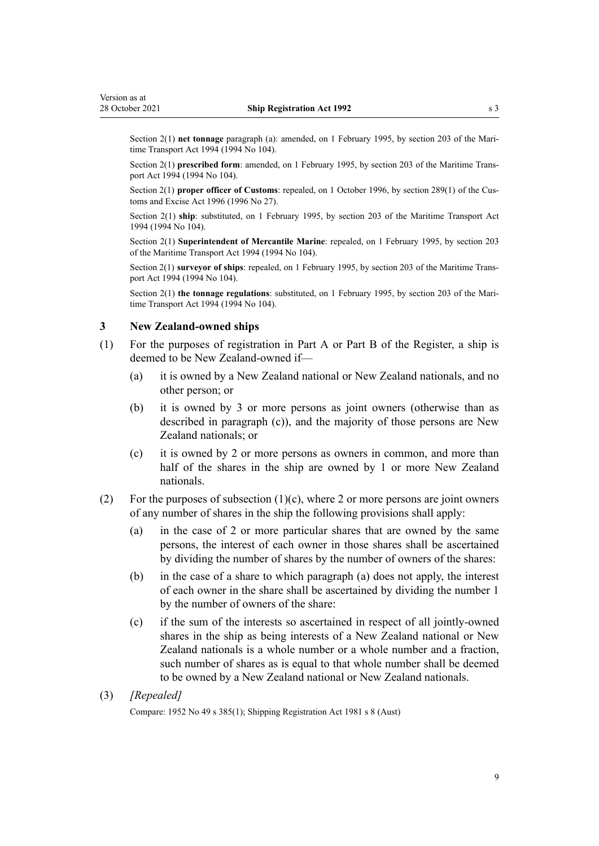<span id="page-8-0"></span>Section 2(1) **net tonnage** paragraph (a): amended, on 1 February 1995, by [section 203](http://legislation.govt.nz/pdflink.aspx?id=DLM336920) of the Maritime Transport Act 1994 (1994 No 104).

Section 2(1) **prescribed form**: amended, on 1 February 1995, by [section 203](http://legislation.govt.nz/pdflink.aspx?id=DLM336920) of the Maritime Transport Act 1994 (1994 No 104).

Section 2(1) **proper officer of Customs**: repealed, on 1 October 1996, by [section 289\(1\)](http://legislation.govt.nz/pdflink.aspx?id=DLM380185) of the Customs and Excise Act 1996 (1996 No 27).

Section 2(1) **ship**: substituted, on 1 February 1995, by [section 203](http://legislation.govt.nz/pdflink.aspx?id=DLM336920) of the Maritime Transport Act 1994 (1994 No 104).

Section 2(1) **Superintendent of Mercantile Marine**: repealed, on 1 February 1995, by [section 203](http://legislation.govt.nz/pdflink.aspx?id=DLM336920) of the Maritime Transport Act 1994 (1994 No 104).

Section 2(1) **surveyor of ships**: repealed, on 1 February 1995, by [section 203](http://legislation.govt.nz/pdflink.aspx?id=DLM336920) of the Maritime Transport Act 1994 (1994 No 104).

Section 2(1) **the tonnage regulations**: substituted, on 1 February 1995, by [section 203](http://legislation.govt.nz/pdflink.aspx?id=DLM336920) of the Maritime Transport Act 1994 (1994 No 104).

### **3 New Zealand-owned ships**

- (1) For the purposes of registration in Part A or Part B of the Register, a ship is deemed to be New Zealand-owned if—
	- (a) it is owned by a New Zealand national or New Zealand nationals, and no other person; or
	- (b) it is owned by 3 or more persons as joint owners (otherwise than as described in paragraph (c)), and the majority of those persons are New Zealand nationals; or
	- (c) it is owned by 2 or more persons as owners in common, and more than half of the shares in the ship are owned by 1 or more New Zealand nationals.
- (2) For the purposes of subsection  $(1)(c)$ , where 2 or more persons are joint owners of any number of shares in the ship the following provisions shall apply:
	- (a) in the case of 2 or more particular shares that are owned by the same persons, the interest of each owner in those shares shall be ascertained by dividing the number of shares by the number of owners of the shares:
	- (b) in the case of a share to which paragraph (a) does not apply, the interest of each owner in the share shall be ascertained by dividing the number 1 by the number of owners of the share:
	- (c) if the sum of the interests so ascertained in respect of all jointly-owned shares in the ship as being interests of a New Zealand national or New Zealand nationals is a whole number or a whole number and a fraction, such number of shares as is equal to that whole number shall be deemed to be owned by a New Zealand national or New Zealand nationals.
- (3) *[Repealed]*

Compare: 1952 No 49 s 385(1); Shipping Registration Act 1981 s 8 (Aust)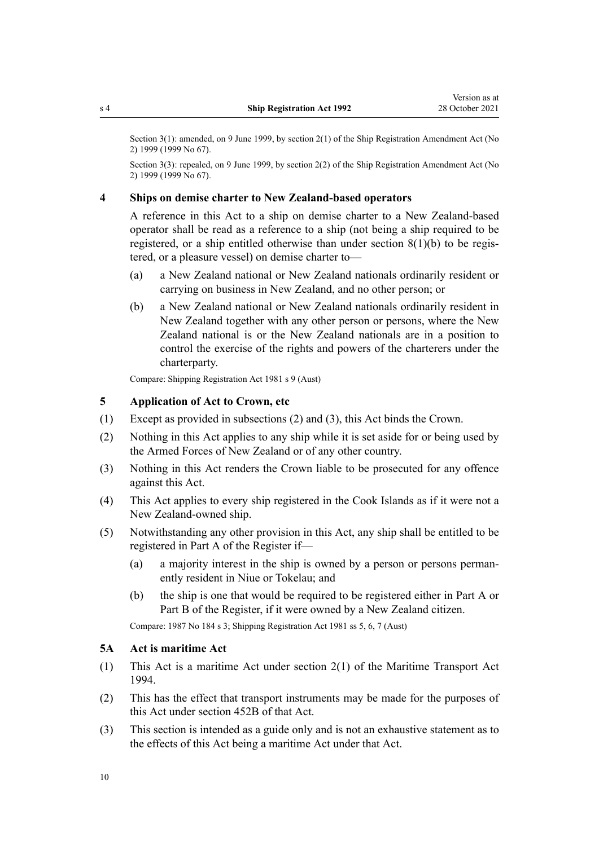Section 3(1): amended, on 9 June 1999, by [section 2\(1\)](http://legislation.govt.nz/pdflink.aspx?id=DLM30532) of the Ship Registration Amendment Act (No 2) 1999 (1999 No 67).

Section 3(3): repealed, on 9 June 1999, by [section 2\(2\)](http://legislation.govt.nz/pdflink.aspx?id=DLM30532) of the Ship Registration Amendment Act (No 2) 1999 (1999 No 67).

### **4 Ships on demise charter to New Zealand-based operators**

A reference in this Act to a ship on demise charter to a New Zealand-based operator shall be read as a reference to a ship (not being a ship required to be registered, or a ship entitled otherwise than under section  $8(1)(b)$  to be registered, or a pleasure vessel) on demise charter to—

- (a) a New Zealand national or New Zealand nationals ordinarily resident or carrying on business in New Zealand, and no other person; or
- (b) a New Zealand national or New Zealand nationals ordinarily resident in New Zealand together with any other person or persons, where the New Zealand national is or the New Zealand nationals are in a position to control the exercise of the rights and powers of the charterers under the charterparty.

Compare: Shipping Registration Act 1981 s 9 (Aust)

### **5 Application of Act to Crown, etc**

- (1) Except as provided in subsections (2) and (3), this Act binds the Crown.
- (2) Nothing in this Act applies to any ship while it is set aside for or being used by the Armed Forces of New Zealand or of any other country.
- (3) Nothing in this Act renders the Crown liable to be prosecuted for any offence against this Act.
- (4) This Act applies to every ship registered in the Cook Islands as if it were not a New Zealand-owned ship.
- (5) Notwithstanding any other provision in this Act, any ship shall be entitled to be registered in Part A of the Register if—
	- (a) a majority interest in the ship is owned by a person or persons perman‐ ently resident in Niue or Tokelau; and
	- (b) the ship is one that would be required to be registered either in Part A or Part B of the Register, if it were owned by a New Zealand citizen.

Compare: 1987 No 184 s 3; Shipping Registration Act 1981 ss 5, 6, 7 (Aust)

### **5A Act is maritime Act**

- (1) This Act is a maritime Act under [section 2\(1\)](http://legislation.govt.nz/pdflink.aspx?id=DLM334667) of the Maritime Transport Act 1994.
- (2) This has the effect that transport instruments may be made for the purposes of this Act under [section 452B](http://legislation.govt.nz/pdflink.aspx?id=LMS482571) of that Act.
- (3) This section is intended as a guide only and is not an exhaustive statement as to the effects of this Act being a maritime Act under that Act.

<span id="page-9-0"></span>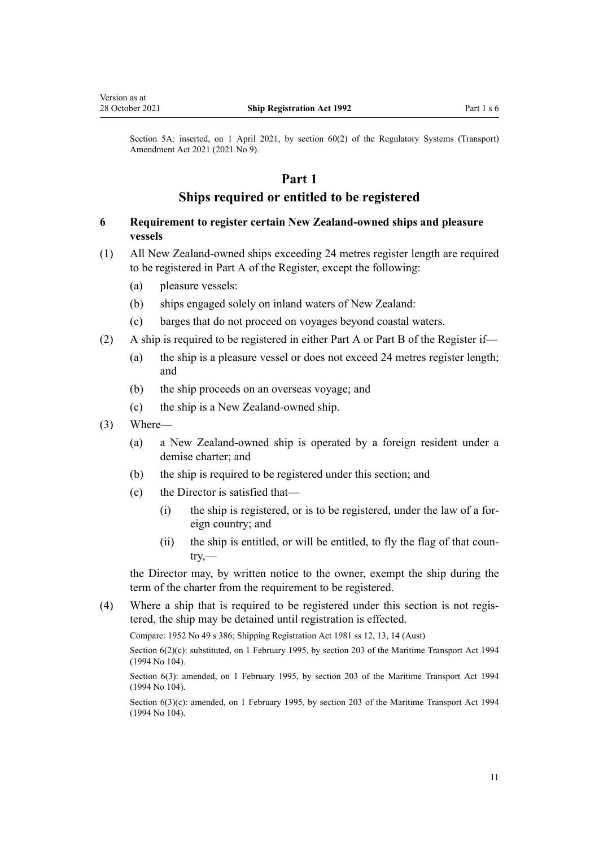<span id="page-10-0"></span>Section 5A: inserted, on 1 April 2021, by [section 60\(2\)](http://legislation.govt.nz/pdflink.aspx?id=LMS290407) of the Regulatory Systems (Transport) Amendment Act 2021 (2021 No 9).

### **Part 1**

### **Ships required or entitled to be registered**

### **6 Requirement to register certain New Zealand-owned ships and pleasure vessels**

- (1) All New Zealand-owned ships exceeding 24 metres register length are required to be registered in Part A of the Register, except the following:
	- (a) pleasure vessels:
	- (b) ships engaged solely on inland waters of New Zealand:
	- (c) barges that do not proceed on voyages beyond coastal waters.
- (2) A ship is required to be registered in either Part A or Part B of the Register if—
	- (a) the ship is a pleasure vessel or does not exceed 24 metres register length; and
	- (b) the ship proceeds on an overseas voyage; and
	- (c) the ship is a New Zealand-owned ship.
- (3) Where—
	- (a) a New Zealand-owned ship is operated by a foreign resident under a demise charter; and
	- (b) the ship is required to be registered under this section; and
	- (c) the Director is satisfied that—
		- $(i)$  the ship is registered, or is to be registered, under the law of a foreign country; and
		- (ii) the ship is entitled, or will be entitled, to fly the flag of that country,—

the Director may, by written notice to the owner, exempt the ship during the term of the charter from the requirement to be registered.

(4) Where a ship that is required to be registered under this section is not regis‐ tered, the ship may be detained until registration is effected.

Compare: 1952 No 49 s 386; Shipping Registration Act 1981 ss 12, 13, 14 (Aust)

Section 6(2)(c): substituted, on 1 February 1995, by [section 203](http://legislation.govt.nz/pdflink.aspx?id=DLM336920) of the Maritime Transport Act 1994 (1994 No 104).

Section 6(3): amended, on 1 February 1995, by [section 203](http://legislation.govt.nz/pdflink.aspx?id=DLM336920) of the Maritime Transport Act 1994 (1994 No 104).

Section 6(3)(c): amended, on 1 February 1995, by [section 203](http://legislation.govt.nz/pdflink.aspx?id=DLM336920) of the Maritime Transport Act 1994 (1994 No 104).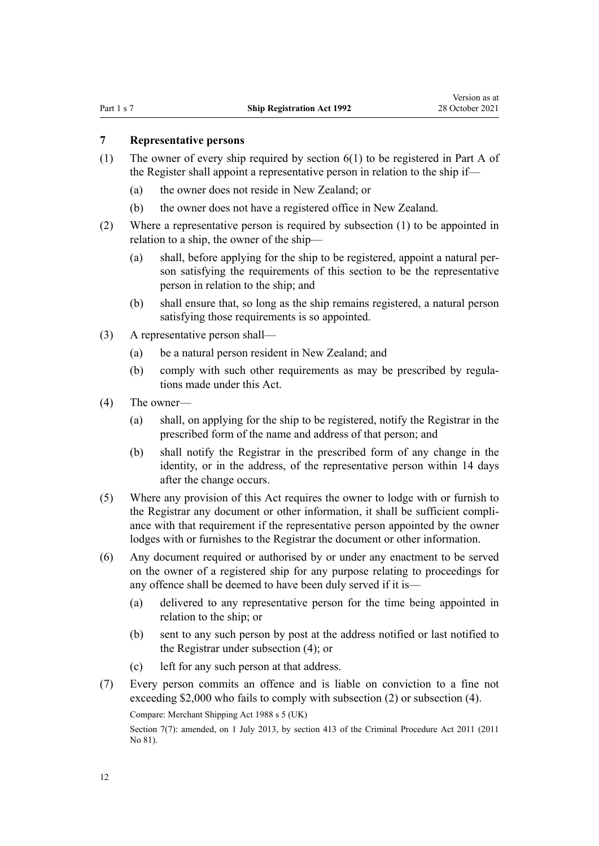### <span id="page-11-0"></span>**7 Representative persons**

- (1) The owner of every ship required by [section 6\(1\)](#page-10-0) to be registered in Part A of the Register shall appoint a representative person in relation to the ship if—
	- (a) the owner does not reside in New Zealand; or
	- (b) the owner does not have a registered office in New Zealand.
- (2) Where a representative person is required by subsection (1) to be appointed in relation to a ship, the owner of the ship—
	- (a) shall, before applying for the ship to be registered, appoint a natural per‐ son satisfying the requirements of this section to be the representative person in relation to the ship; and
	- (b) shall ensure that, so long as the ship remains registered, a natural person satisfying those requirements is so appointed.
- (3) A representative person shall—
	- (a) be a natural person resident in New Zealand; and
	- (b) comply with such other requirements as may be prescribed by regulations made under this Act.
- (4) The owner—
	- (a) shall, on applying for the ship to be registered, notify the Registrar in the prescribed form of the name and address of that person; and
	- (b) shall notify the Registrar in the prescribed form of any change in the identity, or in the address, of the representative person within 14 days after the change occurs.
- (5) Where any provision of this Act requires the owner to lodge with or furnish to the Registrar any document or other information, it shall be sufficient compli‐ ance with that requirement if the representative person appointed by the owner lodges with or furnishes to the Registrar the document or other information.
- (6) Any document required or authorised by or under any enactment to be served on the owner of a registered ship for any purpose relating to proceedings for any offence shall be deemed to have been duly served if it is—
	- (a) delivered to any representative person for the time being appointed in relation to the ship; or
	- (b) sent to any such person by post at the address notified or last notified to the Registrar under subsection (4); or
	- (c) left for any such person at that address.
- (7) Every person commits an offence and is liable on conviction to a fine not exceeding \$2,000 who fails to comply with subsection (2) or subsection (4). Compare: Merchant Shipping Act 1988 s 5 (UK)

Section 7(7): amended, on 1 July 2013, by [section 413](http://legislation.govt.nz/pdflink.aspx?id=DLM3360714) of the Criminal Procedure Act 2011 (2011) No 81).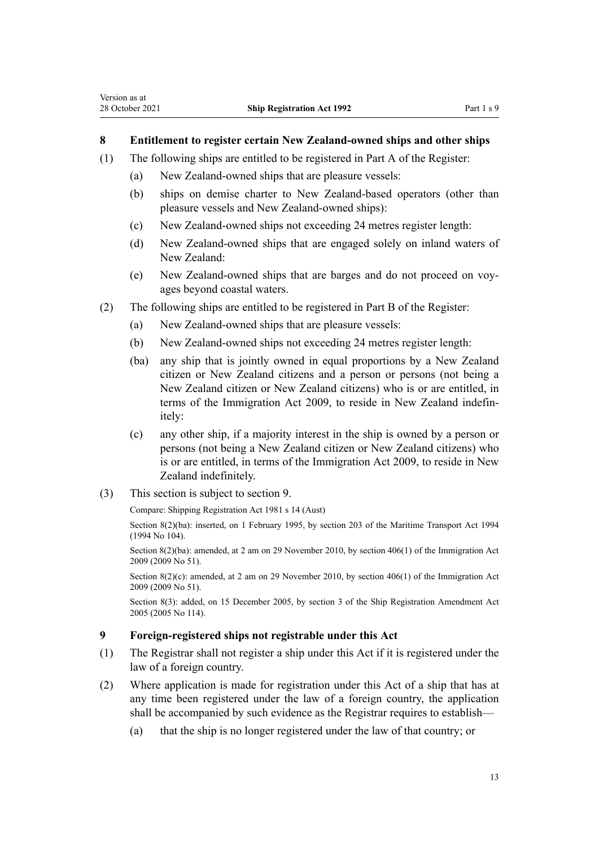### <span id="page-12-0"></span>**8 Entitlement to register certain New Zealand-owned ships and other ships**

- (1) The following ships are entitled to be registered in Part A of the Register:
	- (a) New Zealand-owned ships that are pleasure vessels:
	- (b) ships on demise charter to New Zealand-based operators (other than pleasure vessels and New Zealand-owned ships):
	- (c) New Zealand-owned ships not exceeding 24 metres register length:
	- (d) New Zealand-owned ships that are engaged solely on inland waters of New Zealand:
	- (e) New Zealand-owned ships that are barges and do not proceed on voy‐ ages beyond coastal waters.
- (2) The following ships are entitled to be registered in Part B of the Register:
	- (a) New Zealand-owned ships that are pleasure vessels:
	- (b) New Zealand-owned ships not exceeding 24 metres register length:
	- (ba) any ship that is jointly owned in equal proportions by a New Zealand citizen or New Zealand citizens and a person or persons (not being a New Zealand citizen or New Zealand citizens) who is or are entitled, in terms of the [Immigration Act 2009,](http://legislation.govt.nz/pdflink.aspx?id=DLM1440300) to reside in New Zealand indefin‐ itely:
	- (c) any other ship, if a majority interest in the ship is owned by a person or persons (not being a New Zealand citizen or New Zealand citizens) who is or are entitled, in terms of the [Immigration Act 2009,](http://legislation.govt.nz/pdflink.aspx?id=DLM1440300) to reside in New Zealand indefinitely.
- (3) This section is subject to section 9.

Compare: Shipping Registration Act 1981 s 14 (Aust)

Section 8(2)(ba): inserted, on 1 February 1995, by [section 203](http://legislation.govt.nz/pdflink.aspx?id=DLM336920) of the Maritime Transport Act 1994 (1994 No 104).

Section 8(2)(ba): amended, at 2 am on 29 November 2010, by [section 406\(1\)](http://legislation.govt.nz/pdflink.aspx?id=DLM1441347) of the Immigration Act 2009 (2009 No 51).

Section 8(2)(c): amended, at 2 am on 29 November 2010, by [section 406\(1\)](http://legislation.govt.nz/pdflink.aspx?id=DLM1441347) of the Immigration Act 2009 (2009 No 51).

Section 8(3): added, on 15 December 2005, by [section 3](http://legislation.govt.nz/pdflink.aspx?id=DLM362612) of the Ship Registration Amendment Act 2005 (2005 No 114).

### **9 Foreign-registered ships not registrable under this Act**

- (1) The Registrar shall not register a ship under this Act if it is registered under the law of a foreign country.
- (2) Where application is made for registration under this Act of a ship that has at any time been registered under the law of a foreign country, the application shall be accompanied by such evidence as the Registrar requires to establish—
	- (a) that the ship is no longer registered under the law of that country; or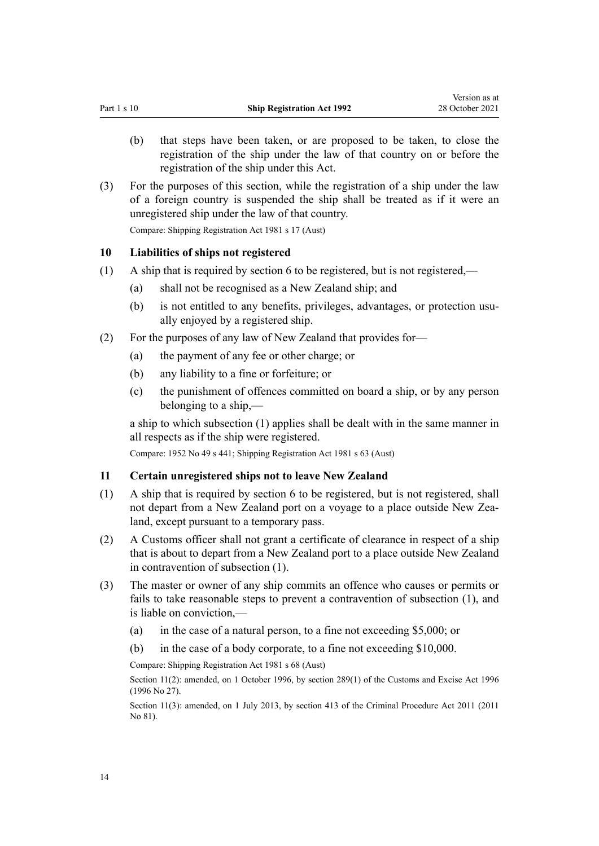- <span id="page-13-0"></span>(b) that steps have been taken, or are proposed to be taken, to close the registration of the ship under the law of that country on or before the registration of the ship under this Act.
- (3) For the purposes of this section, while the registration of a ship under the law of a foreign country is suspended the ship shall be treated as if it were an unregistered ship under the law of that country. Compare: Shipping Registration Act 1981 s 17 (Aust)

### **10 Liabilities of ships not registered**

- (1) A ship that is required by [section 6](#page-10-0) to be registered, but is not registered,—
	- (a) shall not be recognised as a New Zealand ship; and
	- (b) is not entitled to any benefits, privileges, advantages, or protection usually enjoyed by a registered ship.
- (2) For the purposes of any law of New Zealand that provides for—
	- (a) the payment of any fee or other charge; or
	- (b) any liability to a fine or forfeiture; or
	- (c) the punishment of offences committed on board a ship, or by any person belonging to a ship,—

a ship to which subsection (1) applies shall be dealt with in the same manner in all respects as if the ship were registered.

Compare: 1952 No 49 s 441; Shipping Registration Act 1981 s 63 (Aust)

#### **11 Certain unregistered ships not to leave New Zealand**

- (1) A ship that is required by [section 6](#page-10-0) to be registered, but is not registered, shall not depart from a New Zealand port on a voyage to a place outside New Zea‐ land, except pursuant to a temporary pass.
- (2) A Customs officer shall not grant a certificate of clearance in respect of a ship that is about to depart from a New Zealand port to a place outside New Zealand in contravention of subsection (1).
- (3) The master or owner of any ship commits an offence who causes or permits or fails to take reasonable steps to prevent a contravention of subsection (1), and is liable on conviction,—
	- (a) in the case of a natural person, to a fine not exceeding \$5,000; or
	- (b) in the case of a body corporate, to a fine not exceeding \$10,000.

Compare: Shipping Registration Act 1981 s 68 (Aust)

Section 11(2): amended, on 1 October 1996, by [section 289\(1\)](http://legislation.govt.nz/pdflink.aspx?id=DLM380185) of the Customs and Excise Act 1996 (1996 No 27).

Section 11(3): amended, on 1 July 2013, by [section 413](http://legislation.govt.nz/pdflink.aspx?id=DLM3360714) of the Criminal Procedure Act 2011 (2011 No 81).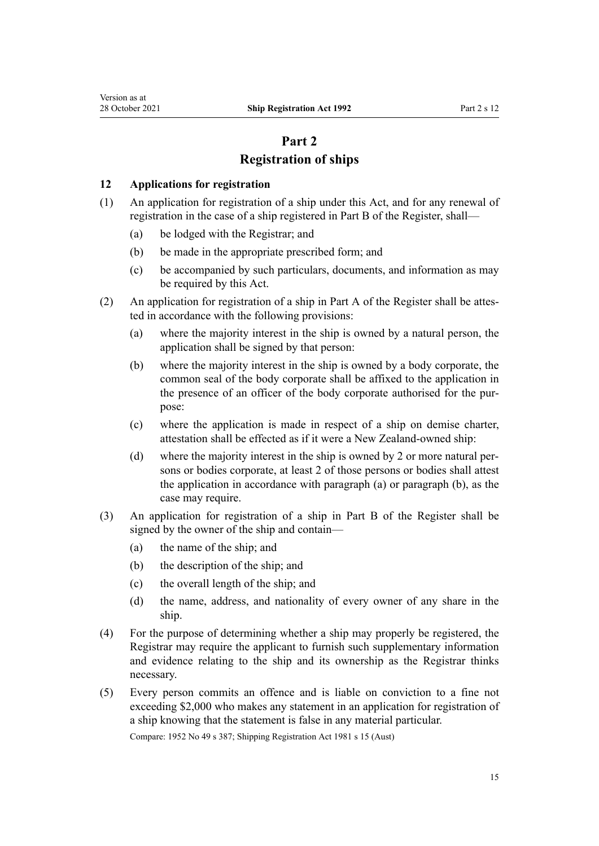# **Part 2 Registration of ships**

### <span id="page-14-0"></span>**12 Applications for registration**

- (1) An application for registration of a ship under this Act, and for any renewal of registration in the case of a ship registered in Part B of the Register, shall—
	- (a) be lodged with the Registrar; and
	- (b) be made in the appropriate prescribed form; and
	- (c) be accompanied by such particulars, documents, and information as may be required by this Act.
- (2) An application for registration of a ship in Part A of the Register shall be attes‐ ted in accordance with the following provisions:
	- (a) where the majority interest in the ship is owned by a natural person, the application shall be signed by that person:
	- (b) where the majority interest in the ship is owned by a body corporate, the common seal of the body corporate shall be affixed to the application in the presence of an officer of the body corporate authorised for the purpose:
	- (c) where the application is made in respect of a ship on demise charter, attestation shall be effected as if it were a New Zealand-owned ship:
	- (d) where the majority interest in the ship is owned by 2 or more natural persons or bodies corporate, at least 2 of those persons or bodies shall attest the application in accordance with paragraph (a) or paragraph (b), as the case may require.
- (3) An application for registration of a ship in Part B of the Register shall be signed by the owner of the ship and contain—
	- (a) the name of the ship; and
	- (b) the description of the ship; and
	- (c) the overall length of the ship; and
	- (d) the name, address, and nationality of every owner of any share in the ship.
- (4) For the purpose of determining whether a ship may properly be registered, the Registrar may require the applicant to furnish such supplementary information and evidence relating to the ship and its ownership as the Registrar thinks necessary.
- (5) Every person commits an offence and is liable on conviction to a fine not exceeding \$2,000 who makes any statement in an application for registration of a ship knowing that the statement is false in any material particular.

Compare: 1952 No 49 s 387; Shipping Registration Act 1981 s 15 (Aust)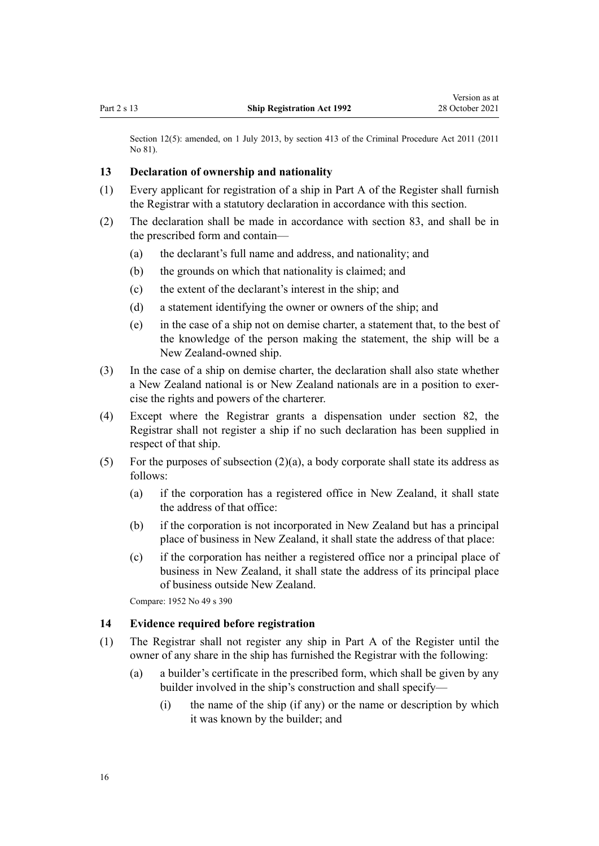<span id="page-15-0"></span>Section 12(5): amended, on 1 July 2013, by [section 413](http://legislation.govt.nz/pdflink.aspx?id=DLM3360714) of the Criminal Procedure Act 2011 (2011) No 81).

### **13 Declaration of ownership and nationality**

- (1) Every applicant for registration of a ship in Part A of the Register shall furnish the Registrar with a statutory declaration in accordance with this section.
- (2) The declaration shall be made in accordance with [section 83](#page-52-0), and shall be in the prescribed form and contain—
	- (a) the declarant's full name and address, and nationality; and
	- (b) the grounds on which that nationality is claimed; and
	- (c) the extent of the declarant's interest in the ship; and
	- (d) a statement identifying the owner or owners of the ship; and
	- (e) in the case of a ship not on demise charter, a statement that, to the best of the knowledge of the person making the statement, the ship will be a New Zealand-owned ship.
- (3) In the case of a ship on demise charter, the declaration shall also state whether a New Zealand national is or New Zealand nationals are in a position to exer‐ cise the rights and powers of the charterer.
- (4) Except where the Registrar grants a dispensation under [section 82,](#page-52-0) the Registrar shall not register a ship if no such declaration has been supplied in respect of that ship.
- (5) For the purposes of subsection (2)(a), a body corporate shall state its address as follows:
	- (a) if the corporation has a registered office in New Zealand, it shall state the address of that office:
	- (b) if the corporation is not incorporated in New Zealand but has a principal place of business in New Zealand, it shall state the address of that place:
	- (c) if the corporation has neither a registered office nor a principal place of business in New Zealand, it shall state the address of its principal place of business outside New Zealand.

Compare: 1952 No 49 s 390

### **14 Evidence required before registration**

- (1) The Registrar shall not register any ship in Part A of the Register until the owner of any share in the ship has furnished the Registrar with the following:
	- (a) a builder's certificate in the prescribed form, which shall be given by any builder involved in the ship's construction and shall specify—
		- (i) the name of the ship (if any) or the name or description by which it was known by the builder; and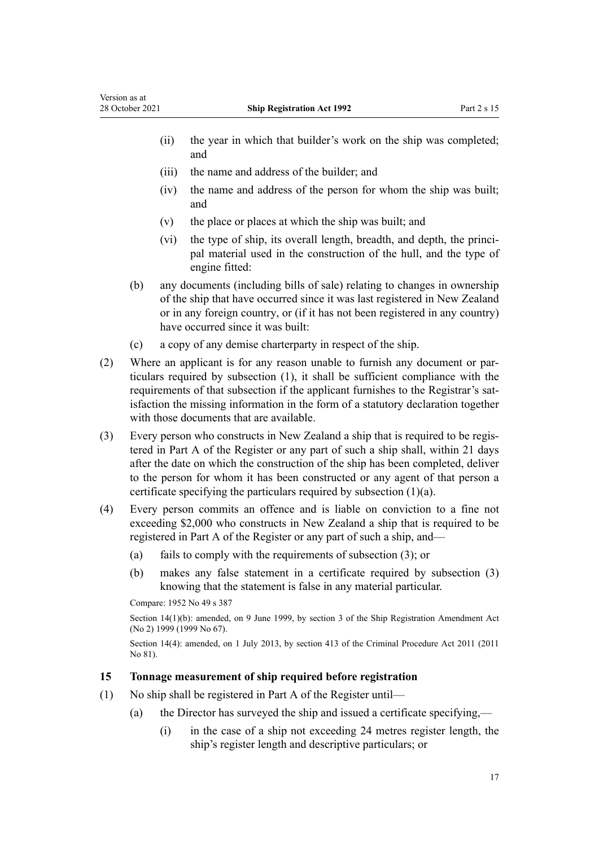- <span id="page-16-0"></span>(ii) the year in which that builder's work on the ship was completed; and
- (iii) the name and address of the builder; and
- (iv) the name and address of the person for whom the ship was built; and
- (v) the place or places at which the ship was built; and
- (vi) the type of ship, its overall length, breadth, and depth, the principal material used in the construction of the hull, and the type of engine fitted:
- (b) any documents (including bills of sale) relating to changes in ownership of the ship that have occurred since it was last registered in New Zealand or in any foreign country, or (if it has not been registered in any country) have occurred since it was built:
- (c) a copy of any demise charterparty in respect of the ship.
- (2) Where an applicant is for any reason unable to furnish any document or par‐ ticulars required by subsection (1), it shall be sufficient compliance with the requirements of that subsection if the applicant furnishes to the Registrar's satisfaction the missing information in the form of a statutory declaration together with those documents that are available.
- (3) Every person who constructs in New Zealand a ship that is required to be regis‐ tered in Part A of the Register or any part of such a ship shall, within 21 days after the date on which the construction of the ship has been completed, deliver to the person for whom it has been constructed or any agent of that person a certificate specifying the particulars required by subsection (1)(a).
- (4) Every person commits an offence and is liable on conviction to a fine not exceeding \$2,000 who constructs in New Zealand a ship that is required to be registered in Part A of the Register or any part of such a ship, and—
	- (a) fails to comply with the requirements of subsection (3); or
	- (b) makes any false statement in a certificate required by subsection (3) knowing that the statement is false in any material particular.

Compare: 1952 No 49 s 387

Section 14(1)(b): amended, on 9 June 1999, by [section 3](http://legislation.govt.nz/pdflink.aspx?id=DLM30533) of the Ship Registration Amendment Act (No 2) 1999 (1999 No 67).

Section 14(4): amended, on 1 July 2013, by [section 413](http://legislation.govt.nz/pdflink.aspx?id=DLM3360714) of the Criminal Procedure Act 2011 (2011 No 81).

### **15 Tonnage measurement of ship required before registration**

- (1) No ship shall be registered in Part A of the Register until—
	- (a) the Director has surveyed the ship and issued a certificate specifying,—
		- (i) in the case of a ship not exceeding 24 metres register length, the ship's register length and descriptive particulars; or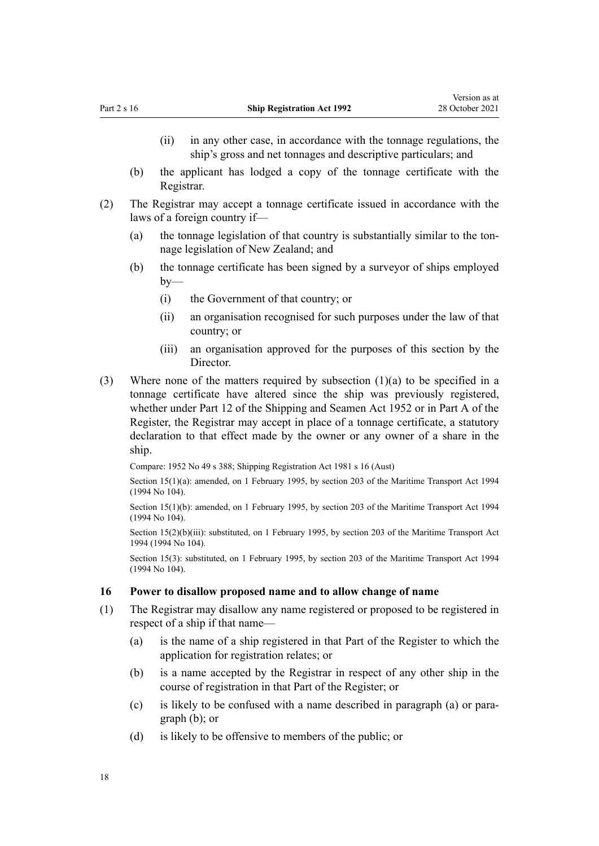- <span id="page-17-0"></span>(ii) in any other case, in accordance with the tonnage regulations, the ship's gross and net tonnages and descriptive particulars; and
- (b) the applicant has lodged a copy of the tonnage certificate with the Registrar.
- (2) The Registrar may accept a tonnage certificate issued in accordance with the laws of a foreign country if—
	- (a) the tonnage legislation of that country is substantially similar to the tonnage legislation of New Zealand; and
	- (b) the tonnage certificate has been signed by a surveyor of ships employed by—
		- (i) the Government of that country; or
		- (ii) an organisation recognised for such purposes under the law of that country; or
		- (iii) an organisation approved for the purposes of this section by the **Director**
- (3) Where none of the matters required by subsection (1)(a) to be specified in a tonnage certificate have altered since the ship was previously registered, whether under Part 12 of the Shipping and Seamen Act 1952 or in Part A of the Register, the Registrar may accept in place of a tonnage certificate, a statutory declaration to that effect made by the owner or any owner of a share in the ship.

Compare: 1952 No 49 s 388; Shipping Registration Act 1981 s 16 (Aust)

Section 15(1)(a): amended, on 1 February 1995, by [section 203](http://legislation.govt.nz/pdflink.aspx?id=DLM336920) of the Maritime Transport Act 1994 (1994 No 104).

Section 15(1)(b): amended, on 1 February 1995, by [section 203](http://legislation.govt.nz/pdflink.aspx?id=DLM336920) of the Maritime Transport Act 1994 (1994 No 104).

Section 15(2)(b)(iii): substituted, on 1 February 1995, by [section 203](http://legislation.govt.nz/pdflink.aspx?id=DLM336920) of the Maritime Transport Act 1994 (1994 No 104).

Section 15(3): substituted, on 1 February 1995, by [section 203](http://legislation.govt.nz/pdflink.aspx?id=DLM336920) of the Maritime Transport Act 1994 (1994 No 104).

### **16 Power to disallow proposed name and to allow change of name**

- (1) The Registrar may disallow any name registered or proposed to be registered in respect of a ship if that name—
	- (a) is the name of a ship registered in that Part of the Register to which the application for registration relates; or
	- (b) is a name accepted by the Registrar in respect of any other ship in the course of registration in that Part of the Register; or
	- (c) is likely to be confused with a name described in paragraph (a) or para‐ graph (b); or
	- (d) is likely to be offensive to members of the public; or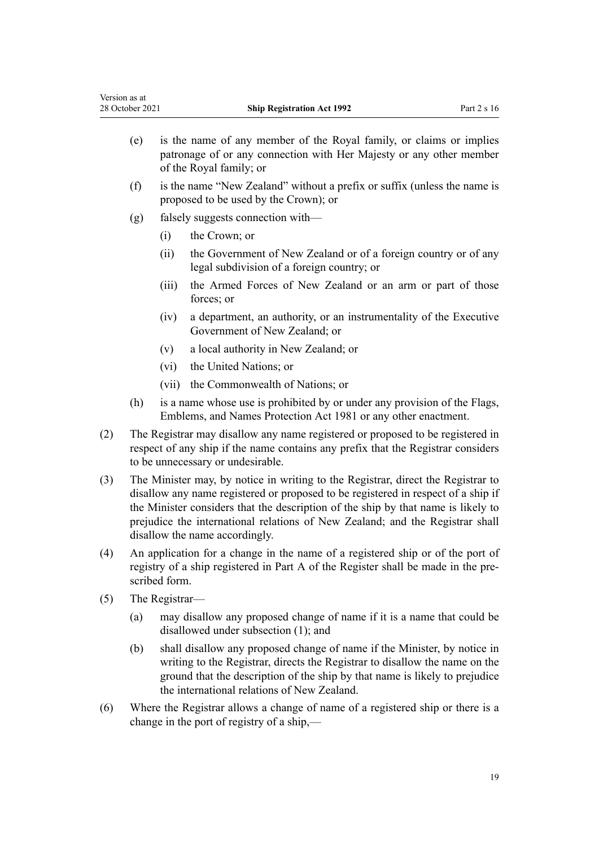| version as at<br>28 October 2021 |       | <b>Ship Registration Act 1992</b>                                                                                                                                     | Part 2 s 16 |
|----------------------------------|-------|-----------------------------------------------------------------------------------------------------------------------------------------------------------------------|-------------|
| (e)                              |       | is the name of any member of the Royal family, or claims or implies<br>patronage of or any connection with Her Majesty or any other member<br>of the Royal family; or |             |
| (f)                              |       | is the name "New Zealand" without a prefix or suffix (unless the name is<br>proposed to be used by the Crown); or                                                     |             |
| (g)                              |       | falsely suggests connection with—                                                                                                                                     |             |
|                                  | (i)   | the Crown; or                                                                                                                                                         |             |
|                                  | (ii)  | the Government of New Zealand or of a foreign country or of any<br>legal subdivision of a foreign country; or                                                         |             |
|                                  | (111) | the Armed Forces of New Zealand or an arm or part of those<br>forces; or                                                                                              |             |
|                                  | (iv)  | a department, an authority, or an instrumentality of the Executive<br>Government of New Zealand; or                                                                   |             |
|                                  |       | .                                                                                                                                                                     |             |

- (v) a local authority in New Zealand; or
- (vi) the United Nations; or
- (vii) the Commonwealth of Nations; or
- (h) is a name whose use is prohibited by or under any provision of the [Flags,](http://legislation.govt.nz/pdflink.aspx?id=DLM51357) [Emblems, and Names Protection Act 1981](http://legislation.govt.nz/pdflink.aspx?id=DLM51357) or any other enactment.
- (2) The Registrar may disallow any name registered or proposed to be registered in respect of any ship if the name contains any prefix that the Registrar considers to be unnecessary or undesirable.
- (3) The Minister may, by notice in writing to the Registrar, direct the Registrar to disallow any name registered or proposed to be registered in respect of a ship if the Minister considers that the description of the ship by that name is likely to prejudice the international relations of New Zealand; and the Registrar shall disallow the name accordingly.
- (4) An application for a change in the name of a registered ship or of the port of registry of a ship registered in Part A of the Register shall be made in the prescribed form.
- (5) The Registrar—

 $\mathbf{v}$  as a at at  $\mathbf{v}$ 

- (a) may disallow any proposed change of name if it is a name that could be disallowed under subsection (1); and
- (b) shall disallow any proposed change of name if the Minister, by notice in writing to the Registrar, directs the Registrar to disallow the name on the ground that the description of the ship by that name is likely to prejudice the international relations of New Zealand.
- (6) Where the Registrar allows a change of name of a registered ship or there is a change in the port of registry of a ship,—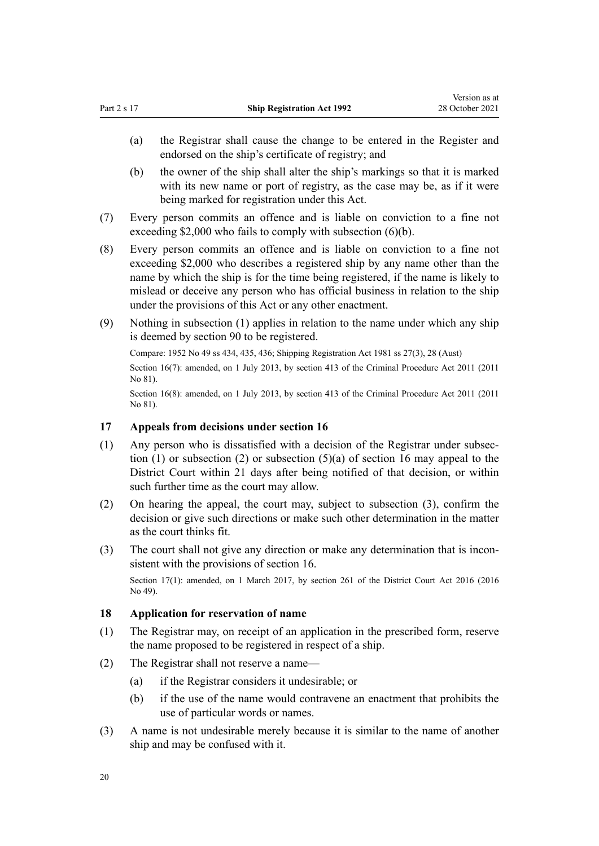- <span id="page-19-0"></span>(a) the Registrar shall cause the change to be entered in the Register and endorsed on the ship's certificate of registry; and
- (b) the owner of the ship shall alter the ship's markings so that it is marked with its new name or port of registry, as the case may be, as if it were being marked for registration under this Act.
- (7) Every person commits an offence and is liable on conviction to a fine not exceeding \$2,000 who fails to comply with subsection (6)(b).
- (8) Every person commits an offence and is liable on conviction to a fine not exceeding \$2,000 who describes a registered ship by any name other than the name by which the ship is for the time being registered, if the name is likely to mislead or deceive any person who has official business in relation to the ship under the provisions of this Act or any other enactment.
- (9) Nothing in subsection (1) applies in relation to the name under which any ship is deemed by [section 90](#page-56-0) to be registered.

Compare: 1952 No 49 ss 434, 435, 436; Shipping Registration Act 1981 ss 27(3), 28 (Aust) Section 16(7): amended, on 1 July 2013, by [section 413](http://legislation.govt.nz/pdflink.aspx?id=DLM3360714) of the Criminal Procedure Act 2011 (2011 No 81).

Section 16(8): amended, on 1 July 2013, by [section 413](http://legislation.govt.nz/pdflink.aspx?id=DLM3360714) of the Criminal Procedure Act 2011 (2011 No 81).

### **17 Appeals from decisions under section 16**

- (1) Any person who is dissatisfied with a decision of the Registrar under subsec‐ tion (1) or subsection (2) or subsection (5)(a) of [section 16](#page-17-0) may appeal to the District Court within 21 days after being notified of that decision, or within such further time as the court may allow.
- (2) On hearing the appeal, the court may, subject to subsection (3), confirm the decision or give such directions or make such other determination in the matter as the court thinks fit.
- (3) The court shall not give any direction or make any determination that is inconsistent with the provisions of [section 16.](#page-17-0)

Section 17(1): amended, on 1 March 2017, by [section 261](http://legislation.govt.nz/pdflink.aspx?id=DLM6942680) of the District Court Act 2016 (2016 No 49).

### **18 Application for reservation of name**

- (1) The Registrar may, on receipt of an application in the prescribed form, reserve the name proposed to be registered in respect of a ship.
- (2) The Registrar shall not reserve a name—
	- (a) if the Registrar considers it undesirable; or
	- (b) if the use of the name would contravene an enactment that prohibits the use of particular words or names.
- (3) A name is not undesirable merely because it is similar to the name of another ship and may be confused with it.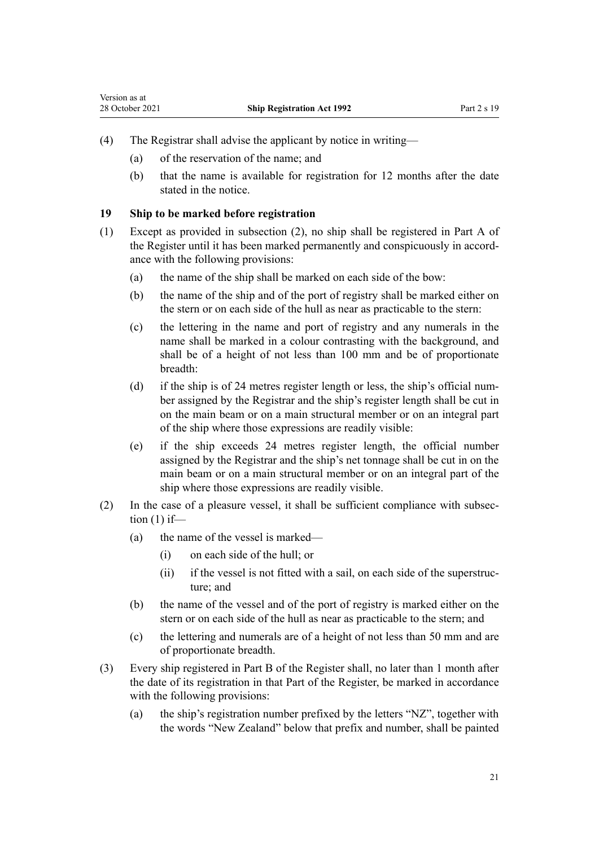- <span id="page-20-0"></span>(4) The Registrar shall advise the applicant by notice in writing—
	- (a) of the reservation of the name; and
	- (b) that the name is available for registration for 12 months after the date stated in the notice.

### **19 Ship to be marked before registration**

- (1) Except as provided in subsection (2), no ship shall be registered in Part A of the Register until it has been marked permanently and conspicuously in accord‐ ance with the following provisions:
	- (a) the name of the ship shall be marked on each side of the bow:
	- (b) the name of the ship and of the port of registry shall be marked either on the stern or on each side of the hull as near as practicable to the stern:
	- (c) the lettering in the name and port of registry and any numerals in the name shall be marked in a colour contrasting with the background, and shall be of a height of not less than 100 mm and be of proportionate breadth:
	- (d) if the ship is of 24 metres register length or less, the ship's official num‐ ber assigned by the Registrar and the ship's register length shall be cut in on the main beam or on a main structural member or on an integral part of the ship where those expressions are readily visible:
	- (e) if the ship exceeds 24 metres register length, the official number assigned by the Registrar and the ship's net tonnage shall be cut in on the main beam or on a main structural member or on an integral part of the ship where those expressions are readily visible.
- (2) In the case of a pleasure vessel, it shall be sufficient compliance with subsec‐ tion  $(1)$  if—
	- (a) the name of the vessel is marked—
		- (i) on each side of the hull; or
		- (ii) if the vessel is not fitted with a sail, on each side of the superstructure; and
	- (b) the name of the vessel and of the port of registry is marked either on the stern or on each side of the hull as near as practicable to the stern; and
	- (c) the lettering and numerals are of a height of not less than 50 mm and are of proportionate breadth.
- (3) Every ship registered in Part B of the Register shall, no later than 1 month after the date of its registration in that Part of the Register, be marked in accordance with the following provisions:
	- (a) the ship's registration number prefixed by the letters "NZ", together with the words "New Zealand" below that prefix and number, shall be painted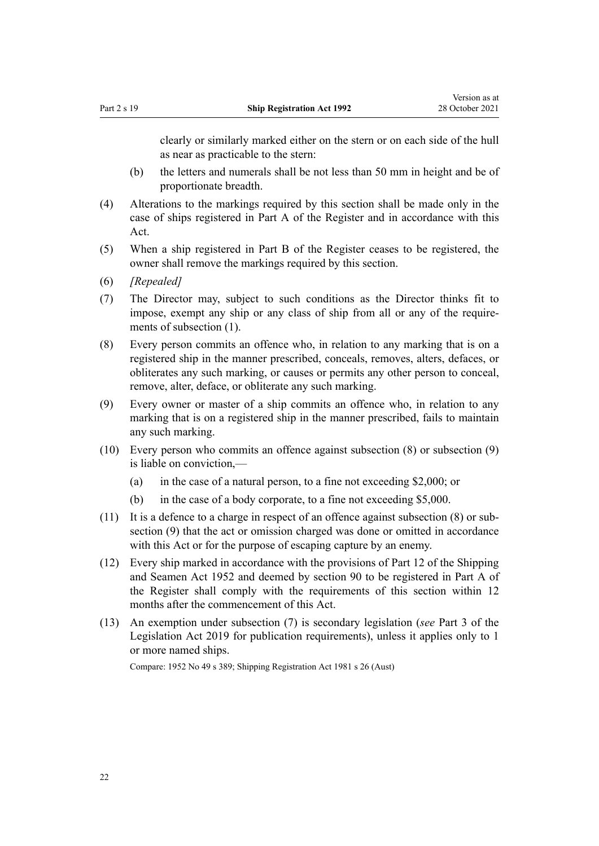clearly or similarly marked either on the stern or on each side of the hull as near as practicable to the stern:

- (b) the letters and numerals shall be not less than 50 mm in height and be of proportionate breadth.
- (4) Alterations to the markings required by this section shall be made only in the case of ships registered in Part A of the Register and in accordance with this Act.
- (5) When a ship registered in Part B of the Register ceases to be registered, the owner shall remove the markings required by this section.
- (6) *[Repealed]*
- (7) The Director may, subject to such conditions as the Director thinks fit to impose, exempt any ship or any class of ship from all or any of the requirements of subsection (1).
- (8) Every person commits an offence who, in relation to any marking that is on a registered ship in the manner prescribed, conceals, removes, alters, defaces, or obliterates any such marking, or causes or permits any other person to conceal, remove, alter, deface, or obliterate any such marking.
- (9) Every owner or master of a ship commits an offence who, in relation to any marking that is on a registered ship in the manner prescribed, fails to maintain any such marking.
- (10) Every person who commits an offence against subsection (8) or subsection (9) is liable on conviction,—
	- (a) in the case of a natural person, to a fine not exceeding \$2,000; or
	- (b) in the case of a body corporate, to a fine not exceeding \$5,000.
- (11) It is a defence to a charge in respect of an offence against subsection (8) or sub‐ section (9) that the act or omission charged was done or omitted in accordance with this Act or for the purpose of escaping capture by an enemy.
- (12) Every ship marked in accordance with the provisions of Part 12 of the Shipping and Seamen Act 1952 and deemed by [section 90](#page-56-0) to be registered in Part A of the Register shall comply with the requirements of this section within 12 months after the commencement of this Act.
- (13) An exemption under subsection (7) is secondary legislation (*see* [Part 3](http://legislation.govt.nz/pdflink.aspx?id=DLM7298343) of the Legislation Act 2019 for publication requirements), unless it applies only to 1 or more named ships.

Compare: 1952 No 49 s 389; Shipping Registration Act 1981 s 26 (Aust)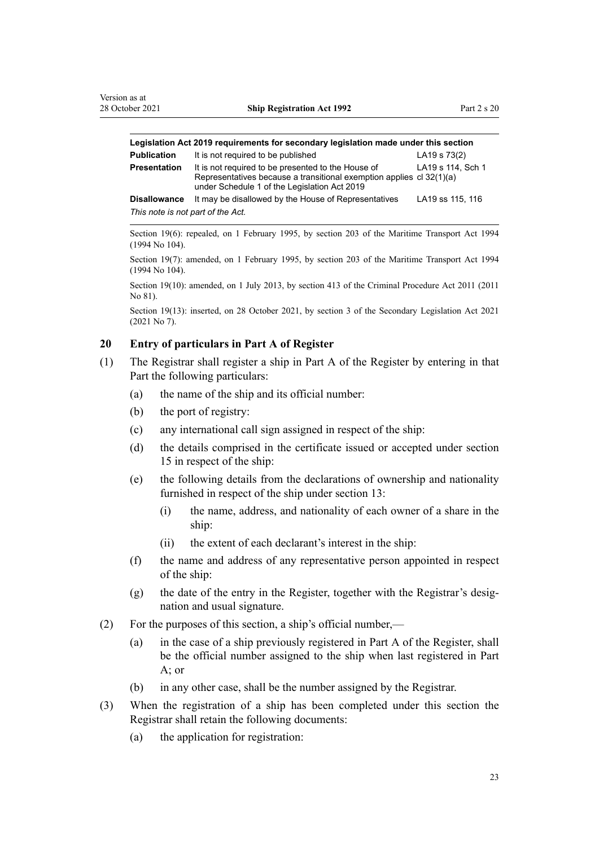<span id="page-22-0"></span>

| Legislation Act 2019 reguirements for secondary legislation made under this section |                                                                                                                                                                            |                   |  |
|-------------------------------------------------------------------------------------|----------------------------------------------------------------------------------------------------------------------------------------------------------------------------|-------------------|--|
| Publication                                                                         | It is not required to be published                                                                                                                                         | LA19 s 73(2)      |  |
| Presentation                                                                        | It is not required to be presented to the House of<br>Representatives because a transitional exemption applies cl 32(1)(a)<br>under Schedule 1 of the Legislation Act 2019 | LA19 s 114, Sch 1 |  |

**Disallowance** It may be disallowed by the House of Representatives LA19 [ss 115](http://legislation.govt.nz/pdflink.aspx?id=DLM7298431), [116](http://legislation.govt.nz/pdflink.aspx?id=DLM7298432) *This note is not part of the Act.*

Section 19(6): repealed, on 1 February 1995, by [section 203](http://legislation.govt.nz/pdflink.aspx?id=DLM336920) of the Maritime Transport Act 1994 (1994 No 104).

Section 19(7): amended, on 1 February 1995, by [section 203](http://legislation.govt.nz/pdflink.aspx?id=DLM336920) of the Maritime Transport Act 1994 (1994 No 104).

Section 19(10): amended, on 1 July 2013, by [section 413](http://legislation.govt.nz/pdflink.aspx?id=DLM3360714) of the Criminal Procedure Act 2011 (2011 No 81).

Section 19(13): inserted, on 28 October 2021, by [section 3](http://legislation.govt.nz/pdflink.aspx?id=LMS268932) of the Secondary Legislation Act 2021 (2021 No 7).

### **20 Entry of particulars in Part A of Register**

- (1) The Registrar shall register a ship in Part A of the Register by entering in that Part the following particulars:
	- (a) the name of the ship and its official number:
	- (b) the port of registry:
	- (c) any international call sign assigned in respect of the ship:
	- (d) the details comprised in the certificate issued or accepted under [section](#page-16-0) [15](#page-16-0) in respect of the ship:
	- (e) the following details from the declarations of ownership and nationality furnished in respect of the ship under [section 13](#page-15-0):
		- (i) the name, address, and nationality of each owner of a share in the ship:
		- (ii) the extent of each declarant's interest in the ship:
	- (f) the name and address of any representative person appointed in respect of the ship:
	- (g) the date of the entry in the Register, together with the Registrar's designation and usual signature.
- (2) For the purposes of this section, a ship's official number,—
	- (a) in the case of a ship previously registered in Part A of the Register, shall be the official number assigned to the ship when last registered in Part A; or
	- (b) in any other case, shall be the number assigned by the Registrar.
- (3) When the registration of a ship has been completed under this section the Registrar shall retain the following documents:
	- (a) the application for registration: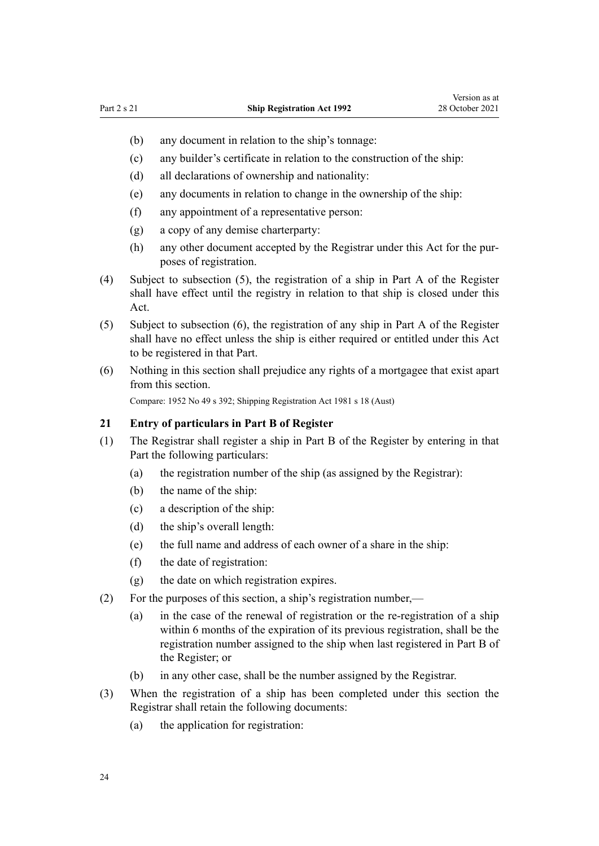- <span id="page-23-0"></span>(b) any document in relation to the ship's tonnage:
- (c) any builder's certificate in relation to the construction of the ship:
- (d) all declarations of ownership and nationality:
- (e) any documents in relation to change in the ownership of the ship:
- (f) any appointment of a representative person:
- (g) a copy of any demise charterparty:
- (h) any other document accepted by the Registrar under this Act for the purposes of registration.
- (4) Subject to subsection (5), the registration of a ship in Part A of the Register shall have effect until the registry in relation to that ship is closed under this Act.
- (5) Subject to subsection (6), the registration of any ship in Part A of the Register shall have no effect unless the ship is either required or entitled under this Act to be registered in that Part.
- (6) Nothing in this section shall prejudice any rights of a mortgagee that exist apart from this section.

Compare: 1952 No 49 s 392; Shipping Registration Act 1981 s 18 (Aust)

### **21 Entry of particulars in Part B of Register**

- (1) The Registrar shall register a ship in Part B of the Register by entering in that Part the following particulars:
	- (a) the registration number of the ship (as assigned by the Registrar):
	- (b) the name of the ship:
	- (c) a description of the ship:
	- (d) the ship's overall length:
	- (e) the full name and address of each owner of a share in the ship:
	- (f) the date of registration:
	- (g) the date on which registration expires.
- (2) For the purposes of this section, a ship's registration number,—
	- (a) in the case of the renewal of registration or the re-registration of a ship within 6 months of the expiration of its previous registration, shall be the registration number assigned to the ship when last registered in Part B of the Register; or
	- (b) in any other case, shall be the number assigned by the Registrar.
- (3) When the registration of a ship has been completed under this section the Registrar shall retain the following documents:
	- (a) the application for registration: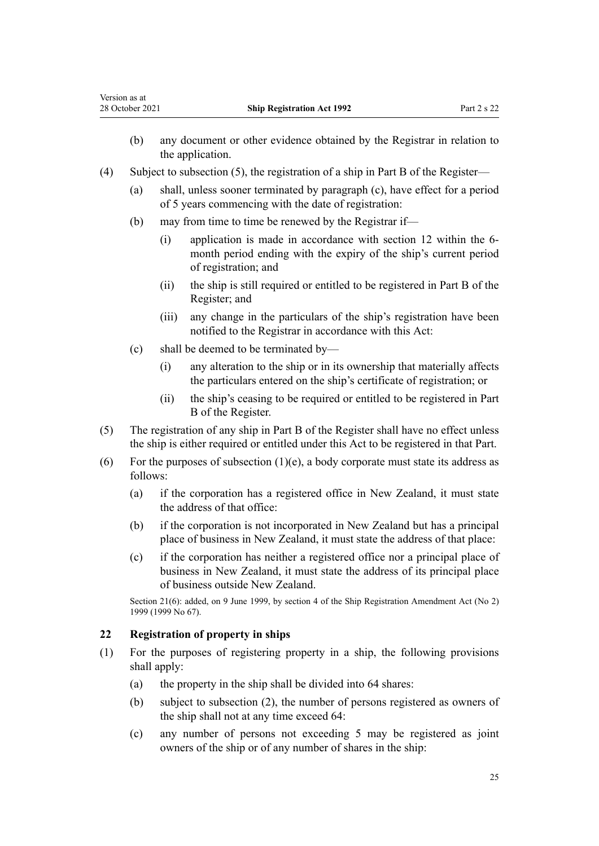|     | (b)          | any document or other evidence obtained by the Registrar in relation to<br>the application.                                                                                                  |  |
|-----|--------------|----------------------------------------------------------------------------------------------------------------------------------------------------------------------------------------------|--|
| (4) |              | Subject to subsection $(5)$ , the registration of a ship in Part B of the Register—                                                                                                          |  |
|     | (a)          | shall, unless sooner terminated by paragraph (c), have effect for a period<br>of 5 years commencing with the date of registration:                                                           |  |
|     | (b)          | may from time to time be renewed by the Registrar if—                                                                                                                                        |  |
|     |              | application is made in accordance with section 12 within the 6-<br>(i)<br>month period ending with the expiry of the ship's current period<br>of registration; and                           |  |
|     |              | the ship is still required or entitled to be registered in Part B of the<br>(ii)<br>Register; and                                                                                            |  |
|     |              | any change in the particulars of the ship's registration have been<br>(iii)<br>notified to the Registrar in accordance with this Act:                                                        |  |
|     | (c)          | shall be deemed to be terminated by-                                                                                                                                                         |  |
|     |              | any alteration to the ship or in its ownership that materially affects<br>(i)<br>the particulars entered on the ship's certificate of registration; or                                       |  |
|     |              | the ship's ceasing to be required or entitled to be registered in Part<br>(ii)<br>B of the Register.                                                                                         |  |
| (5) |              | The registration of any ship in Part B of the Register shall have no effect unless<br>the ship is either required or entitled under this Act to be registered in that Part.                  |  |
| (6) | follows:     | For the purposes of subsection $(1)(e)$ , a body corporate must state its address as                                                                                                         |  |
|     | (a)          | if the corporation has a registered office in New Zealand, it must state<br>the address of that office:                                                                                      |  |
|     | (b)          | if the corporation is not incorporated in New Zealand but has a principal<br>place of business in New Zealand, it must state the address of that place:                                      |  |
|     | (c)          | if the corporation has neither a registered office nor a principal place of<br>business in New Zealand, it must state the address of its principal place<br>of business outside New Zealand. |  |
|     |              | Section 21(6): added, on 9 June 1999, by section 4 of the Ship Registration Amendment Act (No 2)<br>1999 (1999 No 67).                                                                       |  |
| 22  |              | <b>Registration of property in ships</b>                                                                                                                                                     |  |
| (1) | shall apply: | For the purposes of registering property in a ship, the following provisions                                                                                                                 |  |
|     | (a)          | the property in the ship shall be divided into 64 shares:                                                                                                                                    |  |
|     | (b)          | subject to subsection (2), the number of persons registered as owners of<br>the ship shall not at any time exceed 64:                                                                        |  |
|     | (c)          | any number of persons not exceeding 5 may be registered as joint<br>owners of the ship or of any number of shares in the ship:                                                               |  |

**22 Ship Registration Act 1992** Part 2 s 22

<span id="page-24-0"></span>Version as at<br>28 October 2021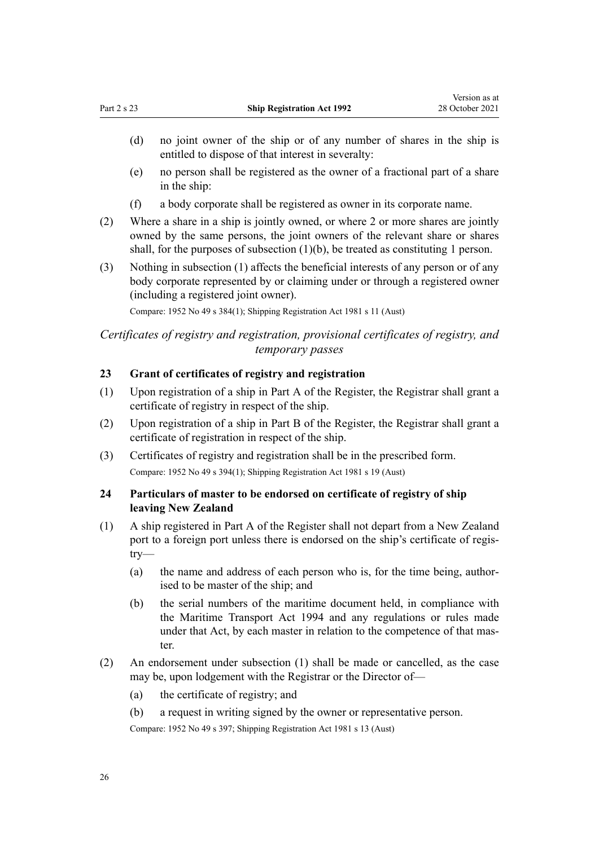- <span id="page-25-0"></span>(d) no joint owner of the ship or of any number of shares in the ship is entitled to dispose of that interest in severalty:
- (e) no person shall be registered as the owner of a fractional part of a share in the ship:
- (f) a body corporate shall be registered as owner in its corporate name.
- (2) Where a share in a ship is jointly owned, or where 2 or more shares are jointly owned by the same persons, the joint owners of the relevant share or shares shall, for the purposes of subsection  $(1)(b)$ , be treated as constituting 1 person.
- (3) Nothing in subsection (1) affects the beneficial interests of any person or of any body corporate represented by or claiming under or through a registered owner (including a registered joint owner).

Compare: 1952 No 49 s 384(1); Shipping Registration Act 1981 s 11 (Aust)

### *Certificates of registry and registration, provisional certificates of registry, and temporary passes*

### **23 Grant of certificates of registry and registration**

- (1) Upon registration of a ship in Part A of the Register, the Registrar shall grant a certificate of registry in respect of the ship.
- (2) Upon registration of a ship in Part B of the Register, the Registrar shall grant a certificate of registration in respect of the ship.
- (3) Certificates of registry and registration shall be in the prescribed form. Compare: 1952 No 49 s 394(1); Shipping Registration Act 1981 s 19 (Aust)

### **24 Particulars of master to be endorsed on certificate of registry of ship leaving New Zealand**

- (1) A ship registered in Part A of the Register shall not depart from a New Zealand port to a foreign port unless there is endorsed on the ship's certificate of registry—
	- (a) the name and address of each person who is, for the time being, authorised to be master of the ship; and
	- (b) the serial numbers of the maritime document held, in compliance with the [Maritime Transport Act 1994](http://legislation.govt.nz/pdflink.aspx?id=DLM334659) and any regulations or rules made under that Act, by each master in relation to the competence of that master.
- (2) An endorsement under subsection (1) shall be made or cancelled, as the case may be, upon lodgement with the Registrar or the Director of—
	- (a) the certificate of registry; and
	- (b) a request in writing signed by the owner or representative person.

Compare: 1952 No 49 s 397; Shipping Registration Act 1981 s 13 (Aust)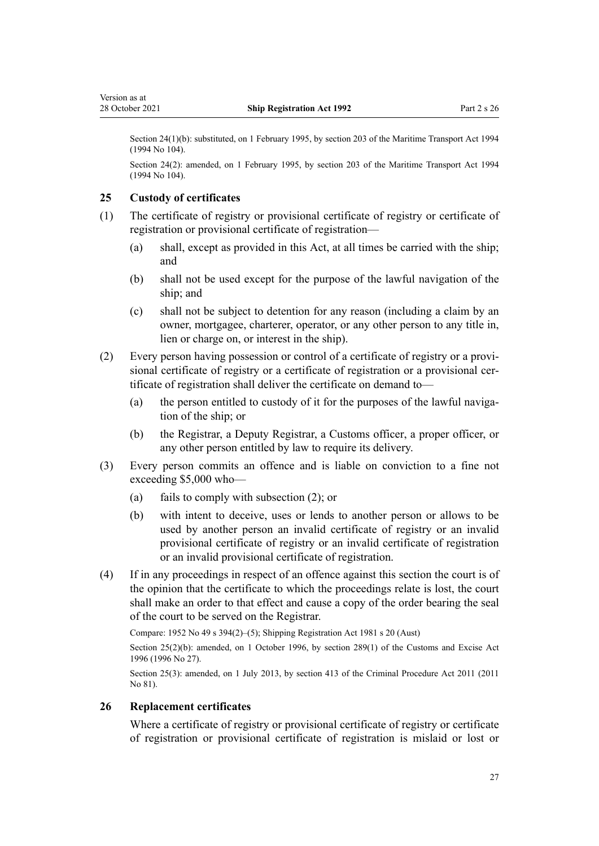<span id="page-26-0"></span>Section 24(1)(b): substituted, on 1 February 1995, by [section 203](http://legislation.govt.nz/pdflink.aspx?id=DLM336920) of the Maritime Transport Act 1994 (1994 No 104).

Section 24(2): amended, on 1 February 1995, by [section 203](http://legislation.govt.nz/pdflink.aspx?id=DLM336920) of the Maritime Transport Act 1994 (1994 No 104).

### **25 Custody of certificates**

- (1) The certificate of registry or provisional certificate of registry or certificate of registration or provisional certificate of registration—
	- (a) shall, except as provided in this Act, at all times be carried with the ship; and
	- (b) shall not be used except for the purpose of the lawful navigation of the ship; and
	- (c) shall not be subject to detention for any reason (including a claim by an owner, mortgagee, charterer, operator, or any other person to any title in, lien or charge on, or interest in the ship).
- (2) Every person having possession or control of a certificate of registry or a provi‐ sional certificate of registry or a certificate of registration or a provisional certificate of registration shall deliver the certificate on demand to—
	- (a) the person entitled to custody of it for the purposes of the lawful navigation of the ship; or
	- (b) the Registrar, a Deputy Registrar, a Customs officer, a proper officer, or any other person entitled by law to require its delivery.
- (3) Every person commits an offence and is liable on conviction to a fine not exceeding \$5,000 who—
	- (a) fails to comply with subsection (2); or
	- (b) with intent to deceive, uses or lends to another person or allows to be used by another person an invalid certificate of registry or an invalid provisional certificate of registry or an invalid certificate of registration or an invalid provisional certificate of registration.
- (4) If in any proceedings in respect of an offence against this section the court is of the opinion that the certificate to which the proceedings relate is lost, the court shall make an order to that effect and cause a copy of the order bearing the seal of the court to be served on the Registrar.

Compare: 1952 No 49 s 394(2)–(5); Shipping Registration Act 1981 s 20 (Aust)

Section 25(2)(b): amended, on 1 October 1996, by [section 289\(1\)](http://legislation.govt.nz/pdflink.aspx?id=DLM380185) of the Customs and Excise Act 1996 (1996 No 27).

Section 25(3): amended, on 1 July 2013, by [section 413](http://legislation.govt.nz/pdflink.aspx?id=DLM3360714) of the Criminal Procedure Act 2011 (2011 No 81).

### **26 Replacement certificates**

Where a certificate of registry or provisional certificate of registry or certificate of registration or provisional certificate of registration is mislaid or lost or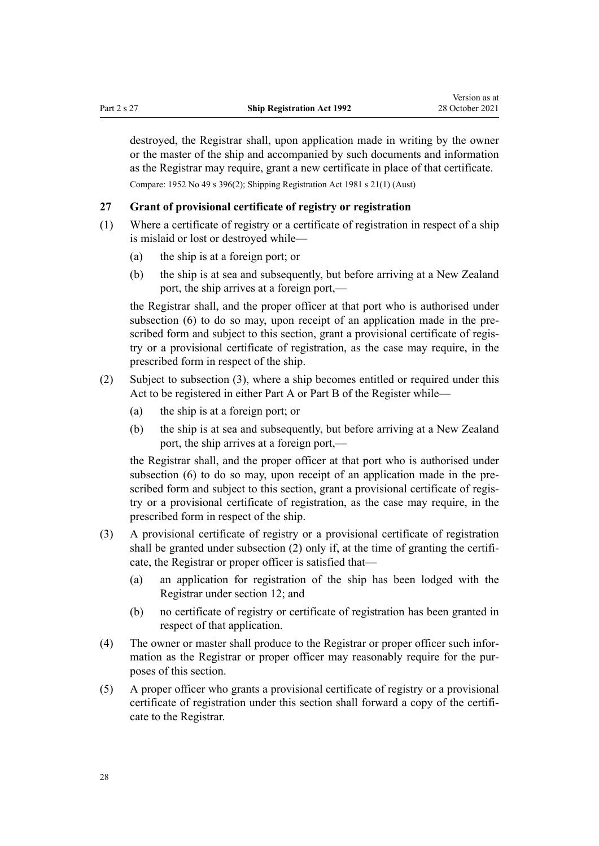<span id="page-27-0"></span>destroyed, the Registrar shall, upon application made in writing by the owner or the master of the ship and accompanied by such documents and information as the Registrar may require, grant a new certificate in place of that certificate. Compare: 1952 No 49 s 396(2); Shipping Registration Act 1981 s 21(1) (Aust)

**27 Grant of provisional certificate of registry or registration**

- (1) Where a certificate of registry or a certificate of registration in respect of a ship is mislaid or lost or destroyed while—
	- (a) the ship is at a foreign port; or
	- (b) the ship is at sea and subsequently, but before arriving at a New Zealand port, the ship arrives at a foreign port,—

the Registrar shall, and the proper officer at that port who is authorised under subsection (6) to do so may, upon receipt of an application made in the prescribed form and subject to this section, grant a provisional certificate of registry or a provisional certificate of registration, as the case may require, in the prescribed form in respect of the ship.

- (2) Subject to subsection (3), where a ship becomes entitled or required under this Act to be registered in either Part A or Part B of the Register while—
	- (a) the ship is at a foreign port; or
	- (b) the ship is at sea and subsequently, but before arriving at a New Zealand port, the ship arrives at a foreign port,—

the Registrar shall, and the proper officer at that port who is authorised under subsection (6) to do so may, upon receipt of an application made in the prescribed form and subject to this section, grant a provisional certificate of registry or a provisional certificate of registration, as the case may require, in the prescribed form in respect of the ship.

- (3) A provisional certificate of registry or a provisional certificate of registration shall be granted under subsection (2) only if, at the time of granting the certificate, the Registrar or proper officer is satisfied that—
	- (a) an application for registration of the ship has been lodged with the Registrar under [section 12](#page-14-0); and
	- (b) no certificate of registry or certificate of registration has been granted in respect of that application.
- (4) The owner or master shall produce to the Registrar or proper officer such infor‐ mation as the Registrar or proper officer may reasonably require for the purposes of this section.
- (5) A proper officer who grants a provisional certificate of registry or a provisional certificate of registration under this section shall forward a copy of the certificate to the Registrar.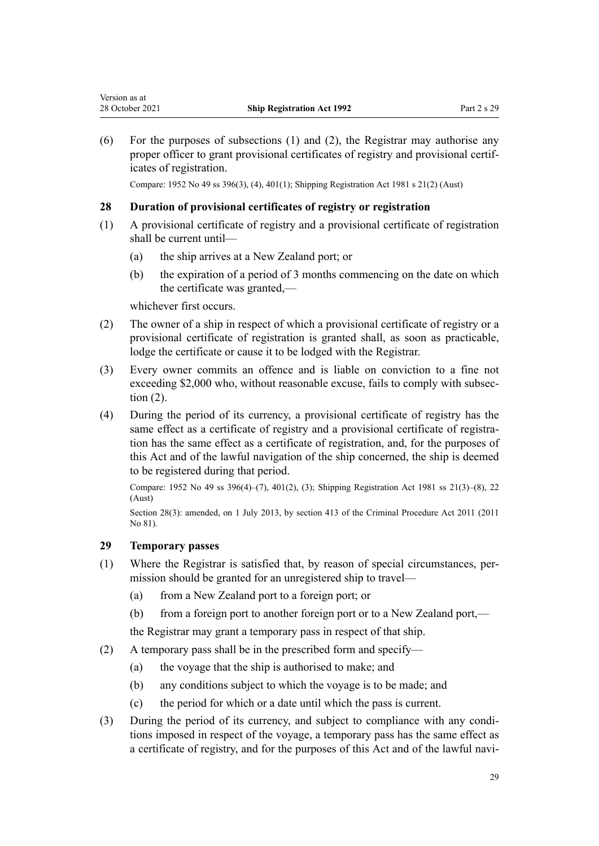<span id="page-28-0"></span>(6) For the purposes of subsections (1) and (2), the Registrar may authorise any proper officer to grant provisional certificates of registry and provisional certificates of registration.

Compare: 1952 No 49 ss 396(3), (4), 401(1); Shipping Registration Act 1981 s 21(2) (Aust)

### **28 Duration of provisional certificates of registry or registration**

- (1) A provisional certificate of registry and a provisional certificate of registration shall be current until—
	- (a) the ship arrives at a New Zealand port; or
	- (b) the expiration of a period of 3 months commencing on the date on which the certificate was granted,—

whichever first occurs.

- (2) The owner of a ship in respect of which a provisional certificate of registry or a provisional certificate of registration is granted shall, as soon as practicable, lodge the certificate or cause it to be lodged with the Registrar.
- (3) Every owner commits an offence and is liable on conviction to a fine not exceeding \$2,000 who, without reasonable excuse, fails to comply with subsection (2).
- (4) During the period of its currency, a provisional certificate of registry has the same effect as a certificate of registry and a provisional certificate of registration has the same effect as a certificate of registration, and, for the purposes of this Act and of the lawful navigation of the ship concerned, the ship is deemed to be registered during that period.

Compare: 1952 No 49 ss 396(4)–(7), 401(2), (3); Shipping Registration Act 1981 ss 21(3)–(8), 22 (Aust)

Section 28(3): amended, on 1 July 2013, by [section 413](http://legislation.govt.nz/pdflink.aspx?id=DLM3360714) of the Criminal Procedure Act 2011 (2011 No 81).

### **29 Temporary passes**

- (1) Where the Registrar is satisfied that, by reason of special circumstances, per‐ mission should be granted for an unregistered ship to travel—
	- (a) from a New Zealand port to a foreign port; or
	- (b) from a foreign port to another foreign port or to a New Zealand port,—

the Registrar may grant a temporary pass in respect of that ship.

- (2) A temporary pass shall be in the prescribed form and specify—
	- (a) the voyage that the ship is authorised to make; and
	- (b) any conditions subject to which the voyage is to be made; and
	- (c) the period for which or a date until which the pass is current.
- (3) During the period of its currency, and subject to compliance with any condi‐ tions imposed in respect of the voyage, a temporary pass has the same effect as a certificate of registry, and for the purposes of this Act and of the lawful navi‐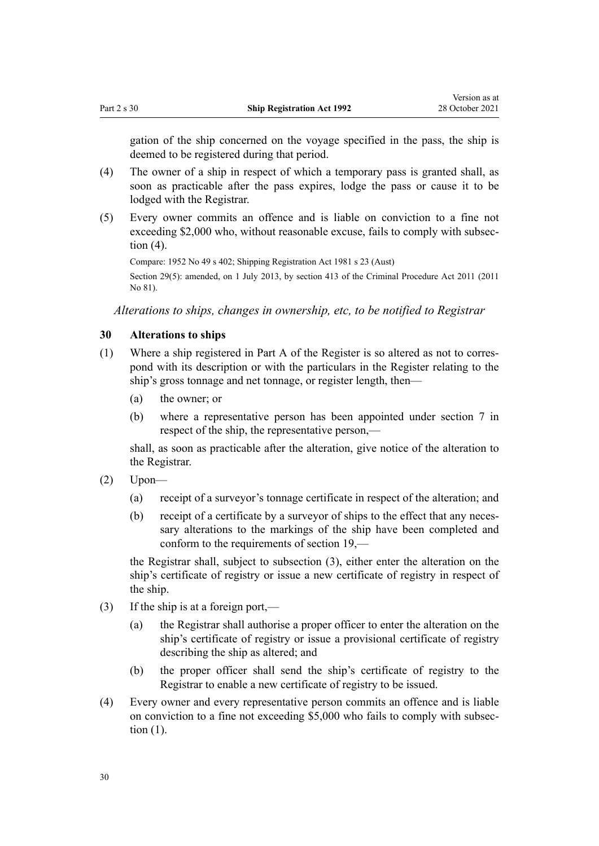<span id="page-29-0"></span>gation of the ship concerned on the voyage specified in the pass, the ship is deemed to be registered during that period.

- (4) The owner of a ship in respect of which a temporary pass is granted shall, as soon as practicable after the pass expires, lodge the pass or cause it to be lodged with the Registrar.
- (5) Every owner commits an offence and is liable on conviction to a fine not exceeding \$2,000 who, without reasonable excuse, fails to comply with subsection (4).

Compare: 1952 No 49 s 402; Shipping Registration Act 1981 s 23 (Aust) Section 29(5): amended, on 1 July 2013, by [section 413](http://legislation.govt.nz/pdflink.aspx?id=DLM3360714) of the Criminal Procedure Act 2011 (2011 No 81).

*Alterations to ships, changes in ownership, etc, to be notified to Registrar*

### **30 Alterations to ships**

- (1) Where a ship registered in Part A of the Register is so altered as not to corres‐ pond with its description or with the particulars in the Register relating to the ship's gross tonnage and net tonnage, or register length, then—
	- (a) the owner; or
	- (b) where a representative person has been appointed under [section 7](#page-11-0) in respect of the ship, the representative person,—

shall, as soon as practicable after the alteration, give notice of the alteration to the Registrar.

- (2) Upon—
	- (a) receipt of a surveyor's tonnage certificate in respect of the alteration; and
	- (b) receipt of a certificate by a surveyor of ships to the effect that any necessary alterations to the markings of the ship have been completed and conform to the requirements of [section 19](#page-20-0),—

the Registrar shall, subject to subsection (3), either enter the alteration on the ship's certificate of registry or issue a new certificate of registry in respect of the ship.

- (3) If the ship is at a foreign port,—
	- (a) the Registrar shall authorise a proper officer to enter the alteration on the ship's certificate of registry or issue a provisional certificate of registry describing the ship as altered; and
	- (b) the proper officer shall send the ship's certificate of registry to the Registrar to enable a new certificate of registry to be issued.
- (4) Every owner and every representative person commits an offence and is liable on conviction to a fine not exceeding \$5,000 who fails to comply with subsec‐ tion (1).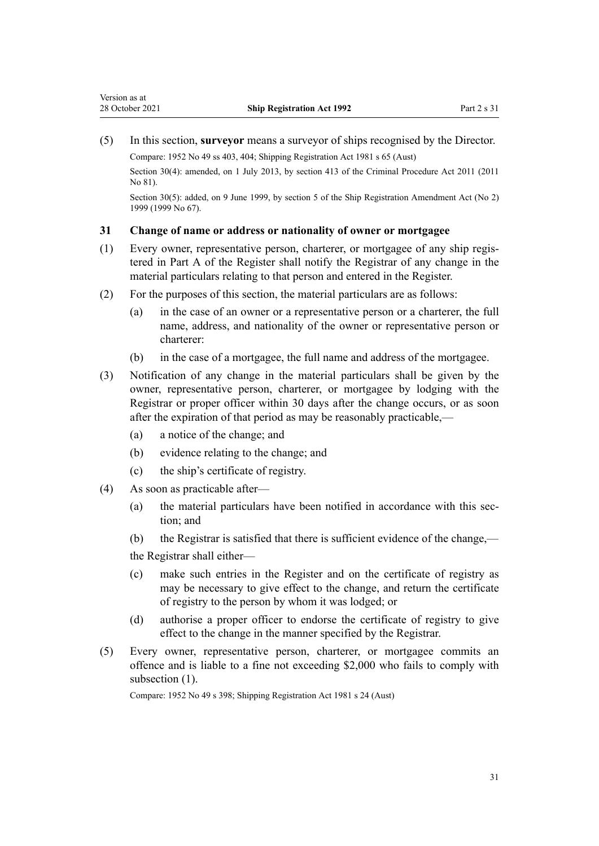<span id="page-30-0"></span>(5) In this section, **surveyor** means a surveyor of ships recognised by the Director. Compare: 1952 No 49 ss 403, 404; Shipping Registration Act 1981 s 65 (Aust)

Section 30(4): amended, on 1 July 2013, by [section 413](http://legislation.govt.nz/pdflink.aspx?id=DLM3360714) of the Criminal Procedure Act 2011 (2011 No 81).

Section 30(5): added, on 9 June 1999, by [section 5](http://legislation.govt.nz/pdflink.aspx?id=DLM30535) of the Ship Registration Amendment Act (No 2) 1999 (1999 No 67).

### **31 Change of name or address or nationality of owner or mortgagee**

- (1) Every owner, representative person, charterer, or mortgagee of any ship regis‐ tered in Part A of the Register shall notify the Registrar of any change in the material particulars relating to that person and entered in the Register.
- (2) For the purposes of this section, the material particulars are as follows:
	- (a) in the case of an owner or a representative person or a charterer, the full name, address, and nationality of the owner or representative person or charterer:
	- (b) in the case of a mortgagee, the full name and address of the mortgagee.
- (3) Notification of any change in the material particulars shall be given by the owner, representative person, charterer, or mortgagee by lodging with the Registrar or proper officer within 30 days after the change occurs, or as soon after the expiration of that period as may be reasonably practicable,—
	- (a) a notice of the change; and
	- (b) evidence relating to the change; and
	- (c) the ship's certificate of registry.
- (4) As soon as practicable after—
	- (a) the material particulars have been notified in accordance with this section; and
	- (b) the Registrar is satisfied that there is sufficient evidence of the change,—

the Registrar shall either—

- (c) make such entries in the Register and on the certificate of registry as may be necessary to give effect to the change, and return the certificate of registry to the person by whom it was lodged; or
- (d) authorise a proper officer to endorse the certificate of registry to give effect to the change in the manner specified by the Registrar.
- (5) Every owner, representative person, charterer, or mortgagee commits an offence and is liable to a fine not exceeding \$2,000 who fails to comply with subsection  $(1)$ .

Compare: 1952 No 49 s 398; Shipping Registration Act 1981 s 24 (Aust)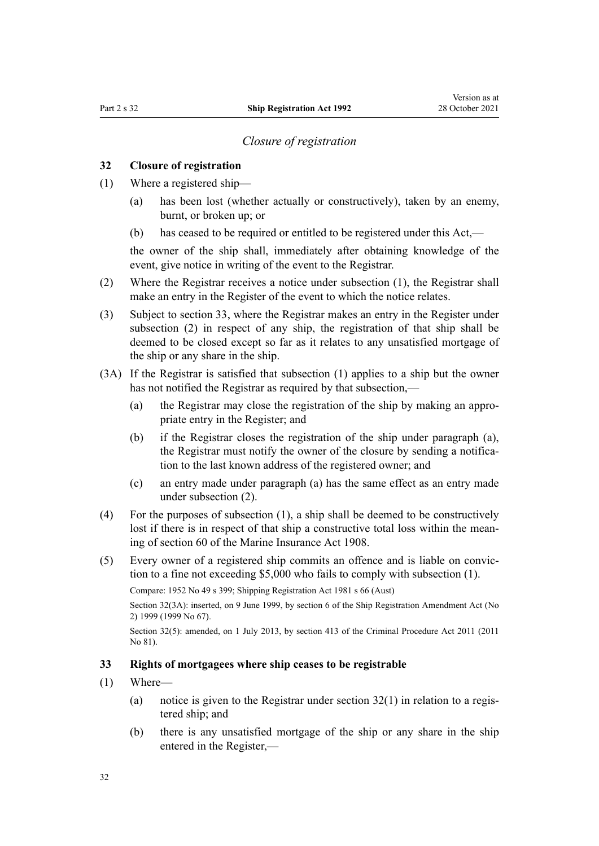### *Closure of registration*

### <span id="page-31-0"></span>**32 Closure of registration**

- (1) Where a registered ship—
	- (a) has been lost (whether actually or constructively), taken by an enemy, burnt, or broken up; or
	- (b) has ceased to be required or entitled to be registered under this Act,—

the owner of the ship shall, immediately after obtaining knowledge of the event, give notice in writing of the event to the Registrar.

- (2) Where the Registrar receives a notice under subsection (1), the Registrar shall make an entry in the Register of the event to which the notice relates.
- (3) Subject to section 33, where the Registrar makes an entry in the Register under subsection (2) in respect of any ship, the registration of that ship shall be deemed to be closed except so far as it relates to any unsatisfied mortgage of the ship or any share in the ship.
- (3A) If the Registrar is satisfied that subsection (1) applies to a ship but the owner has not notified the Registrar as required by that subsection,—
	- (a) the Registrar may close the registration of the ship by making an appro‐ priate entry in the Register; and
	- (b) if the Registrar closes the registration of the ship under paragraph (a), the Registrar must notify the owner of the closure by sending a notification to the last known address of the registered owner; and
	- (c) an entry made under paragraph (a) has the same effect as an entry made under subsection (2).
- (4) For the purposes of subsection (1), a ship shall be deemed to be constructively lost if there is in respect of that ship a constructive total loss within the meaning of [section 60](http://legislation.govt.nz/pdflink.aspx?id=DLM171270) of the Marine Insurance Act 1908.
- (5) Every owner of a registered ship commits an offence and is liable on convic‐ tion to a fine not exceeding \$5,000 who fails to comply with subsection (1).

Compare: 1952 No 49 s 399; Shipping Registration Act 1981 s 66 (Aust)

Section 32(3A): inserted, on 9 June 1999, by [section 6](http://legislation.govt.nz/pdflink.aspx?id=DLM30536) of the Ship Registration Amendment Act (No 2) 1999 (1999 No 67).

Section 32(5): amended, on 1 July 2013, by [section 413](http://legislation.govt.nz/pdflink.aspx?id=DLM3360714) of the Criminal Procedure Act 2011 (2011 No 81).

### **33 Rights of mortgagees where ship ceases to be registrable**

- (1) Where—
	- (a) notice is given to the Registrar under section  $32(1)$  in relation to a registered ship; and
	- (b) there is any unsatisfied mortgage of the ship or any share in the ship entered in the Register,—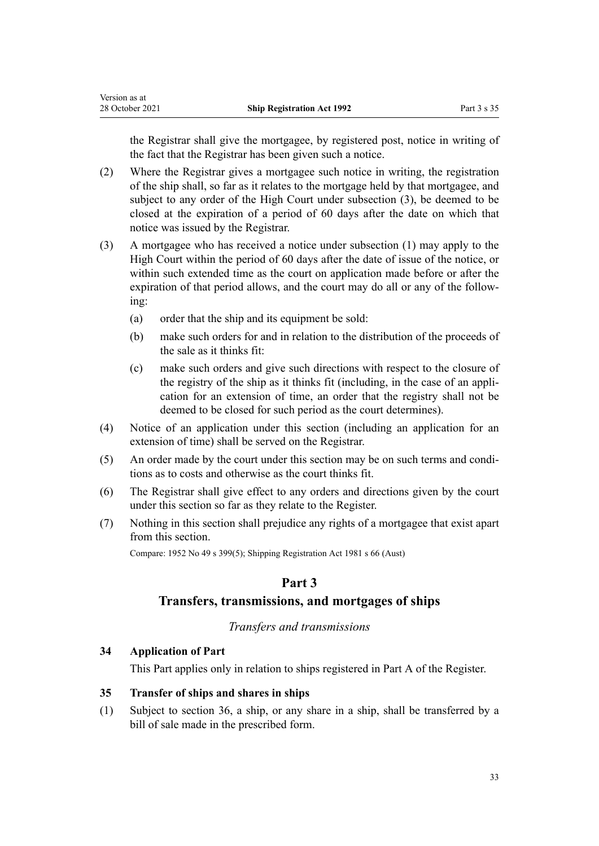<span id="page-32-0"></span>the Registrar shall give the mortgagee, by registered post, notice in writing of the fact that the Registrar has been given such a notice.

- (2) Where the Registrar gives a mortgagee such notice in writing, the registration of the ship shall, so far as it relates to the mortgage held by that mortgagee, and subject to any order of the High Court under subsection (3), be deemed to be closed at the expiration of a period of 60 days after the date on which that notice was issued by the Registrar.
- (3) A mortgagee who has received a notice under subsection (1) may apply to the High Court within the period of 60 days after the date of issue of the notice, or within such extended time as the court on application made before or after the expiration of that period allows, and the court may do all or any of the following:
	- (a) order that the ship and its equipment be sold:
	- (b) make such orders for and in relation to the distribution of the proceeds of the sale as it thinks fit:
	- (c) make such orders and give such directions with respect to the closure of the registry of the ship as it thinks fit (including, in the case of an appli‐ cation for an extension of time, an order that the registry shall not be deemed to be closed for such period as the court determines).
- (4) Notice of an application under this section (including an application for an extension of time) shall be served on the Registrar.
- (5) An order made by the court under this section may be on such terms and condi‐ tions as to costs and otherwise as the court thinks fit.
- (6) The Registrar shall give effect to any orders and directions given by the court under this section so far as they relate to the Register.
- (7) Nothing in this section shall prejudice any rights of a mortgagee that exist apart from this section.

Compare: 1952 No 49 s 399(5); Shipping Registration Act 1981 s 66 (Aust)

### **Part 3**

### **Transfers, transmissions, and mortgages of ships**

### *Transfers and transmissions*

### **34 Application of Part**

This Part applies only in relation to ships registered in Part A of the Register.

### **35 Transfer of ships and shares in ships**

(1) Subject to [section 36,](#page-33-0) a ship, or any share in a ship, shall be transferred by a bill of sale made in the prescribed form.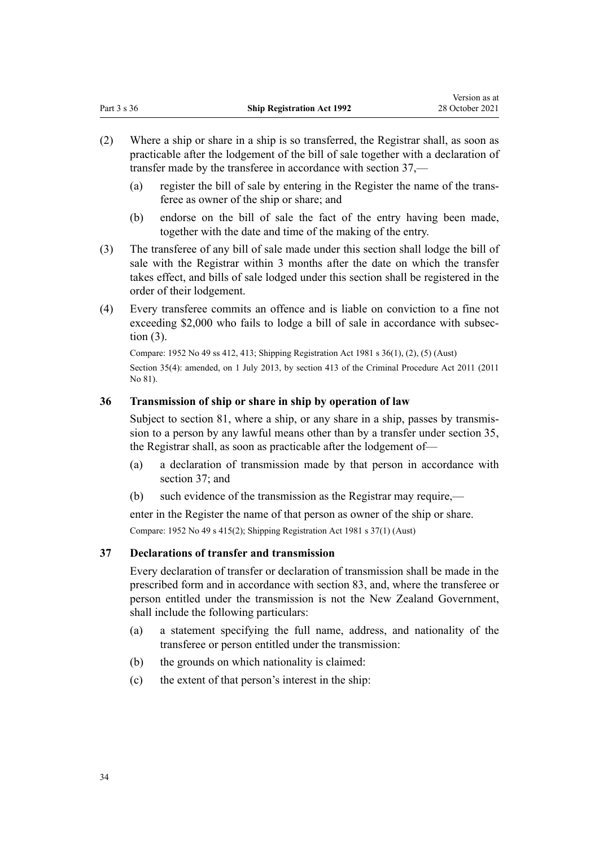- <span id="page-33-0"></span>(2) Where a ship or share in a ship is so transferred, the Registrar shall, as soon as practicable after the lodgement of the bill of sale together with a declaration of transfer made by the transferee in accordance with section 37,—
	- (a) register the bill of sale by entering in the Register the name of the trans‐ feree as owner of the ship or share; and
	- (b) endorse on the bill of sale the fact of the entry having been made, together with the date and time of the making of the entry.
- (3) The transferee of any bill of sale made under this section shall lodge the bill of sale with the Registrar within 3 months after the date on which the transfer takes effect, and bills of sale lodged under this section shall be registered in the order of their lodgement.
- (4) Every transferee commits an offence and is liable on conviction to a fine not exceeding \$2,000 who fails to lodge a bill of sale in accordance with subsection (3).

Compare: 1952 No 49 ss 412, 413; Shipping Registration Act 1981 s 36(1), (2), (5) (Aust) Section 35(4): amended, on 1 July 2013, by [section 413](http://legislation.govt.nz/pdflink.aspx?id=DLM3360714) of the Criminal Procedure Act 2011 (2011 No 81).

### **36 Transmission of ship or share in ship by operation of law**

Subject to [section 81,](#page-51-0) where a ship, or any share in a ship, passes by transmission to a person by any lawful means other than by a transfer under [section 35](#page-32-0), the Registrar shall, as soon as practicable after the lodgement of—

- (a) a declaration of transmission made by that person in accordance with section 37; and
- (b) such evidence of the transmission as the Registrar may require,—

enter in the Register the name of that person as owner of the ship or share. Compare: 1952 No 49 s 415(2); Shipping Registration Act 1981 s 37(1) (Aust)

### **37 Declarations of transfer and transmission**

Every declaration of transfer or declaration of transmission shall be made in the prescribed form and in accordance with [section 83,](#page-52-0) and, where the transferee or person entitled under the transmission is not the New Zealand Government, shall include the following particulars:

- (a) a statement specifying the full name, address, and nationality of the transferee or person entitled under the transmission:
- (b) the grounds on which nationality is claimed:
- (c) the extent of that person's interest in the ship: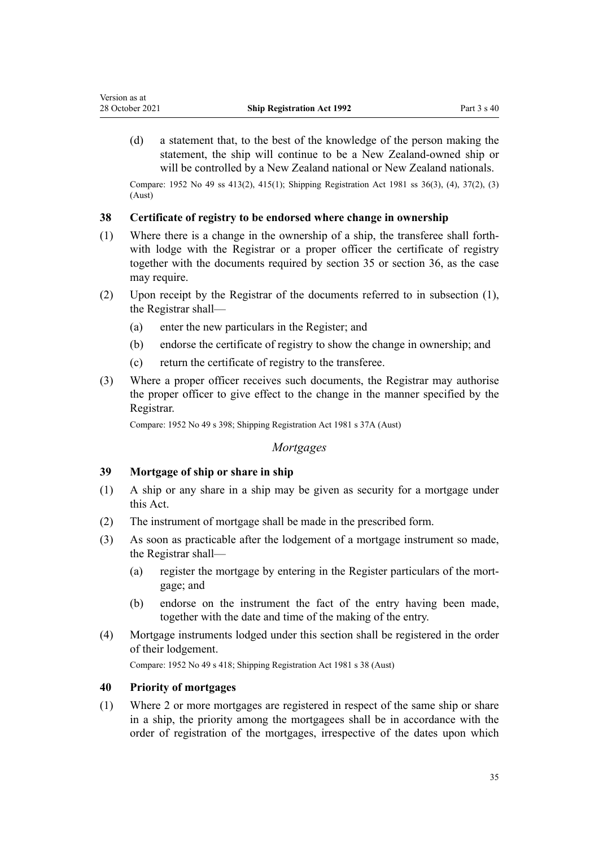<span id="page-34-0"></span>(d) a statement that, to the best of the knowledge of the person making the statement, the ship will continue to be a New Zealand-owned ship or will be controlled by a New Zealand national or New Zealand nationals.

Compare: 1952 No 49 ss 413(2), 415(1); Shipping Registration Act 1981 ss 36(3), (4), 37(2), (3) (Aust)

### **38 Certificate of registry to be endorsed where change in ownership**

- (1) Where there is a change in the ownership of a ship, the transferee shall forth‐ with lodge with the Registrar or a proper officer the certificate of registry together with the documents required by [section 35](#page-32-0) or [section 36,](#page-33-0) as the case may require.
- (2) Upon receipt by the Registrar of the documents referred to in subsection (1), the Registrar shall—
	- (a) enter the new particulars in the Register; and
	- (b) endorse the certificate of registry to show the change in ownership; and
	- (c) return the certificate of registry to the transferee.
- (3) Where a proper officer receives such documents, the Registrar may authorise the proper officer to give effect to the change in the manner specified by the Registrar.

Compare: 1952 No 49 s 398; Shipping Registration Act 1981 s 37A (Aust)

### *Mortgages*

### **39 Mortgage of ship or share in ship**

- (1) A ship or any share in a ship may be given as security for a mortgage under this Act.
- (2) The instrument of mortgage shall be made in the prescribed form.
- (3) As soon as practicable after the lodgement of a mortgage instrument so made, the Registrar shall—
	- (a) register the mortgage by entering in the Register particulars of the mort‐ gage; and
	- (b) endorse on the instrument the fact of the entry having been made, together with the date and time of the making of the entry.
- (4) Mortgage instruments lodged under this section shall be registered in the order of their lodgement.

Compare: 1952 No 49 s 418; Shipping Registration Act 1981 s 38 (Aust)

### **40 Priority of mortgages**

(1) Where 2 or more mortgages are registered in respect of the same ship or share in a ship, the priority among the mortgagees shall be in accordance with the order of registration of the mortgages, irrespective of the dates upon which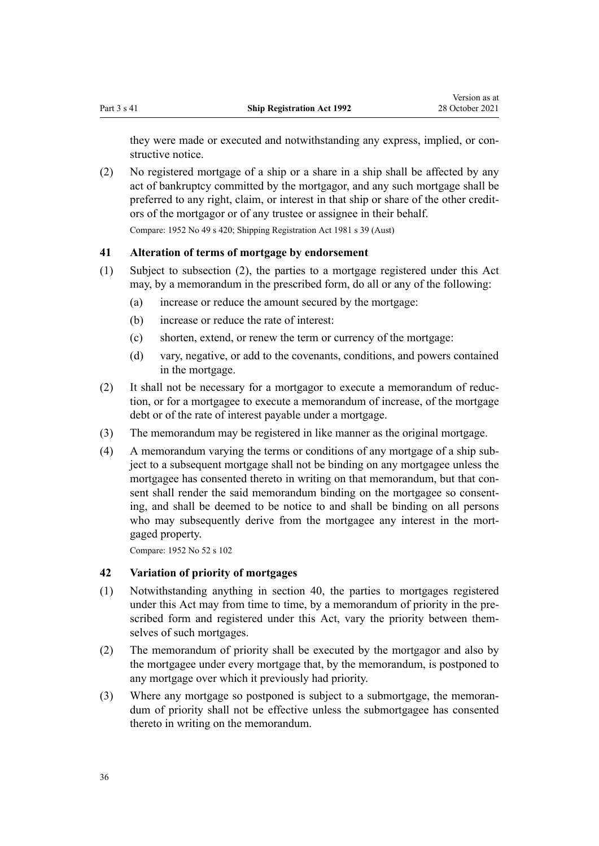<span id="page-35-0"></span>they were made or executed and notwithstanding any express, implied, or constructive notice.

(2) No registered mortgage of a ship or a share in a ship shall be affected by any act of bankruptcy committed by the mortgagor, and any such mortgage shall be preferred to any right, claim, or interest in that ship or share of the other credit‐ ors of the mortgagor or of any trustee or assignee in their behalf. Compare: 1952 No 49 s 420; Shipping Registration Act 1981 s 39 (Aust)

### **41 Alteration of terms of mortgage by endorsement**

- (1) Subject to subsection (2), the parties to a mortgage registered under this Act may, by a memorandum in the prescribed form, do all or any of the following:
	- (a) increase or reduce the amount secured by the mortgage:
	- (b) increase or reduce the rate of interest:
	- (c) shorten, extend, or renew the term or currency of the mortgage:
	- (d) vary, negative, or add to the covenants, conditions, and powers contained in the mortgage.
- (2) It shall not be necessary for a mortgagor to execute a memorandum of reduc‐ tion, or for a mortgagee to execute a memorandum of increase, of the mortgage debt or of the rate of interest payable under a mortgage.
- (3) The memorandum may be registered in like manner as the original mortgage.
- (4) A memorandum varying the terms or conditions of any mortgage of a ship sub‐ ject to a subsequent mortgage shall not be binding on any mortgagee unless the mortgagee has consented thereto in writing on that memorandum, but that consent shall render the said memorandum binding on the mortgagee so consenting, and shall be deemed to be notice to and shall be binding on all persons who may subsequently derive from the mortgagee any interest in the mortgaged property.

Compare: 1952 No 52 [s 102](http://legislation.govt.nz/pdflink.aspx?id=DLM270696)

### **42 Variation of priority of mortgages**

- (1) Notwithstanding anything in [section 40](#page-34-0), the parties to mortgages registered under this Act may from time to time, by a memorandum of priority in the prescribed form and registered under this Act, vary the priority between themselves of such mortgages.
- (2) The memorandum of priority shall be executed by the mortgagor and also by the mortgagee under every mortgage that, by the memorandum, is postponed to any mortgage over which it previously had priority.
- (3) Where any mortgage so postponed is subject to a submortgage, the memoran‐ dum of priority shall not be effective unless the submortgagee has consented thereto in writing on the memorandum.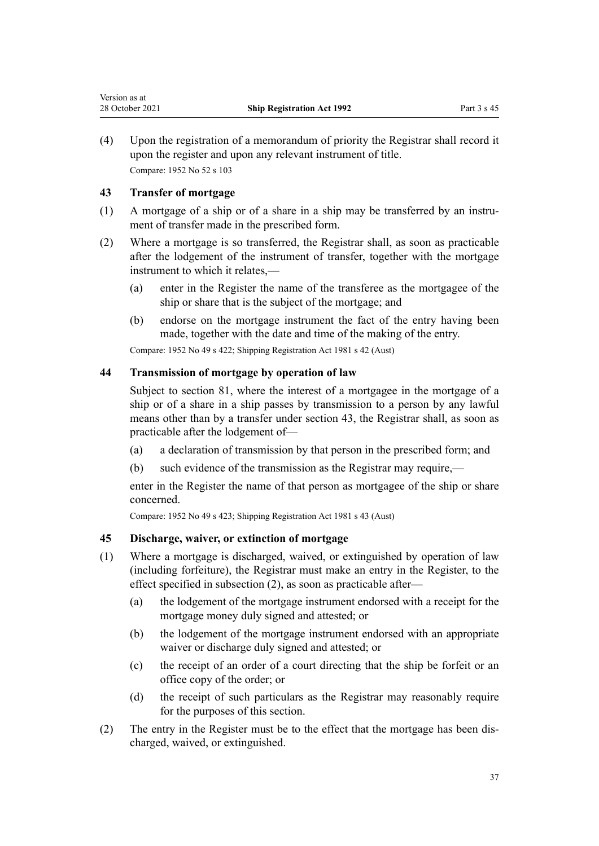<span id="page-36-0"></span>(4) Upon the registration of a memorandum of priority the Registrar shall record it upon the register and upon any relevant instrument of title. Compare: 1952 No 52 [s 103](http://legislation.govt.nz/pdflink.aspx?id=DLM271000)

### **43 Transfer of mortgage**

- (1) A mortgage of a ship or of a share in a ship may be transferred by an instru‐ ment of transfer made in the prescribed form.
- (2) Where a mortgage is so transferred, the Registrar shall, as soon as practicable after the lodgement of the instrument of transfer, together with the mortgage instrument to which it relates,—
	- (a) enter in the Register the name of the transferee as the mortgagee of the ship or share that is the subject of the mortgage; and
	- (b) endorse on the mortgage instrument the fact of the entry having been made, together with the date and time of the making of the entry.

Compare: 1952 No 49 s 422; Shipping Registration Act 1981 s 42 (Aust)

### **44 Transmission of mortgage by operation of law**

Subject to [section 81,](#page-51-0) where the interest of a mortgagee in the mortgage of a ship or of a share in a ship passes by transmission to a person by any lawful means other than by a transfer under section 43, the Registrar shall, as soon as practicable after the lodgement of—

- (a) a declaration of transmission by that person in the prescribed form; and
- (b) such evidence of the transmission as the Registrar may require,—

enter in the Register the name of that person as mortgagee of the ship or share concerned.

Compare: 1952 No 49 s 423; Shipping Registration Act 1981 s 43 (Aust)

### **45 Discharge, waiver, or extinction of mortgage**

- (1) Where a mortgage is discharged, waived, or extinguished by operation of law (including forfeiture), the Registrar must make an entry in the Register, to the effect specified in subsection (2), as soon as practicable after—
	- (a) the lodgement of the mortgage instrument endorsed with a receipt for the mortgage money duly signed and attested; or
	- (b) the lodgement of the mortgage instrument endorsed with an appropriate waiver or discharge duly signed and attested; or
	- (c) the receipt of an order of a court directing that the ship be forfeit or an office copy of the order; or
	- (d) the receipt of such particulars as the Registrar may reasonably require for the purposes of this section.
- (2) The entry in the Register must be to the effect that the mortgage has been dis‐ charged, waived, or extinguished.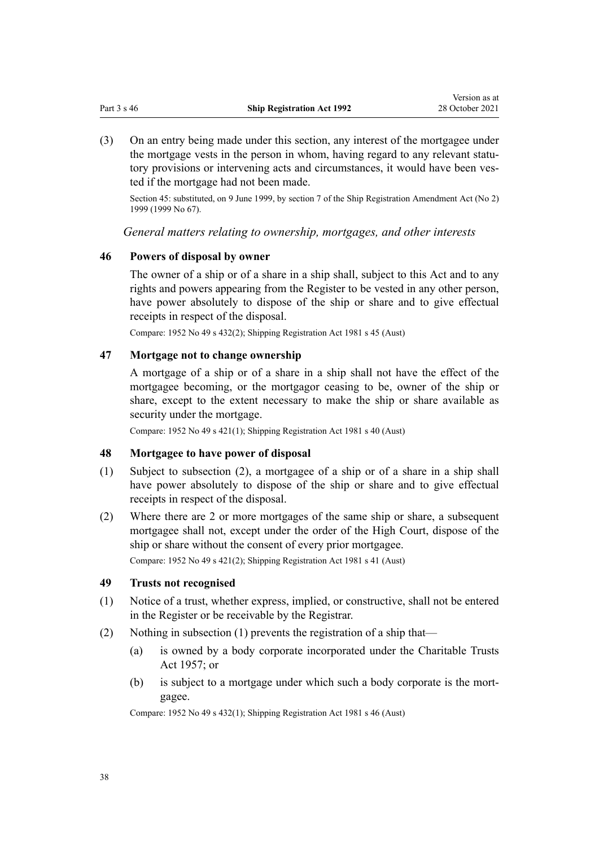<span id="page-37-0"></span>(3) On an entry being made under this section, any interest of the mortgagee under the mortgage vests in the person in whom, having regard to any relevant statutory provisions or intervening acts and circumstances, it would have been vested if the mortgage had not been made.

Section 45: substituted, on 9 June 1999, by [section 7](http://legislation.govt.nz/pdflink.aspx?id=DLM30537) of the Ship Registration Amendment Act (No 2) 1999 (1999 No 67).

*General matters relating to ownership, mortgages, and other interests*

### **46 Powers of disposal by owner**

The owner of a ship or of a share in a ship shall, subject to this Act and to any rights and powers appearing from the Register to be vested in any other person, have power absolutely to dispose of the ship or share and to give effectual receipts in respect of the disposal.

Compare: 1952 No 49 s 432(2); Shipping Registration Act 1981 s 45 (Aust)

### **47 Mortgage not to change ownership**

A mortgage of a ship or of a share in a ship shall not have the effect of the mortgagee becoming, or the mortgagor ceasing to be, owner of the ship or share, except to the extent necessary to make the ship or share available as security under the mortgage.

Compare: 1952 No 49 s 421(1); Shipping Registration Act 1981 s 40 (Aust)

#### **48 Mortgagee to have power of disposal**

- (1) Subject to subsection (2), a mortgagee of a ship or of a share in a ship shall have power absolutely to dispose of the ship or share and to give effectual receipts in respect of the disposal.
- (2) Where there are 2 or more mortgages of the same ship or share, a subsequent mortgagee shall not, except under the order of the High Court, dispose of the ship or share without the consent of every prior mortgagee.

Compare: 1952 No 49 s 421(2); Shipping Registration Act 1981 s 41 (Aust)

### **49 Trusts not recognised**

- (1) Notice of a trust, whether express, implied, or constructive, shall not be entered in the Register or be receivable by the Registrar.
- (2) Nothing in subsection (1) prevents the registration of a ship that—
	- (a) is owned by a body corporate incorporated under the [Charitable Trusts](http://legislation.govt.nz/pdflink.aspx?id=DLM308795) [Act 1957;](http://legislation.govt.nz/pdflink.aspx?id=DLM308795) or
	- (b) is subject to a mortgage under which such a body corporate is the mort‐ gagee.

Compare: 1952 No 49 s 432(1); Shipping Registration Act 1981 s 46 (Aust)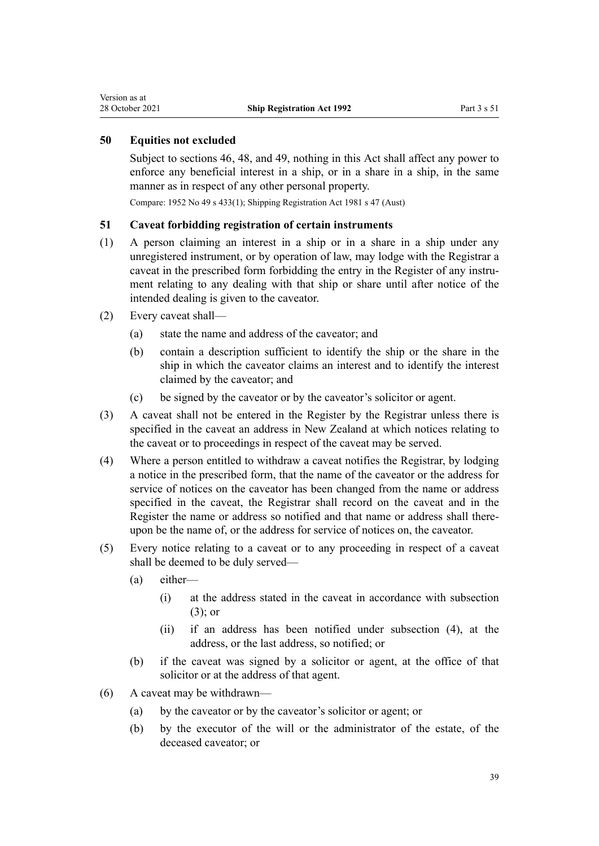### <span id="page-38-0"></span>**50 Equities not excluded**

Subject to [sections 46,](#page-37-0) [48](#page-37-0), and [49](#page-37-0), nothing in this Act shall affect any power to enforce any beneficial interest in a ship, or in a share in a ship, in the same manner as in respect of any other personal property.

Compare: 1952 No 49 s 433(1); Shipping Registration Act 1981 s 47 (Aust)

### **51 Caveat forbidding registration of certain instruments**

- (1) A person claiming an interest in a ship or in a share in a ship under any unregistered instrument, or by operation of law, may lodge with the Registrar a caveat in the prescribed form forbidding the entry in the Register of any instrument relating to any dealing with that ship or share until after notice of the intended dealing is given to the caveator.
- (2) Every caveat shall—
	- (a) state the name and address of the caveator; and
	- (b) contain a description sufficient to identify the ship or the share in the ship in which the caveator claims an interest and to identify the interest claimed by the caveator; and
	- (c) be signed by the caveator or by the caveator's solicitor or agent.
- (3) A caveat shall not be entered in the Register by the Registrar unless there is specified in the caveat an address in New Zealand at which notices relating to the caveat or to proceedings in respect of the caveat may be served.
- (4) Where a person entitled to withdraw a caveat notifies the Registrar, by lodging a notice in the prescribed form, that the name of the caveator or the address for service of notices on the caveator has been changed from the name or address specified in the caveat, the Registrar shall record on the caveat and in the Register the name or address so notified and that name or address shall thereupon be the name of, or the address for service of notices on, the caveator.
- (5) Every notice relating to a caveat or to any proceeding in respect of a caveat shall be deemed to be duly served—
	- (a) either—
		- (i) at the address stated in the caveat in accordance with subsection (3); or
		- (ii) if an address has been notified under subsection (4), at the address, or the last address, so notified; or
	- (b) if the caveat was signed by a solicitor or agent, at the office of that solicitor or at the address of that agent.
- (6) A caveat may be withdrawn—
	- (a) by the caveator or by the caveator's solicitor or agent; or
	- (b) by the executor of the will or the administrator of the estate, of the deceased caveator; or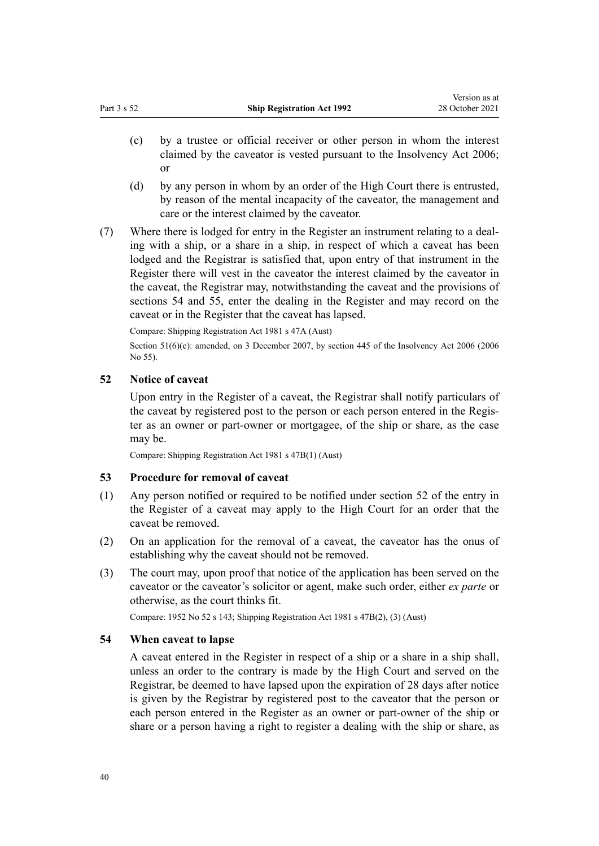- <span id="page-39-0"></span>(c) by a trustee or official receiver or other person in whom the interest claimed by the caveator is vested pursuant to the Insolvency Act 2006; or
- (d) by any person in whom by an order of the High Court there is entrusted, by reason of the mental incapacity of the caveator, the management and care or the interest claimed by the caveator.
- (7) Where there is lodged for entry in the Register an instrument relating to a deal‐ ing with a ship, or a share in a ship, in respect of which a caveat has been lodged and the Registrar is satisfied that, upon entry of that instrument in the Register there will vest in the caveator the interest claimed by the caveator in the caveat, the Registrar may, notwithstanding the caveat and the provisions of sections 54 and [55,](#page-40-0) enter the dealing in the Register and may record on the caveat or in the Register that the caveat has lapsed.

Compare: Shipping Registration Act 1981 s 47A (Aust)

Section 51(6)(c): amended, on 3 December 2007, by [section 445](http://legislation.govt.nz/pdflink.aspx?id=DLM387857) of the Insolvency Act 2006 (2006) No 55).

### **52 Notice of caveat**

Upon entry in the Register of a caveat, the Registrar shall notify particulars of the caveat by registered post to the person or each person entered in the Regis‐ ter as an owner or part-owner or mortgagee, of the ship or share, as the case may be.

Compare: Shipping Registration Act 1981 s 47B(1) (Aust)

#### **53 Procedure for removal of caveat**

- (1) Any person notified or required to be notified under section 52 of the entry in the Register of a caveat may apply to the High Court for an order that the caveat be removed.
- (2) On an application for the removal of a caveat, the caveator has the onus of establishing why the caveat should not be removed.
- (3) The court may, upon proof that notice of the application has been served on the caveator or the caveator's solicitor or agent, make such order, either *ex parte* or otherwise, as the court thinks fit.

Compare: 1952 No 52 [s 143;](http://legislation.govt.nz/pdflink.aspx?id=DLM271247) Shipping Registration Act 1981 s 47B(2), (3) (Aust)

#### **54 When caveat to lapse**

A caveat entered in the Register in respect of a ship or a share in a ship shall, unless an order to the contrary is made by the High Court and served on the Registrar, be deemed to have lapsed upon the expiration of 28 days after notice is given by the Registrar by registered post to the caveator that the person or each person entered in the Register as an owner or part-owner of the ship or share or a person having a right to register a dealing with the ship or share, as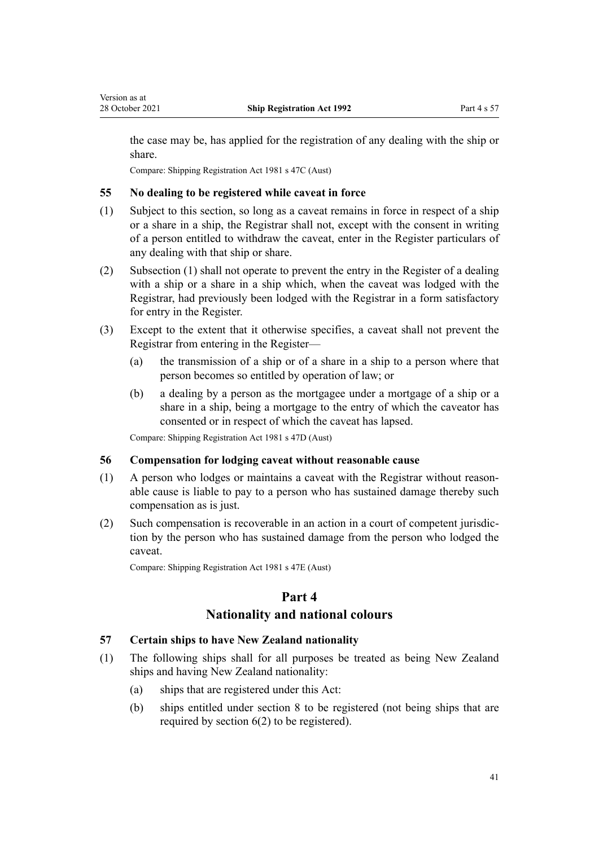<span id="page-40-0"></span>the case may be, has applied for the registration of any dealing with the ship or share.

Compare: Shipping Registration Act 1981 s 47C (Aust)

### **55 No dealing to be registered while caveat in force**

- (1) Subject to this section, so long as a caveat remains in force in respect of a ship or a share in a ship, the Registrar shall not, except with the consent in writing of a person entitled to withdraw the caveat, enter in the Register particulars of any dealing with that ship or share.
- (2) Subsection (1) shall not operate to prevent the entry in the Register of a dealing with a ship or a share in a ship which, when the caveat was lodged with the Registrar, had previously been lodged with the Registrar in a form satisfactory for entry in the Register.
- (3) Except to the extent that it otherwise specifies, a caveat shall not prevent the Registrar from entering in the Register—
	- (a) the transmission of a ship or of a share in a ship to a person where that person becomes so entitled by operation of law; or
	- (b) a dealing by a person as the mortgagee under a mortgage of a ship or a share in a ship, being a mortgage to the entry of which the caveator has consented or in respect of which the caveat has lapsed.

Compare: Shipping Registration Act 1981 s 47D (Aust)

### **56 Compensation for lodging caveat without reasonable cause**

- (1) A person who lodges or maintains a caveat with the Registrar without reason‐ able cause is liable to pay to a person who has sustained damage thereby such compensation as is just.
- (2) Such compensation is recoverable in an action in a court of competent jurisdic‐ tion by the person who has sustained damage from the person who lodged the caveat.

Compare: Shipping Registration Act 1981 s 47E (Aust)

### **Part 4**

### **Nationality and national colours**

### **57 Certain ships to have New Zealand nationality**

- (1) The following ships shall for all purposes be treated as being New Zealand ships and having New Zealand nationality:
	- (a) ships that are registered under this Act:
	- (b) ships entitled under [section 8](#page-12-0) to be registered (not being ships that are required by [section 6\(2\)](#page-10-0) to be registered).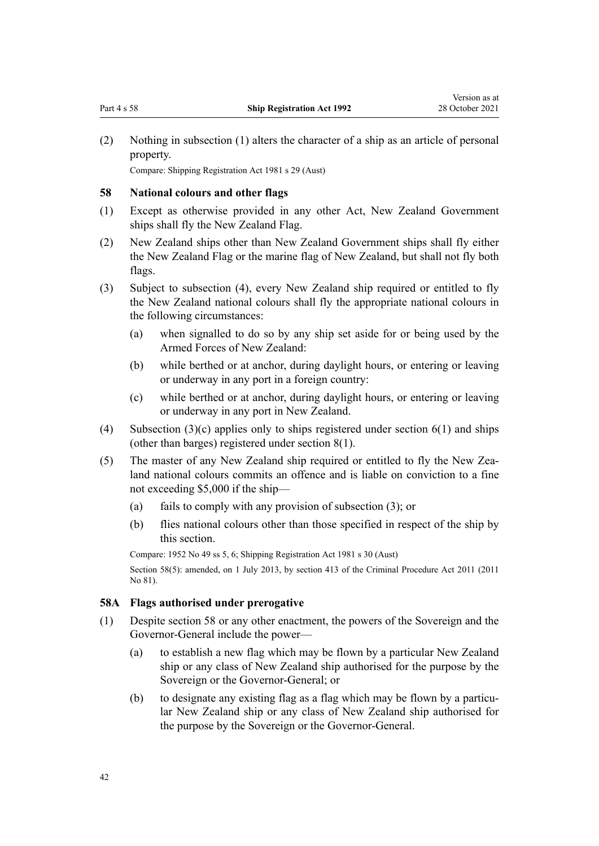<span id="page-41-0"></span>(2) Nothing in subsection (1) alters the character of a ship as an article of personal property.

Compare: Shipping Registration Act 1981 s 29 (Aust)

### **58 National colours and other flags**

- (1) Except as otherwise provided in any other Act, New Zealand Government ships shall fly the New Zealand Flag.
- (2) New Zealand ships other than New Zealand Government ships shall fly either the New Zealand Flag or the marine flag of New Zealand, but shall not fly both flags.
- (3) Subject to subsection (4), every New Zealand ship required or entitled to fly the New Zealand national colours shall fly the appropriate national colours in the following circumstances:
	- (a) when signalled to do so by any ship set aside for or being used by the Armed Forces of New Zealand:
	- (b) while berthed or at anchor, during daylight hours, or entering or leaving or underway in any port in a foreign country:
	- (c) while berthed or at anchor, during daylight hours, or entering or leaving or underway in any port in New Zealand.
- (4) Subsection  $(3)(c)$  applies only to ships registered under section  $6(1)$  and ships (other than barges) registered under [section 8\(1\).](#page-12-0)
- (5) The master of any New Zealand ship required or entitled to fly the New Zea‐ land national colours commits an offence and is liable on conviction to a fine not exceeding \$5,000 if the ship—
	- (a) fails to comply with any provision of subsection (3); or
	- (b) flies national colours other than those specified in respect of the ship by this section.

Compare: 1952 No 49 ss 5, 6; Shipping Registration Act 1981 s 30 (Aust) Section 58(5): amended, on 1 July 2013, by [section 413](http://legislation.govt.nz/pdflink.aspx?id=DLM3360714) of the Criminal Procedure Act 2011 (2011) No 81).

### **58A Flags authorised under prerogative**

- (1) Despite section 58 or any other enactment, the powers of the Sovereign and the Governor-General include the power—
	- (a) to establish a new flag which may be flown by a particular New Zealand ship or any class of New Zealand ship authorised for the purpose by the Sovereign or the Governor-General; or
	- (b) to designate any existing flag as a flag which may be flown by a particular New Zealand ship or any class of New Zealand ship authorised for the purpose by the Sovereign or the Governor-General.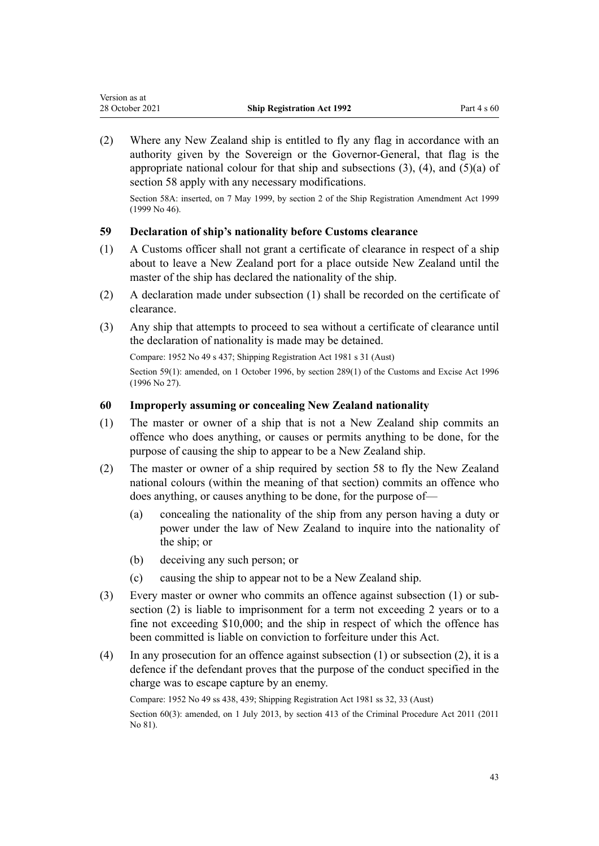<span id="page-42-0"></span>(2) Where any New Zealand ship is entitled to fly any flag in accordance with an authority given by the Sovereign or the Governor-General, that flag is the appropriate national colour for that ship and subsections  $(3)$ ,  $(4)$ , and  $(5)(a)$  of [section 58](#page-41-0) apply with any necessary modifications.

Section 58A: inserted, on 7 May 1999, by [section 2](http://legislation.govt.nz/pdflink.aspx?id=DLM24778) of the Ship Registration Amendment Act 1999 (1999 No 46).

### **59 Declaration of ship's nationality before Customs clearance**

- (1) A Customs officer shall not grant a certificate of clearance in respect of a ship about to leave a New Zealand port for a place outside New Zealand until the master of the ship has declared the nationality of the ship.
- (2) A declaration made under subsection (1) shall be recorded on the certificate of clearance.
- (3) Any ship that attempts to proceed to sea without a certificate of clearance until the declaration of nationality is made may be detained.

Compare: 1952 No 49 s 437; Shipping Registration Act 1981 s 31 (Aust)

Section 59(1): amended, on 1 October 1996, by [section 289\(1\)](http://legislation.govt.nz/pdflink.aspx?id=DLM380185) of the Customs and Excise Act 1996 (1996 No 27).

### **60 Improperly assuming or concealing New Zealand nationality**

- (1) The master or owner of a ship that is not a New Zealand ship commits an offence who does anything, or causes or permits anything to be done, for the purpose of causing the ship to appear to be a New Zealand ship.
- (2) The master or owner of a ship required by [section 58](#page-41-0) to fly the New Zealand national colours (within the meaning of that section) commits an offence who does anything, or causes anything to be done, for the purpose of—
	- (a) concealing the nationality of the ship from any person having a duty or power under the law of New Zealand to inquire into the nationality of the ship; or
	- (b) deceiving any such person; or
	- (c) causing the ship to appear not to be a New Zealand ship.
- (3) Every master or owner who commits an offence against subsection (1) or sub‐ section (2) is liable to imprisonment for a term not exceeding 2 years or to a fine not exceeding \$10,000; and the ship in respect of which the offence has been committed is liable on conviction to forfeiture under this Act.
- (4) In any prosecution for an offence against subsection (1) or subsection (2), it is a defence if the defendant proves that the purpose of the conduct specified in the charge was to escape capture by an enemy.

Compare: 1952 No 49 ss 438, 439; Shipping Registration Act 1981 ss 32, 33 (Aust)

Section 60(3): amended, on 1 July 2013, by [section 413](http://legislation.govt.nz/pdflink.aspx?id=DLM3360714) of the Criminal Procedure Act 2011 (2011) No 81).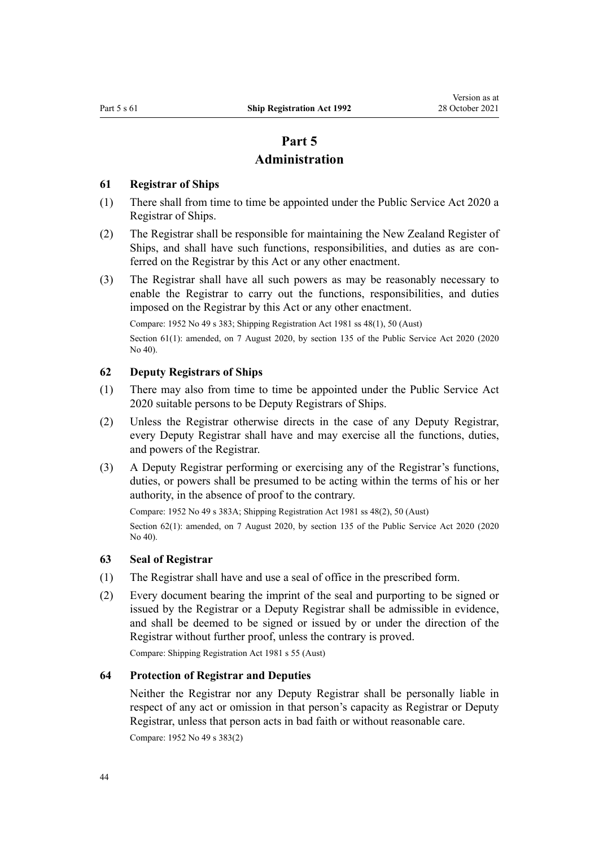# **Part 5**

### **Administration**

### <span id="page-43-0"></span>**61 Registrar of Ships**

- (1) There shall from time to time be appointed under the [Public Service Act 2020](http://legislation.govt.nz/pdflink.aspx?id=LMS106157) a Registrar of Ships.
- (2) The Registrar shall be responsible for maintaining the New Zealand Register of Ships, and shall have such functions, responsibilities, and duties as are conferred on the Registrar by this Act or any other enactment.
- (3) The Registrar shall have all such powers as may be reasonably necessary to enable the Registrar to carry out the functions, responsibilities, and duties imposed on the Registrar by this Act or any other enactment.

Compare: 1952 No 49 s 383; Shipping Registration Act 1981 ss 48(1), 50 (Aust)

Section 61(1): amended, on 7 August 2020, by [section 135](http://legislation.govt.nz/pdflink.aspx?id=LMS176959) of the Public Service Act 2020 (2020) No 40).

### **62 Deputy Registrars of Ships**

- (1) There may also from time to time be appointed under the [Public Service Act](http://legislation.govt.nz/pdflink.aspx?id=LMS106157) [2020](http://legislation.govt.nz/pdflink.aspx?id=LMS106157) suitable persons to be Deputy Registrars of Ships.
- (2) Unless the Registrar otherwise directs in the case of any Deputy Registrar, every Deputy Registrar shall have and may exercise all the functions, duties, and powers of the Registrar.
- (3) A Deputy Registrar performing or exercising any of the Registrar's functions, duties, or powers shall be presumed to be acting within the terms of his or her authority, in the absence of proof to the contrary.

Compare: 1952 No 49 s 383A; Shipping Registration Act 1981 ss 48(2), 50 (Aust) Section 62(1): amended, on 7 August 2020, by [section 135](http://legislation.govt.nz/pdflink.aspx?id=LMS176959) of the Public Service Act 2020 (2020 No 40).

### **63 Seal of Registrar**

- (1) The Registrar shall have and use a seal of office in the prescribed form.
- (2) Every document bearing the imprint of the seal and purporting to be signed or issued by the Registrar or a Deputy Registrar shall be admissible in evidence, and shall be deemed to be signed or issued by or under the direction of the Registrar without further proof, unless the contrary is proved.

Compare: Shipping Registration Act 1981 s 55 (Aust)

### **64 Protection of Registrar and Deputies**

Neither the Registrar nor any Deputy Registrar shall be personally liable in respect of any act or omission in that person's capacity as Registrar or Deputy Registrar, unless that person acts in bad faith or without reasonable care.

Compare: 1952 No 49 s 383(2)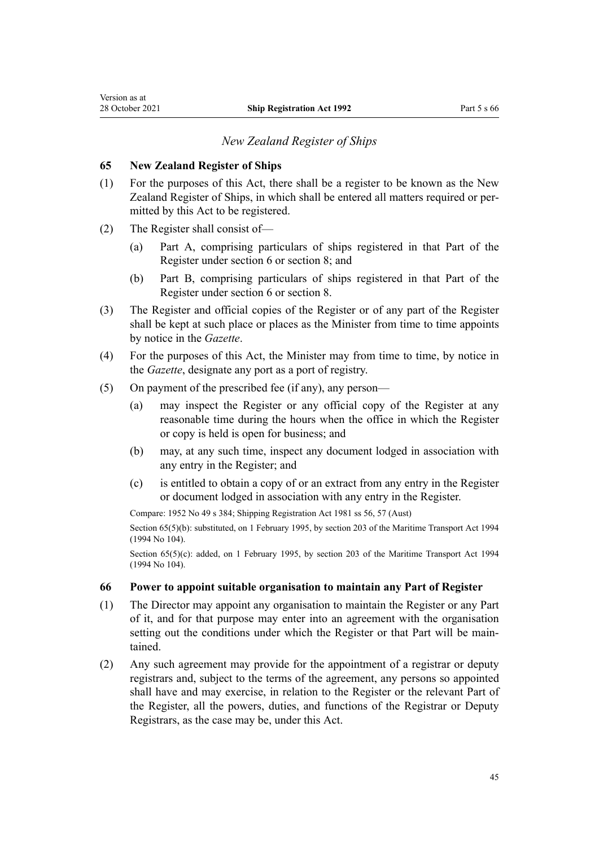### *New Zealand Register of Ships*

### <span id="page-44-0"></span>**65 New Zealand Register of Ships**

- (1) For the purposes of this Act, there shall be a register to be known as the New Zealand Register of Ships, in which shall be entered all matters required or per‐ mitted by this Act to be registered.
- (2) The Register shall consist of—
	- (a) Part A, comprising particulars of ships registered in that Part of the Register under [section 6](#page-10-0) or [section 8](#page-12-0); and
	- (b) Part B, comprising particulars of ships registered in that Part of the Register under [section 6](#page-10-0) or [section 8](#page-12-0).
- (3) The Register and official copies of the Register or of any part of the Register shall be kept at such place or places as the Minister from time to time appoints by notice in the *Gazette*.
- (4) For the purposes of this Act, the Minister may from time to time, by notice in the *Gazette*, designate any port as a port of registry.
- (5) On payment of the prescribed fee (if any), any person—
	- (a) may inspect the Register or any official copy of the Register at any reasonable time during the hours when the office in which the Register or copy is held is open for business; and
	- (b) may, at any such time, inspect any document lodged in association with any entry in the Register; and
	- (c) is entitled to obtain a copy of or an extract from any entry in the Register or document lodged in association with any entry in the Register.

Compare: 1952 No 49 s 384; Shipping Registration Act 1981 ss 56, 57 (Aust)

Section 65(5)(b): substituted, on 1 February 1995, by [section 203](http://legislation.govt.nz/pdflink.aspx?id=DLM336920) of the Maritime Transport Act 1994 (1994 No 104).

Section  $65(5)(c)$ : added, on 1 February 1995, by [section 203](http://legislation.govt.nz/pdflink.aspx?id=DLM336920) of the Maritime Transport Act 1994 (1994 No 104).

### **66 Power to appoint suitable organisation to maintain any Part of Register**

- (1) The Director may appoint any organisation to maintain the Register or any Part of it, and for that purpose may enter into an agreement with the organisation setting out the conditions under which the Register or that Part will be maintained.
- (2) Any such agreement may provide for the appointment of a registrar or deputy registrars and, subject to the terms of the agreement, any persons so appointed shall have and may exercise, in relation to the Register or the relevant Part of the Register, all the powers, duties, and functions of the Registrar or Deputy Registrars, as the case may be, under this Act.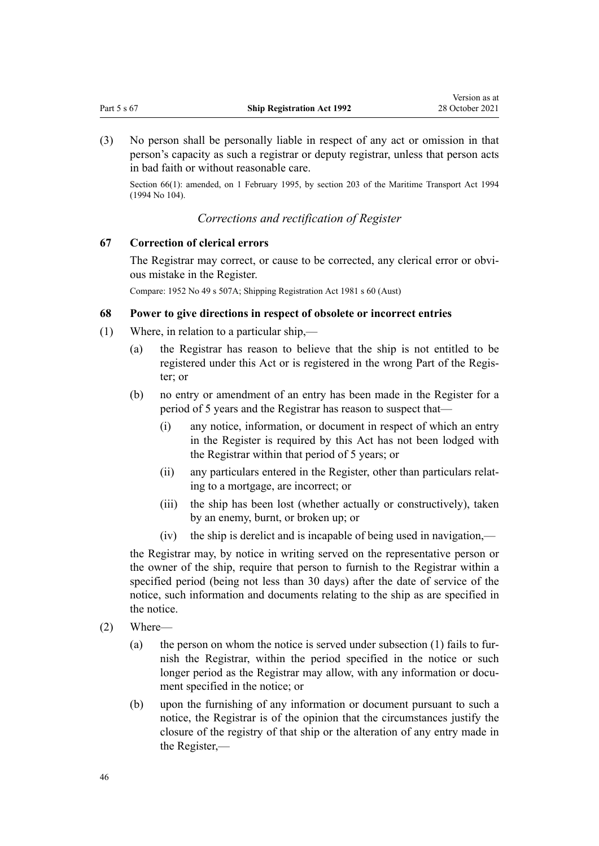<span id="page-45-0"></span>(3) No person shall be personally liable in respect of any act or omission in that person's capacity as such a registrar or deputy registrar, unless that person acts in bad faith or without reasonable care.

Section 66(1): amended, on 1 February 1995, by [section 203](http://legislation.govt.nz/pdflink.aspx?id=DLM336920) of the Maritime Transport Act 1994 (1994 No 104).

### *Corrections and rectification of Register*

### **67 Correction of clerical errors**

The Registrar may correct, or cause to be corrected, any clerical error or obvious mistake in the Register.

Compare: 1952 No 49 s 507A; Shipping Registration Act 1981 s 60 (Aust)

### **68 Power to give directions in respect of obsolete or incorrect entries**

- (1) Where, in relation to a particular ship,—
	- (a) the Registrar has reason to believe that the ship is not entitled to be registered under this Act or is registered in the wrong Part of the Regis‐ ter; or
	- (b) no entry or amendment of an entry has been made in the Register for a period of 5 years and the Registrar has reason to suspect that—
		- (i) any notice, information, or document in respect of which an entry in the Register is required by this Act has not been lodged with the Registrar within that period of 5 years; or
		- (ii) any particulars entered in the Register, other than particulars relat‐ ing to a mortgage, are incorrect; or
		- (iii) the ship has been lost (whether actually or constructively), taken by an enemy, burnt, or broken up; or
		- (iv) the ship is derelict and is incapable of being used in navigation,—

the Registrar may, by notice in writing served on the representative person or the owner of the ship, require that person to furnish to the Registrar within a specified period (being not less than 30 days) after the date of service of the notice, such information and documents relating to the ship as are specified in the notice.

- (2) Where—
	- (a) the person on whom the notice is served under subsection  $(1)$  fails to furnish the Registrar, within the period specified in the notice or such longer period as the Registrar may allow, with any information or document specified in the notice; or
	- (b) upon the furnishing of any information or document pursuant to such a notice, the Registrar is of the opinion that the circumstances justify the closure of the registry of that ship or the alteration of any entry made in the Register,—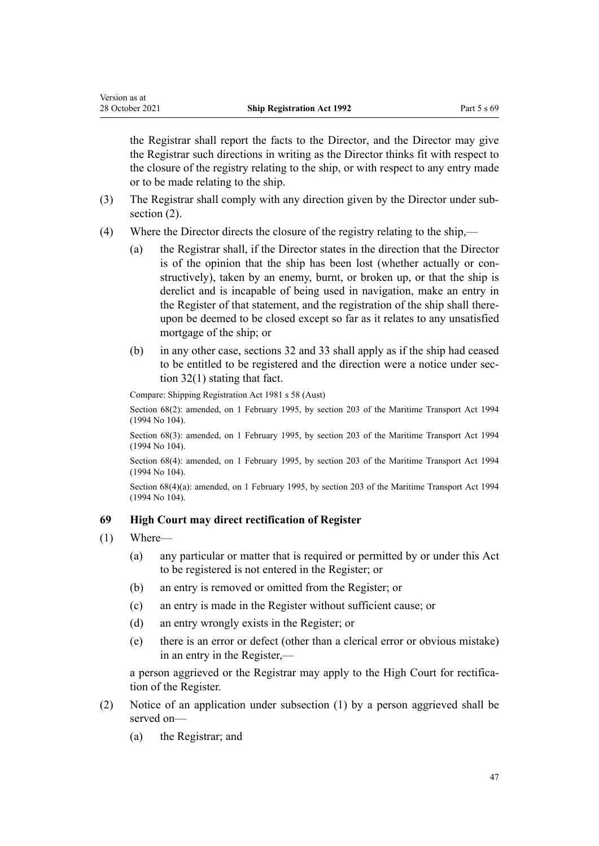<span id="page-46-0"></span>the Registrar shall report the facts to the Director, and the Director may give the Registrar such directions in writing as the Director thinks fit with respect to the closure of the registry relating to the ship, or with respect to any entry made or to be made relating to the ship.

- (3) The Registrar shall comply with any direction given by the Director under sub‐ section  $(2)$ .
- (4) Where the Director directs the closure of the registry relating to the ship,—
	- (a) the Registrar shall, if the Director states in the direction that the Director is of the opinion that the ship has been lost (whether actually or constructively), taken by an enemy, burnt, or broken up, or that the ship is derelict and is incapable of being used in navigation, make an entry in the Register of that statement, and the registration of the ship shall there‐ upon be deemed to be closed except so far as it relates to any unsatisfied mortgage of the ship; or
	- (b) in any other case, [sections 32](#page-31-0) and [33](#page-31-0) shall apply as if the ship had ceased to be entitled to be registered and the direction were a notice under section 32(1) stating that fact.

Compare: Shipping Registration Act 1981 s 58 (Aust)

Section 68(2): amended, on 1 February 1995, by [section 203](http://legislation.govt.nz/pdflink.aspx?id=DLM336920) of the Maritime Transport Act 1994 (1994 No 104).

Section 68(3): amended, on 1 February 1995, by [section 203](http://legislation.govt.nz/pdflink.aspx?id=DLM336920) of the Maritime Transport Act 1994 (1994 No 104).

Section 68(4): amended, on 1 February 1995, by [section 203](http://legislation.govt.nz/pdflink.aspx?id=DLM336920) of the Maritime Transport Act 1994 (1994 No 104).

Section 68(4)(a): amended, on 1 February 1995, by [section 203](http://legislation.govt.nz/pdflink.aspx?id=DLM336920) of the Maritime Transport Act 1994 (1994 No 104).

### **69 High Court may direct rectification of Register**

- (1) Where—
	- (a) any particular or matter that is required or permitted by or under this Act to be registered is not entered in the Register; or
	- (b) an entry is removed or omitted from the Register; or
	- (c) an entry is made in the Register without sufficient cause; or
	- (d) an entry wrongly exists in the Register; or
	- (e) there is an error or defect (other than a clerical error or obvious mistake) in an entry in the Register,—

a person aggrieved or the Registrar may apply to the High Court for rectifica‐ tion of the Register.

- (2) Notice of an application under subsection (1) by a person aggrieved shall be served on—
	- (a) the Registrar; and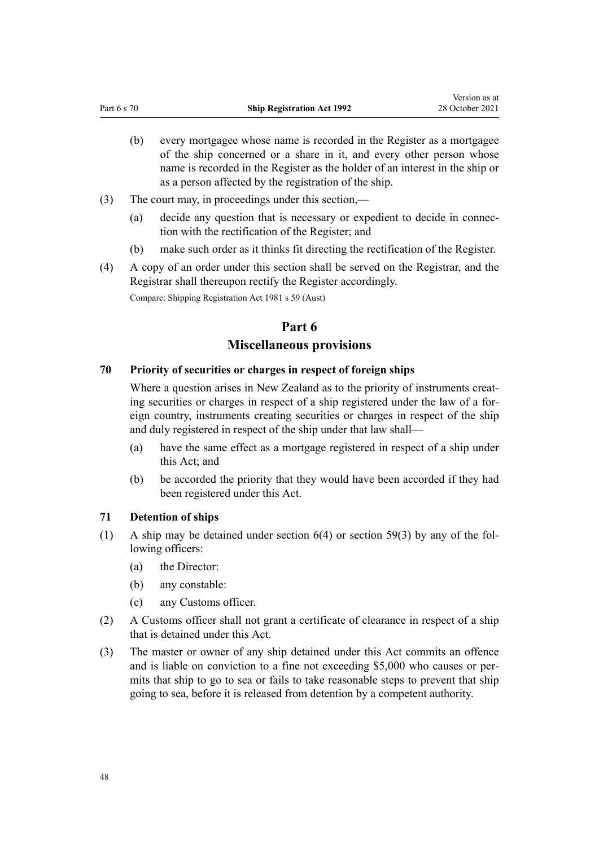- <span id="page-47-0"></span>(b) every mortgagee whose name is recorded in the Register as a mortgagee of the ship concerned or a share in it, and every other person whose name is recorded in the Register as the holder of an interest in the ship or as a person affected by the registration of the ship.
- (3) The court may, in proceedings under this section,—
	- (a) decide any question that is necessary or expedient to decide in connection with the rectification of the Register; and
	- (b) make such order as it thinks fit directing the rectification of the Register.
- (4) A copy of an order under this section shall be served on the Registrar, and the Registrar shall thereupon rectify the Register accordingly.

Compare: Shipping Registration Act 1981 s 59 (Aust)

### **Part 6**

### **Miscellaneous provisions**

### **70 Priority of securities or charges in respect of foreign ships**

Where a question arises in New Zealand as to the priority of instruments creating securities or charges in respect of a ship registered under the law of a foreign country, instruments creating securities or charges in respect of the ship and duly registered in respect of the ship under that law shall—

- (a) have the same effect as a mortgage registered in respect of a ship under this Act; and
- (b) be accorded the priority that they would have been accorded if they had been registered under this Act.

### **71 Detention of ships**

- (1) A ship may be detained under section  $6(4)$  or [section 59\(3\)](#page-42-0) by any of the following officers:
	- (a) the Director:
	- (b) any constable:
	- (c) any Customs officer.
- (2) A Customs officer shall not grant a certificate of clearance in respect of a ship that is detained under this Act.
- (3) The master or owner of any ship detained under this Act commits an offence and is liable on conviction to a fine not exceeding \$5,000 who causes or per‐ mits that ship to go to sea or fails to take reasonable steps to prevent that ship going to sea, before it is released from detention by a competent authority.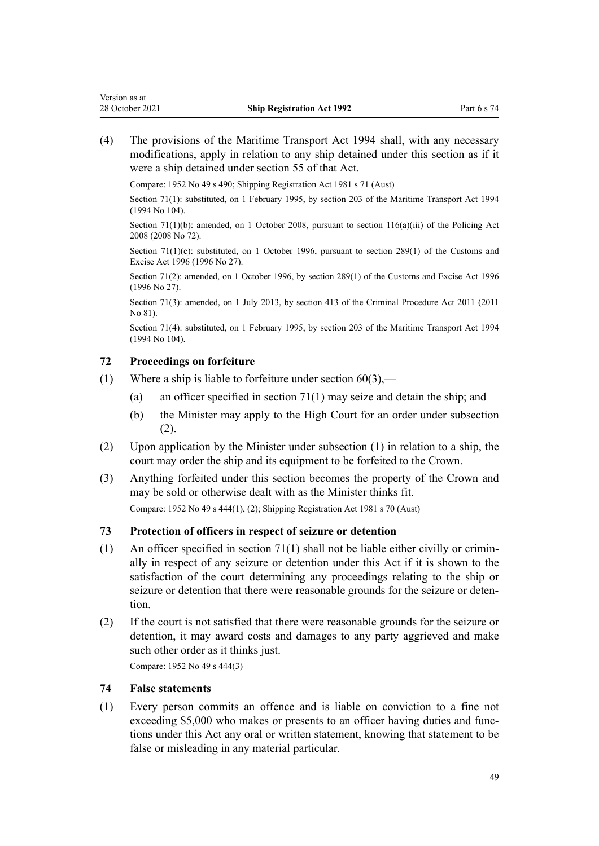<span id="page-48-0"></span>(4) The provisions of the [Maritime Transport Act 1994](http://legislation.govt.nz/pdflink.aspx?id=DLM334659) shall, with any necessary modifications, apply in relation to any ship detained under this section as if it were a ship detained under [section 55](http://legislation.govt.nz/pdflink.aspx?id=DLM335734) of that Act.

Compare: 1952 No 49 s 490; Shipping Registration Act 1981 s 71 (Aust)

Section 71(1): substituted, on 1 February 1995, by [section 203](http://legislation.govt.nz/pdflink.aspx?id=DLM336920) of the Maritime Transport Act 1994 (1994 No 104).

Section 71(1)(b): amended, on 1 October 2008, pursuant to [section 116\(a\)\(iii\)](http://legislation.govt.nz/pdflink.aspx?id=DLM1102349) of the Policing Act 2008 (2008 No 72).

Section 71(1)(c): substituted, on 1 October 1996, pursuant to [section 289\(1\)](http://legislation.govt.nz/pdflink.aspx?id=DLM380185) of the Customs and Excise Act 1996 (1996 No 27).

Section 71(2): amended, on 1 October 1996, by [section 289\(1\)](http://legislation.govt.nz/pdflink.aspx?id=DLM380185) of the Customs and Excise Act 1996 (1996 No 27).

Section 71(3): amended, on 1 July 2013, by [section 413](http://legislation.govt.nz/pdflink.aspx?id=DLM3360714) of the Criminal Procedure Act 2011 (2011 No 81).

Section 71(4): substituted, on 1 February 1995, by [section 203](http://legislation.govt.nz/pdflink.aspx?id=DLM336920) of the Maritime Transport Act 1994 (1994 No 104).

#### **72 Proceedings on forfeiture**

- (1) Where a ship is liable to forfeiture under section  $60(3)$ ,—
	- (a) an officer specified in [section 71\(1\)](#page-47-0) may seize and detain the ship; and
	- (b) the Minister may apply to the High Court for an order under subsection (2).
- (2) Upon application by the Minister under subsection (1) in relation to a ship, the court may order the ship and its equipment to be forfeited to the Crown.
- (3) Anything forfeited under this section becomes the property of the Crown and may be sold or otherwise dealt with as the Minister thinks fit.

Compare: 1952 No 49 s 444(1), (2); Shipping Registration Act 1981 s 70 (Aust)

#### **73 Protection of officers in respect of seizure or detention**

- (1) An officer specified in section  $71(1)$  shall not be liable either civilly or criminally in respect of any seizure or detention under this Act if it is shown to the satisfaction of the court determining any proceedings relating to the ship or seizure or detention that there were reasonable grounds for the seizure or detention.
- (2) If the court is not satisfied that there were reasonable grounds for the seizure or detention, it may award costs and damages to any party aggrieved and make such other order as it thinks just.

Compare: 1952 No 49 s 444(3)

### **74 False statements**

(1) Every person commits an offence and is liable on conviction to a fine not exceeding \$5,000 who makes or presents to an officer having duties and functions under this Act any oral or written statement, knowing that statement to be false or misleading in any material particular.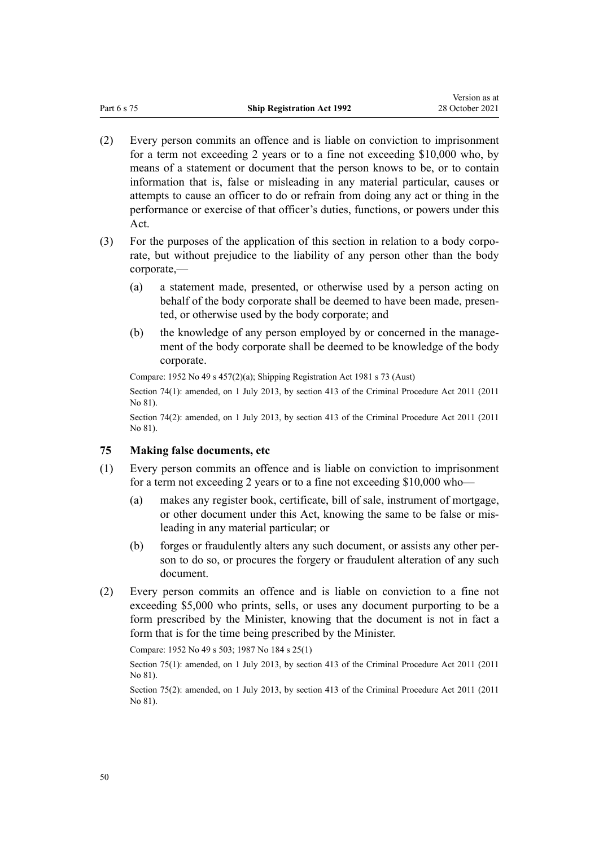- <span id="page-49-0"></span>(2) Every person commits an offence and is liable on conviction to imprisonment for a term not exceeding 2 years or to a fine not exceeding \$10,000 who, by means of a statement or document that the person knows to be, or to contain information that is, false or misleading in any material particular, causes or attempts to cause an officer to do or refrain from doing any act or thing in the performance or exercise of that officer's duties, functions, or powers under this Act.
- (3) For the purposes of the application of this section in relation to a body corpo‐ rate, but without prejudice to the liability of any person other than the body corporate,—
	- (a) a statement made, presented, or otherwise used by a person acting on behalf of the body corporate shall be deemed to have been made, presented, or otherwise used by the body corporate; and
	- (b) the knowledge of any person employed by or concerned in the management of the body corporate shall be deemed to be knowledge of the body corporate.

Compare: 1952 No 49 s 457(2)(a); Shipping Registration Act 1981 s 73 (Aust)

Section 74(1): amended, on 1 July 2013, by [section 413](http://legislation.govt.nz/pdflink.aspx?id=DLM3360714) of the Criminal Procedure Act 2011 (2011 No 81).

Section 74(2): amended, on 1 July 2013, by [section 413](http://legislation.govt.nz/pdflink.aspx?id=DLM3360714) of the Criminal Procedure Act 2011 (2011 No 81).

### **75 Making false documents, etc**

- (1) Every person commits an offence and is liable on conviction to imprisonment for a term not exceeding 2 years or to a fine not exceeding \$10,000 who—
	- (a) makes any register book, certificate, bill of sale, instrument of mortgage, or other document under this Act, knowing the same to be false or mis‐ leading in any material particular; or
	- (b) forges or fraudulently alters any such document, or assists any other per‐ son to do so, or procures the forgery or fraudulent alteration of any such document.
- (2) Every person commits an offence and is liable on conviction to a fine not exceeding \$5,000 who prints, sells, or uses any document purporting to be a form prescribed by the Minister, knowing that the document is not in fact a form that is for the time being prescribed by the Minister.

Compare: 1952 No 49 s 503; 1987 No 184 s 25(1)

Section 75(1): amended, on 1 July 2013, by [section 413](http://legislation.govt.nz/pdflink.aspx?id=DLM3360714) of the Criminal Procedure Act 2011 (2011 No 81).

Section 75(2): amended, on 1 July 2013, by [section 413](http://legislation.govt.nz/pdflink.aspx?id=DLM3360714) of the Criminal Procedure Act 2011 (2011 No 81).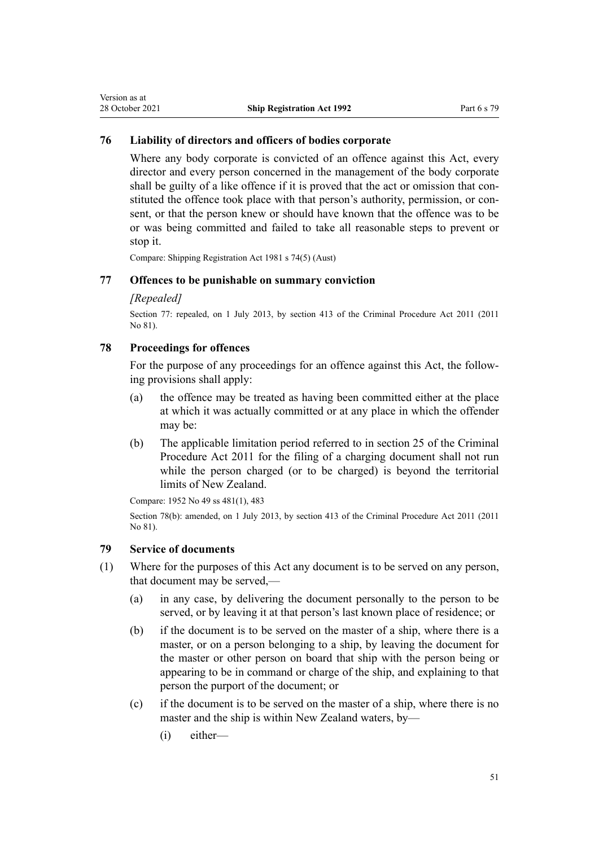### <span id="page-50-0"></span>**76 Liability of directors and officers of bodies corporate**

Where any body corporate is convicted of an offence against this Act, every director and every person concerned in the management of the body corporate shall be guilty of a like offence if it is proved that the act or omission that constituted the offence took place with that person's authority, permission, or con‐ sent, or that the person knew or should have known that the offence was to be or was being committed and failed to take all reasonable steps to prevent or stop it.

Compare: Shipping Registration Act 1981 s 74(5) (Aust)

### **77 Offences to be punishable on summary conviction**

#### *[Repealed]*

Section 77: repealed, on 1 July 2013, by [section 413](http://legislation.govt.nz/pdflink.aspx?id=DLM3360714) of the Criminal Procedure Act 2011 (2011 No 81).

### **78 Proceedings for offences**

For the purpose of any proceedings for an offence against this Act, the following provisions shall apply:

- (a) the offence may be treated as having been committed either at the place at which it was actually committed or at any place in which the offender may be:
- (b) The applicable limitation period referred to in [section 25](http://legislation.govt.nz/pdflink.aspx?id=DLM3360067) of the Criminal Procedure Act 2011 for the filing of a charging document shall not run while the person charged (or to be charged) is beyond the territorial limits of New Zealand.

Compare: 1952 No 49 ss 481(1), 483

Section 78(b): amended, on 1 July 2013, by [section 413](http://legislation.govt.nz/pdflink.aspx?id=DLM3360714) of the Criminal Procedure Act 2011 (2011 No 81).

### **79 Service of documents**

- (1) Where for the purposes of this Act any document is to be served on any person, that document may be served,—
	- (a) in any case, by delivering the document personally to the person to be served, or by leaving it at that person's last known place of residence; or
	- (b) if the document is to be served on the master of a ship, where there is a master, or on a person belonging to a ship, by leaving the document for the master or other person on board that ship with the person being or appearing to be in command or charge of the ship, and explaining to that person the purport of the document; or
	- (c) if the document is to be served on the master of a ship, where there is no master and the ship is within New Zealand waters, by—
		- (i) either—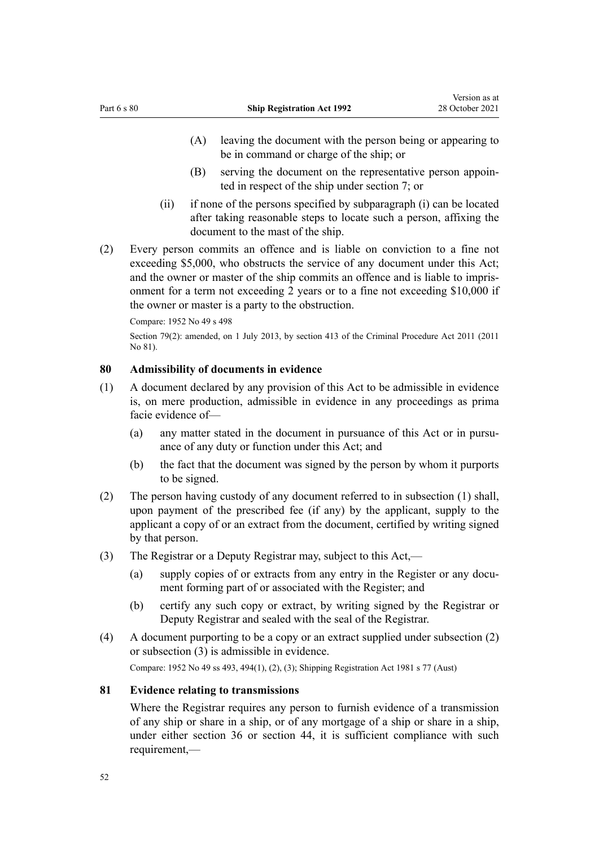- <span id="page-51-0"></span>(A) leaving the document with the person being or appearing to be in command or charge of the ship; or
- (B) serving the document on the representative person appoin‐ ted in respect of the ship under [section 7](#page-11-0); or
- (ii) if none of the persons specified by subparagraph (i) can be located after taking reasonable steps to locate such a person, affixing the document to the mast of the ship.
- (2) Every person commits an offence and is liable on conviction to a fine not exceeding \$5,000, who obstructs the service of any document under this Act; and the owner or master of the ship commits an offence and is liable to impris‐ onment for a term not exceeding 2 years or to a fine not exceeding \$10,000 if the owner or master is a party to the obstruction.

Compare: 1952 No 49 s 498

Section 79(2): amended, on 1 July 2013, by [section 413](http://legislation.govt.nz/pdflink.aspx?id=DLM3360714) of the Criminal Procedure Act 2011 (2011 No 81).

### **80 Admissibility of documents in evidence**

- (1) A document declared by any provision of this Act to be admissible in evidence is, on mere production, admissible in evidence in any proceedings as prima facie evidence of—
	- (a) any matter stated in the document in pursuance of this Act or in pursuance of any duty or function under this Act; and
	- (b) the fact that the document was signed by the person by whom it purports to be signed.
- (2) The person having custody of any document referred to in subsection (1) shall, upon payment of the prescribed fee (if any) by the applicant, supply to the applicant a copy of or an extract from the document, certified by writing signed by that person.
- (3) The Registrar or a Deputy Registrar may, subject to this Act,—
	- (a) supply copies of or extracts from any entry in the Register or any document forming part of or associated with the Register; and
	- (b) certify any such copy or extract, by writing signed by the Registrar or Deputy Registrar and sealed with the seal of the Registrar.
- (4) A document purporting to be a copy or an extract supplied under subsection (2) or subsection (3) is admissible in evidence.

Compare: 1952 No 49 ss 493, 494(1), (2), (3); Shipping Registration Act 1981 s 77 (Aust)

### **81 Evidence relating to transmissions**

Where the Registrar requires any person to furnish evidence of a transmission of any ship or share in a ship, or of any mortgage of a ship or share in a ship, under either [section 36](#page-33-0) or [section 44](#page-36-0), it is sufficient compliance with such requirement,—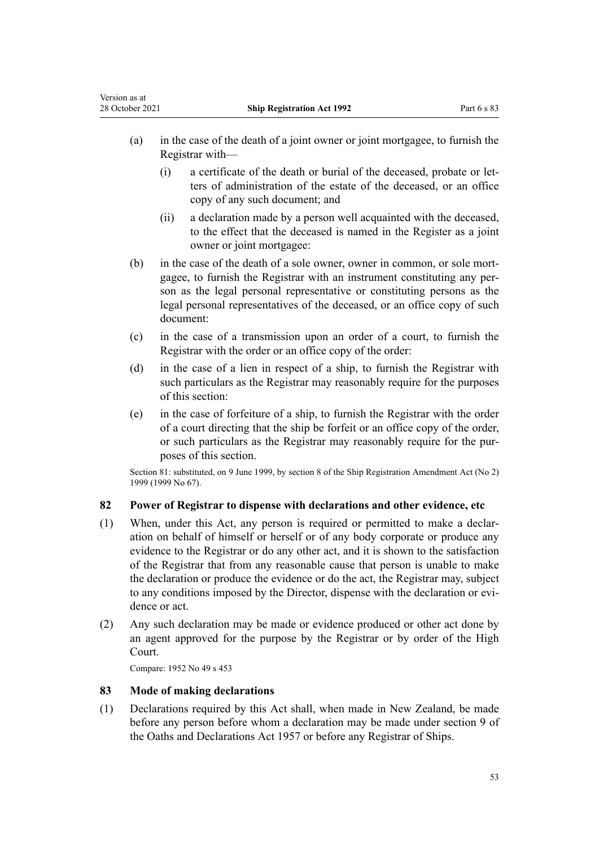<span id="page-52-0"></span>Version as at

- (a) in the case of the death of a joint owner or joint mortgagee, to furnish the Registrar with—
	- (i) a certificate of the death or burial of the deceased, probate or let‐ ters of administration of the estate of the deceased, or an office copy of any such document; and
	- (ii) a declaration made by a person well acquainted with the deceased, to the effect that the deceased is named in the Register as a joint owner or joint mortgagee:
- (b) in the case of the death of a sole owner, owner in common, or sole mortgagee, to furnish the Registrar with an instrument constituting any per‐ son as the legal personal representative or constituting persons as the legal personal representatives of the deceased, or an office copy of such document:
- (c) in the case of a transmission upon an order of a court, to furnish the Registrar with the order or an office copy of the order:
- (d) in the case of a lien in respect of a ship, to furnish the Registrar with such particulars as the Registrar may reasonably require for the purposes of this section:
- (e) in the case of forfeiture of a ship, to furnish the Registrar with the order of a court directing that the ship be forfeit or an office copy of the order, or such particulars as the Registrar may reasonably require for the pur‐ poses of this section.

Section 81: substituted, on 9 June 1999, by [section 8](http://legislation.govt.nz/pdflink.aspx?id=DLM30538) of the Ship Registration Amendment Act (No 2) 1999 (1999 No 67).

### **82 Power of Registrar to dispense with declarations and other evidence, etc**

- (1) When, under this Act, any person is required or permitted to make a declar‐ ation on behalf of himself or herself or of any body corporate or produce any evidence to the Registrar or do any other act, and it is shown to the satisfaction of the Registrar that from any reasonable cause that person is unable to make the declaration or produce the evidence or do the act, the Registrar may, subject to any conditions imposed by the Director, dispense with the declaration or evidence or act.
- (2) Any such declaration may be made or evidence produced or other act done by an agent approved for the purpose by the Registrar or by order of the High Court.

Compare: 1952 No 49 s 453

### **83 Mode of making declarations**

(1) Declarations required by this Act shall, when made in New Zealand, be made before any person before whom a declaration may be made under [section 9](http://legislation.govt.nz/pdflink.aspx?id=DLM314584) of the Oaths and Declarations Act 1957 or before any Registrar of Ships.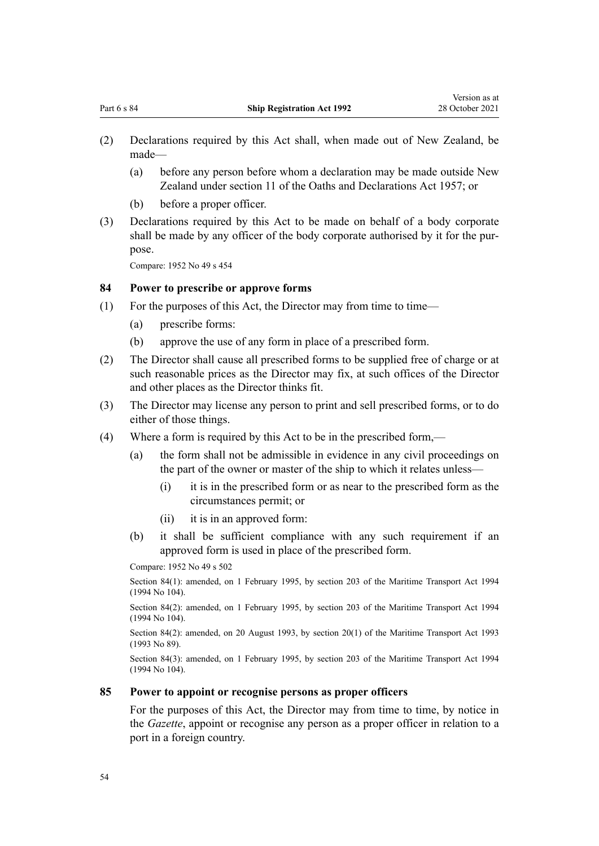- <span id="page-53-0"></span>(2) Declarations required by this Act shall, when made out of New Zealand, be made—
	- (a) before any person before whom a declaration may be made outside New Zealand under [section 11](http://legislation.govt.nz/pdflink.aspx?id=DLM316109) of the Oaths and Declarations Act 1957; or
	- (b) before a proper officer.
- (3) Declarations required by this Act to be made on behalf of a body corporate shall be made by any officer of the body corporate authorised by it for the purpose.

Compare: 1952 No 49 s 454

### **84 Power to prescribe or approve forms**

- (1) For the purposes of this Act, the Director may from time to time—
	- (a) prescribe forms:
	- (b) approve the use of any form in place of a prescribed form.
- (2) The Director shall cause all prescribed forms to be supplied free of charge or at such reasonable prices as the Director may fix, at such offices of the Director and other places as the Director thinks fit.
- (3) The Director may license any person to print and sell prescribed forms, or to do either of those things.
- (4) Where a form is required by this Act to be in the prescribed form,—
	- (a) the form shall not be admissible in evidence in any civil proceedings on the part of the owner or master of the ship to which it relates unless—
		- (i) it is in the prescribed form or as near to the prescribed form as the circumstances permit; or
		- (ii) it is in an approved form:
	- (b) it shall be sufficient compliance with any such requirement if an approved form is used in place of the prescribed form.

Compare: 1952 No 49 s 502

Section 84(1): amended, on 1 February 1995, by [section 203](http://legislation.govt.nz/pdflink.aspx?id=DLM336920) of the Maritime Transport Act 1994 (1994 No 104).

Section 84(2): amended, on 1 February 1995, by [section 203](http://legislation.govt.nz/pdflink.aspx?id=DLM336920) of the Maritime Transport Act 1994 (1994 No 104).

Section 84(2): amended, on 20 August 1993, by section 20(1) of the Maritime Transport Act 1993 (1993 No 89).

Section 84(3): amended, on 1 February 1995, by [section 203](http://legislation.govt.nz/pdflink.aspx?id=DLM336920) of the Maritime Transport Act 1994 (1994 No 104).

### **85 Power to appoint or recognise persons as proper officers**

For the purposes of this Act, the Director may from time to time, by notice in the *Gazette*, appoint or recognise any person as a proper officer in relation to a port in a foreign country.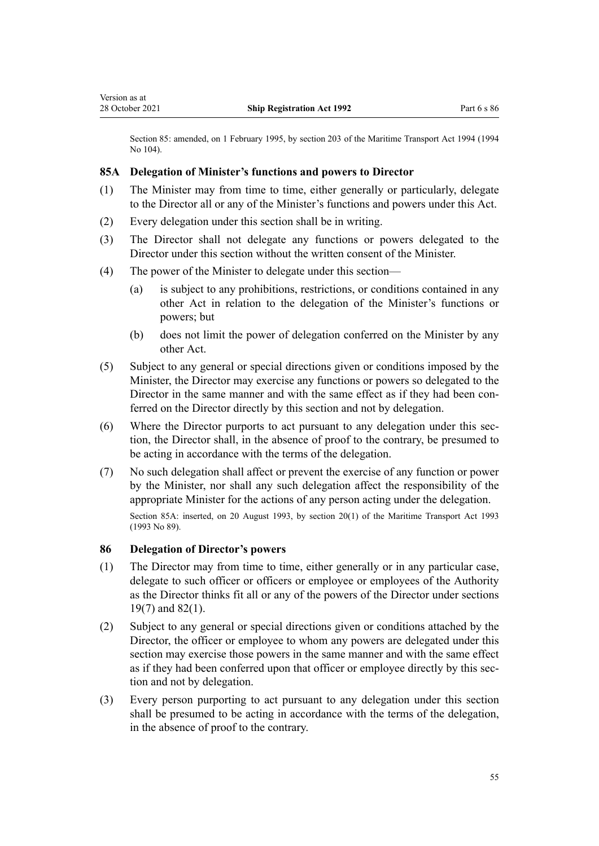<span id="page-54-0"></span>Section 85: amended, on 1 February 1995, by [section 203](http://legislation.govt.nz/pdflink.aspx?id=DLM336920) of the Maritime Transport Act 1994 (1994 No 104).

### **85A Delegation of Minister's functions and powers to Director**

- (1) The Minister may from time to time, either generally or particularly, delegate to the Director all or any of the Minister's functions and powers under this Act.
- (2) Every delegation under this section shall be in writing.
- (3) The Director shall not delegate any functions or powers delegated to the Director under this section without the written consent of the Minister.
- (4) The power of the Minister to delegate under this section—
	- (a) is subject to any prohibitions, restrictions, or conditions contained in any other Act in relation to the delegation of the Minister's functions or powers; but
	- (b) does not limit the power of delegation conferred on the Minister by any other Act.
- (5) Subject to any general or special directions given or conditions imposed by the Minister, the Director may exercise any functions or powers so delegated to the Director in the same manner and with the same effect as if they had been conferred on the Director directly by this section and not by delegation.
- (6) Where the Director purports to act pursuant to any delegation under this sec‐ tion, the Director shall, in the absence of proof to the contrary, be presumed to be acting in accordance with the terms of the delegation.
- (7) No such delegation shall affect or prevent the exercise of any function or power by the Minister, nor shall any such delegation affect the responsibility of the appropriate Minister for the actions of any person acting under the delegation. Section 85A: inserted, on 20 August 1993, by section 20(1) of the Maritime Transport Act 1993 (1993 No 89).

### **86 Delegation of Director's powers**

- (1) The Director may from time to time, either generally or in any particular case, delegate to such officer or officers or employee or employees of the Authority as the Director thinks fit all or any of the powers of the Director under [sections](#page-20-0) [19\(7\)](#page-20-0) and [82\(1\)](#page-52-0).
- (2) Subject to any general or special directions given or conditions attached by the Director, the officer or employee to whom any powers are delegated under this section may exercise those powers in the same manner and with the same effect as if they had been conferred upon that officer or employee directly by this section and not by delegation.
- (3) Every person purporting to act pursuant to any delegation under this section shall be presumed to be acting in accordance with the terms of the delegation, in the absence of proof to the contrary.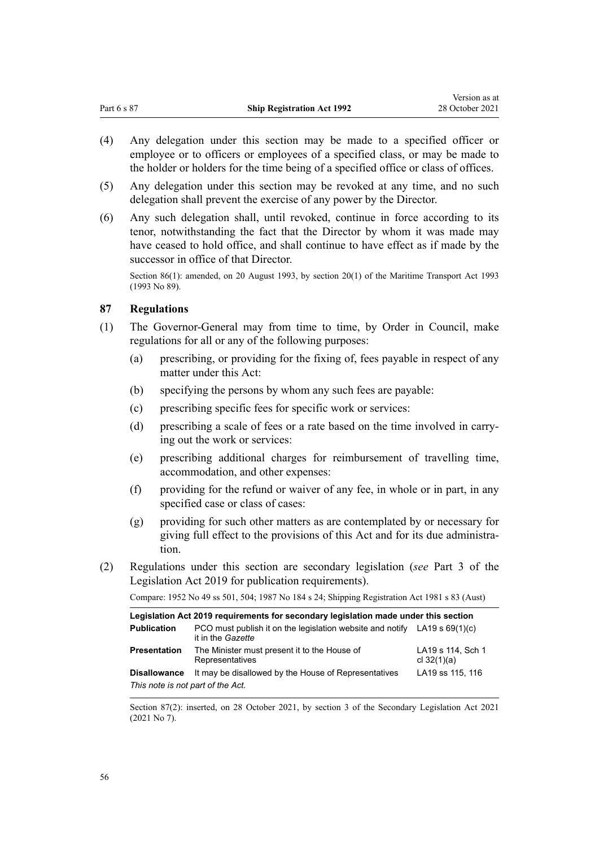Version as at

- <span id="page-55-0"></span>(4) Any delegation under this section may be made to a specified officer or employee or to officers or employees of a specified class, or may be made to the holder or holders for the time being of a specified office or class of offices.
- (5) Any delegation under this section may be revoked at any time, and no such delegation shall prevent the exercise of any power by the Director.
- (6) Any such delegation shall, until revoked, continue in force according to its tenor, notwithstanding the fact that the Director by whom it was made may have ceased to hold office, and shall continue to have effect as if made by the successor in office of that Director.

Section 86(1): amended, on 20 August 1993, by section 20(1) of the Maritime Transport Act 1993 (1993 No 89).

### **87 Regulations**

- (1) The Governor-General may from time to time, by Order in Council, make regulations for all or any of the following purposes:
	- (a) prescribing, or providing for the fixing of, fees payable in respect of any matter under this Act:
	- (b) specifying the persons by whom any such fees are payable:
	- (c) prescribing specific fees for specific work or services:
	- (d) prescribing a scale of fees or a rate based on the time involved in carrying out the work or services:
	- (e) prescribing additional charges for reimbursement of travelling time, accommodation, and other expenses:
	- (f) providing for the refund or waiver of any fee, in whole or in part, in any specified case or class of cases:
	- (g) providing for such other matters as are contemplated by or necessary for giving full effect to the provisions of this Act and for its due administra‐ tion.
- (2) Regulations under this section are secondary legislation (*see* [Part 3](http://legislation.govt.nz/pdflink.aspx?id=DLM7298343) of the Legislation Act 2019 for publication requirements).

Compare: 1952 No 49 ss 501, 504; 1987 No 184 s 24; Shipping Registration Act 1981 s 83 (Aust)

| Legislation Act 2019 requirements for secondary legislation made under this section |                                                                                                         |                                    |  |
|-------------------------------------------------------------------------------------|---------------------------------------------------------------------------------------------------------|------------------------------------|--|
| <b>Publication</b>                                                                  | PCO must publish it on the legislation website and notify LA19 s $69(1)(c)$<br>it in the <i>Gazette</i> |                                    |  |
| <b>Presentation</b>                                                                 | The Minister must present it to the House of<br>Representatives                                         | LA19 s 114, Sch 1<br>cl $32(1)(a)$ |  |
| <b>Disallowance</b>                                                                 | It may be disallowed by the House of Representatives                                                    | LA19 ss 115, 116                   |  |
| This note is not part of the Act.                                                   |                                                                                                         |                                    |  |

Section 87(2): inserted, on 28 October 2021, by [section 3](http://legislation.govt.nz/pdflink.aspx?id=LMS268932) of the Secondary Legislation Act 2021 (2021 No 7).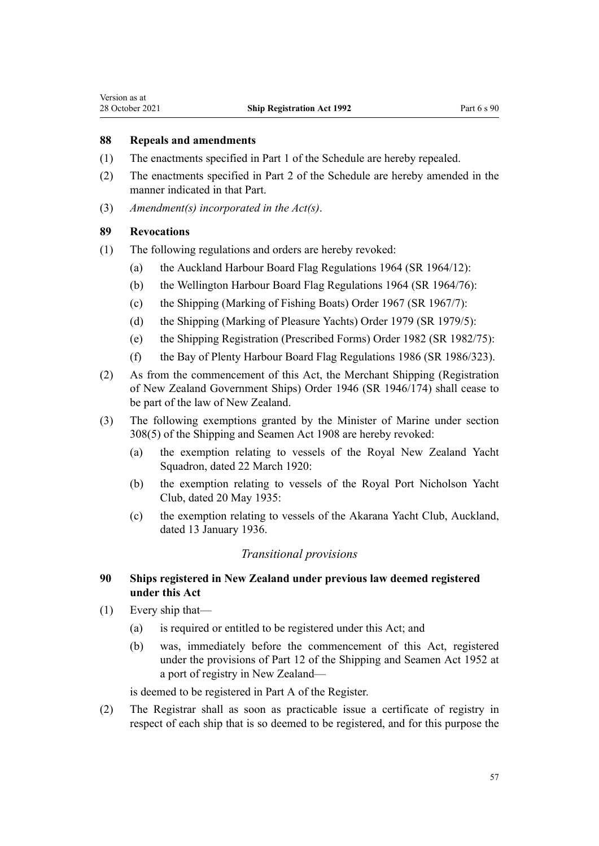<span id="page-56-0"></span>Version as at

### **88 Repeals and amendments**

- (1) The enactments specified in [Part 1](#page-60-0) of the Schedule are hereby repealed.
- (2) The enactments specified in [Part 2](#page-60-0) of the Schedule are hereby amended in the manner indicated in that Part.
- (3) *Amendment(s) incorporated in the [Act\(s\)](http://legislation.govt.nz/pdflink.aspx?id=DLM314314)*.

### **89 Revocations**

- (1) The following regulations and orders are hereby revoked:
	- (a) the Auckland Harbour Board Flag Regulations 1964 (SR 1964/12):
	- (b) the Wellington Harbour Board Flag Regulations 1964 (SR 1964/76):
	- (c) the Shipping (Marking of Fishing Boats) Order 1967 (SR 1967/7):
	- (d) the Shipping (Marking of Pleasure Yachts) Order 1979 (SR 1979/5):
	- (e) the Shipping Registration (Prescribed Forms) Order 1982 (SR 1982/75):
	- (f) the Bay of Plenty Harbour Board Flag Regulations 1986 (SR 1986/323).
- (2) As from the commencement of this Act, the [Merchant Shipping \(Registration](http://legislation.govt.nz/pdflink.aspx?id=DLM1595) [of New Zealand Government Ships\) Order 1946](http://legislation.govt.nz/pdflink.aspx?id=DLM1595) (SR 1946/174) shall cease to be part of the law of New Zealand.
- (3) The following exemptions granted by the Minister of Marine under section 308(5) of the Shipping and Seamen Act 1908 are hereby revoked:
	- (a) the exemption relating to vessels of the Royal New Zealand Yacht Squadron, dated 22 March 1920:
	- (b) the exemption relating to vessels of the Royal Port Nicholson Yacht Club, dated 20 May 1935:
	- (c) the exemption relating to vessels of the Akarana Yacht Club, Auckland, dated 13 January 1936.

### *Transitional provisions*

### **90 Ships registered in New Zealand under previous law deemed registered under this Act**

- (1) Every ship that—
	- (a) is required or entitled to be registered under this Act; and
	- (b) was, immediately before the commencement of this Act, registered under the provisions of Part 12 of the Shipping and Seamen Act 1952 at a port of registry in New Zealand—

is deemed to be registered in Part A of the Register.

(2) The Registrar shall as soon as practicable issue a certificate of registry in respect of each ship that is so deemed to be registered, and for this purpose the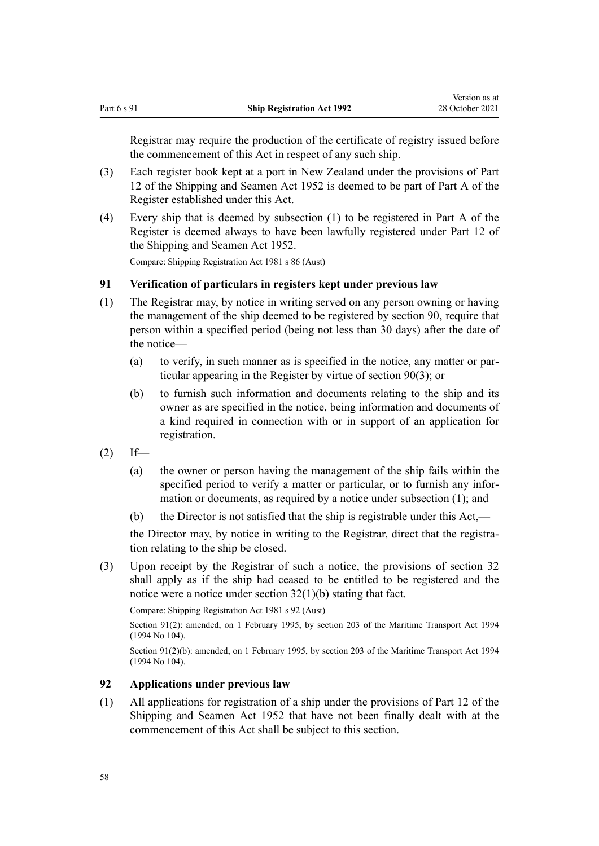<span id="page-57-0"></span>Registrar may require the production of the certificate of registry issued before the commencement of this Act in respect of any such ship.

- (3) Each register book kept at a port in New Zealand under the provisions of Part 12 of the Shipping and Seamen Act 1952 is deemed to be part of Part A of the Register established under this Act.
- (4) Every ship that is deemed by subsection (1) to be registered in Part A of the Register is deemed always to have been lawfully registered under Part 12 of the Shipping and Seamen Act 1952.

Compare: Shipping Registration Act 1981 s 86 (Aust)

### **91 Verification of particulars in registers kept under previous law**

- (1) The Registrar may, by notice in writing served on any person owning or having the management of the ship deemed to be registered by [section 90,](#page-56-0) require that person within a specified period (being not less than 30 days) after the date of the notice—
	- (a) to verify, in such manner as is specified in the notice, any matter or par‐ ticular appearing in the Register by virtue of [section 90\(3\);](#page-56-0) or
	- (b) to furnish such information and documents relating to the ship and its owner as are specified in the notice, being information and documents of a kind required in connection with or in support of an application for registration.
- $(2)$  If—
	- (a) the owner or person having the management of the ship fails within the specified period to verify a matter or particular, or to furnish any information or documents, as required by a notice under subsection (1); and
	- (b) the Director is not satisfied that the ship is registrable under this Act,—

the Director may, by notice in writing to the Registrar, direct that the registration relating to the ship be closed.

(3) Upon receipt by the Registrar of such a notice, the provisions of [section 32](#page-31-0) shall apply as if the ship had ceased to be entitled to be registered and the notice were a notice under section 32(1)(b) stating that fact.

Compare: Shipping Registration Act 1981 s 92 (Aust)

Section 91(2): amended, on 1 February 1995, by [section 203](http://legislation.govt.nz/pdflink.aspx?id=DLM336920) of the Maritime Transport Act 1994 (1994 No 104).

Section 91(2)(b): amended, on 1 February 1995, by [section 203](http://legislation.govt.nz/pdflink.aspx?id=DLM336920) of the Maritime Transport Act 1994 (1994 No 104).

### **92 Applications under previous law**

(1) All applications for registration of a ship under the provisions of Part 12 of the Shipping and Seamen Act 1952 that have not been finally dealt with at the commencement of this Act shall be subject to this section.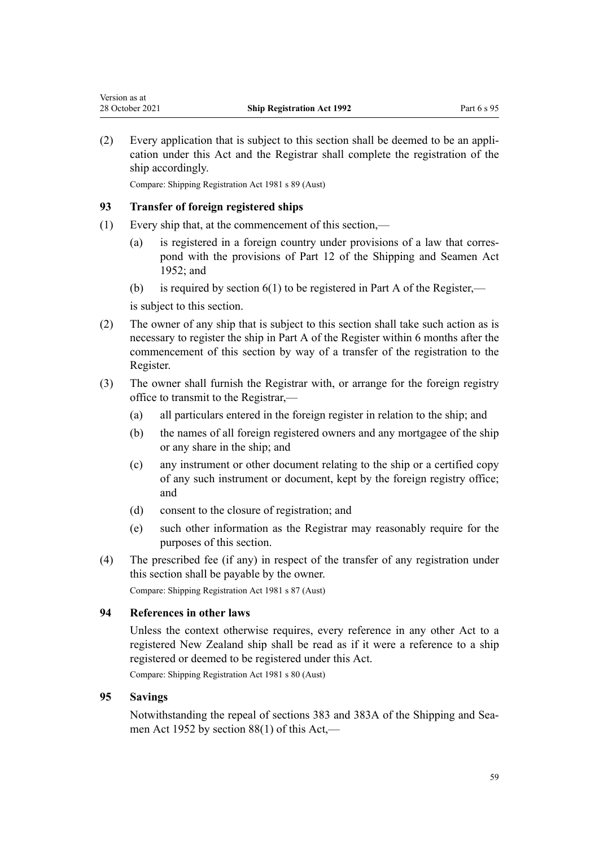(2) Every application that is subject to this section shall be deemed to be an appli‐ cation under this Act and the Registrar shall complete the registration of the ship accordingly.

Compare: Shipping Registration Act 1981 s 89 (Aust)

### **93 Transfer of foreign registered ships**

<span id="page-58-0"></span>Version as at

- (1) Every ship that, at the commencement of this section,—
	- (a) is registered in a foreign country under provisions of a law that corres‐ pond with the provisions of Part 12 of the Shipping and Seamen Act 1952; and
	- (b) is required by section  $6(1)$  to be registered in Part A of the Register,—

is subject to this section.

- (2) The owner of any ship that is subject to this section shall take such action as is necessary to register the ship in Part A of the Register within 6 months after the commencement of this section by way of a transfer of the registration to the Register.
- (3) The owner shall furnish the Registrar with, or arrange for the foreign registry office to transmit to the Registrar,—
	- (a) all particulars entered in the foreign register in relation to the ship; and
	- (b) the names of all foreign registered owners and any mortgagee of the ship or any share in the ship; and
	- (c) any instrument or other document relating to the ship or a certified copy of any such instrument or document, kept by the foreign registry office; and
	- (d) consent to the closure of registration; and
	- (e) such other information as the Registrar may reasonably require for the purposes of this section.
- (4) The prescribed fee (if any) in respect of the transfer of any registration under this section shall be payable by the owner.

Compare: Shipping Registration Act 1981 s 87 (Aust)

### **94 References in other laws**

Unless the context otherwise requires, every reference in any other Act to a registered New Zealand ship shall be read as if it were a reference to a ship registered or deemed to be registered under this Act.

Compare: Shipping Registration Act 1981 s 80 (Aust)

### **95 Savings**

Notwithstanding the repeal of sections 383 and 383A of the Shipping and Sea‐ men Act 1952 by [section 88\(1\)](#page-56-0) of this Act,—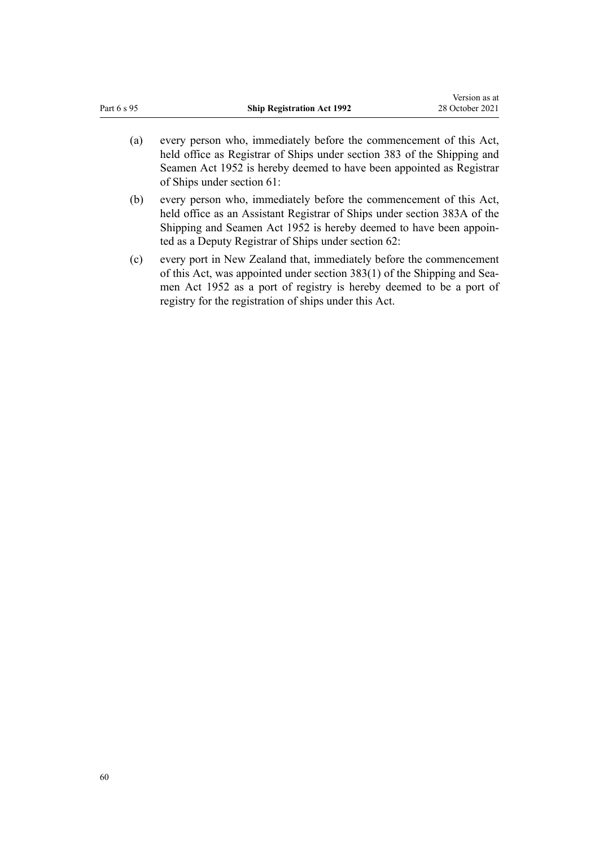| Part 6 s 95 | <b>Ship Registration Act 1992</b>                                                                                                                                                                                                                                                                                                                           | 28 October 2021 |
|-------------|-------------------------------------------------------------------------------------------------------------------------------------------------------------------------------------------------------------------------------------------------------------------------------------------------------------------------------------------------------------|-----------------|
| (a)         | every person who, immediately before the commencement of this Act,<br>held office as Registrar of Ships under section 383 of the Shipping and<br>Seamen Act 1952 is hereby deemed to have been appointed as Registrar<br>of Ships under section 61:                                                                                                         |                 |
| (b)         | every person who, immediately before the commencement of this Act,<br>held office as an Assistant Registrar of Ships under section 383A of the<br>Shipping and Seamen Act 1952 is hereby deemed to have been appoin-<br>ted as a Deputy Registrar of Ships under section 62:                                                                                |                 |
|             | $\mathcal{N}$ $\mathcal{N}$ $\mathcal{N}$ $\mathcal{N}$ $\mathcal{N}$ $\mathcal{N}$ $\mathcal{N}$ $\mathcal{N}$ $\mathcal{N}$ $\mathcal{N}$ $\mathcal{N}$ $\mathcal{N}$ $\mathcal{N}$ $\mathcal{N}$ $\mathcal{N}$ $\mathcal{N}$ $\mathcal{N}$ $\mathcal{N}$ $\mathcal{N}$ $\mathcal{N}$ $\mathcal{N}$ $\mathcal{N}$ $\mathcal{N}$ $\mathcal{N}$ $\mathcal{$ |                 |

Version as at

(c) every port in New Zealand that, immediately before the commencement of this Act, was appointed under section 383(1) of the Shipping and Sea‐ men Act 1952 as a port of registry is hereby deemed to be a port of registry for the registration of ships under this Act.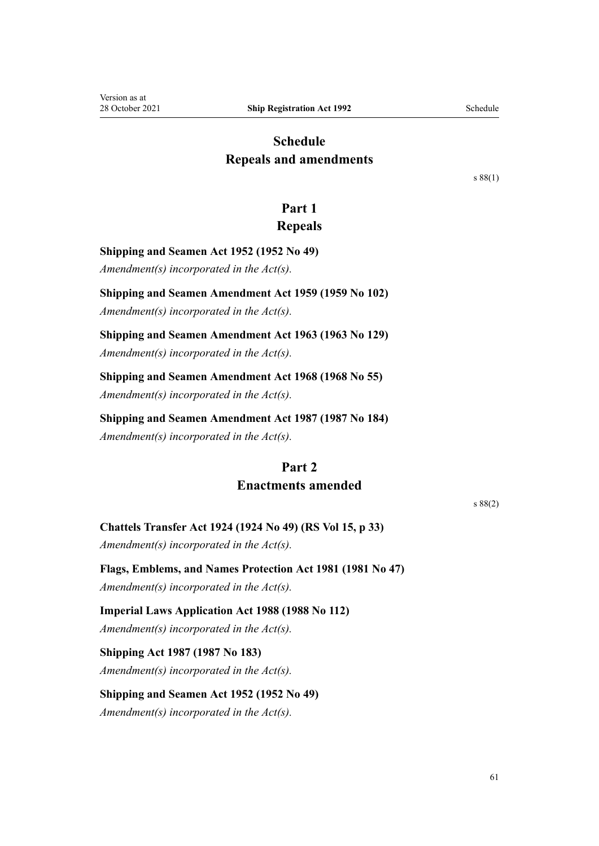# <span id="page-60-0"></span>**Schedule Repeals and amendments**

[s 88\(1\)](#page-56-0)

# **Part 1**

# **Repeals**

**Shipping and Seamen Act 1952 (1952 No 49)**

*Amendment(s) incorporated in the Act(s).*

**Shipping and Seamen Amendment Act 1959 (1959 No 102)**

*Amendment(s) incorporated in the Act(s).*

**Shipping and Seamen Amendment Act 1963 (1963 No 129)** *Amendment(s) incorporated in the Act(s).*

**Shipping and Seamen Amendment Act 1968 (1968 No 55)**

*Amendment(s) incorporated in the Act(s).*

**Shipping and Seamen Amendment Act 1987 (1987 No 184)**

*Amendment(s) incorporated in the Act(s).*

# **Part 2 Enactments amended**

[s 88\(2\)](#page-56-0)

**Chattels Transfer Act 1924 (1924 No 49) (RS Vol 15, p 33)** *Amendment(s) incorporated in the Act(s).*

**Flags, Emblems, and Names Protection Act 1981 (1981 No 47)**

*Amendment(s) incorporated in the [Act\(s\).](http://legislation.govt.nz/pdflink.aspx?id=DLM51357)*

**Imperial Laws Application Act 1988 (1988 No 112)** *Amendment(s) incorporated in the [Act\(s\).](http://legislation.govt.nz/pdflink.aspx?id=DLM135603)*

**Shipping Act 1987 (1987 No 183)** *Amendment(s) incorporated in the [Act\(s\).](http://legislation.govt.nz/pdflink.aspx?id=DLM125302)*

**Shipping and Seamen Act 1952 (1952 No 49)** *Amendment(s) incorporated in the Act(s).*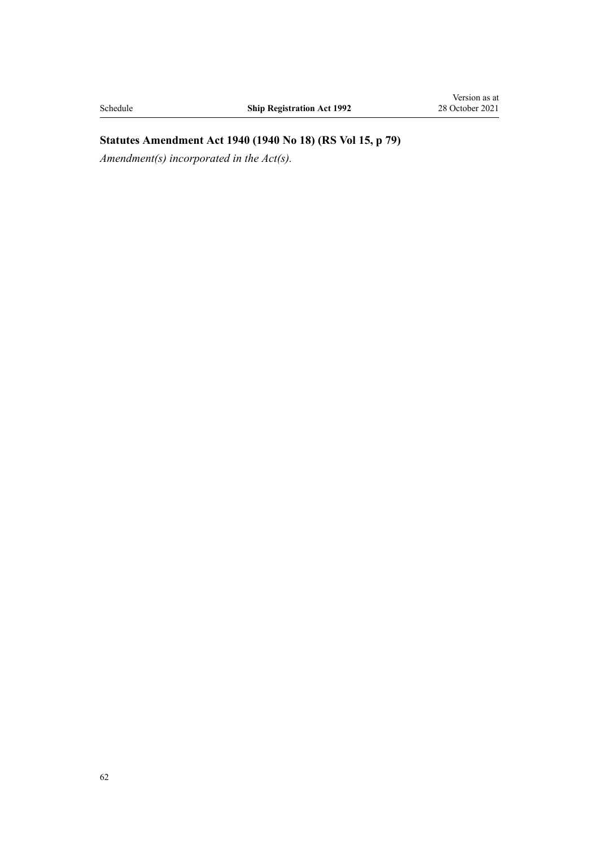# **Statutes Amendment Act 1940 (1940 No 18) (RS Vol 15, p 79)**

*Amendment(s) incorporated in the [Act\(s\).](http://legislation.govt.nz/pdflink.aspx?id=DLM229681)*